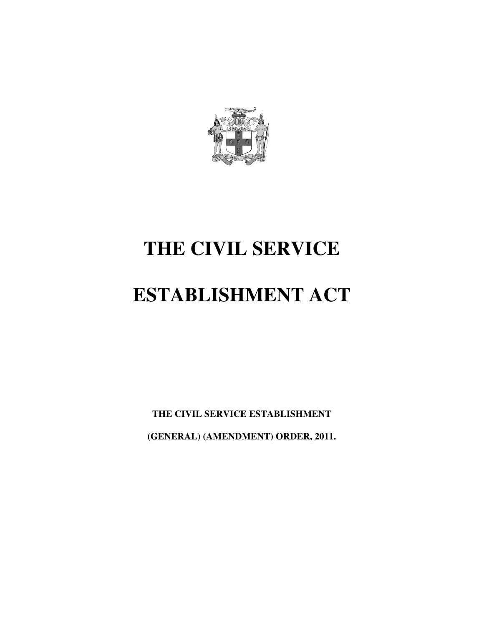

# **THE CIVIL SERVICE**

# **ESTABLISHMENT ACT**

**THE CIVIL SERVICE ESTABLISHMENT (GENERAL) (AMENDMENT) ORDER, 2011.**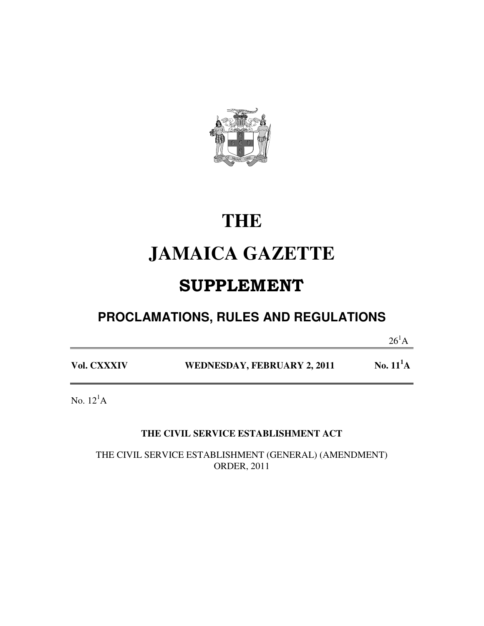

# **THE**

# **JAMAICA GAZETTE**

# SUPPLEMENT

## **PROCLAMATIONS, RULES AND REGULATIONS**

 $26^1$ A

| Vol. CXXXIV | WEDNESDAY, FEBRUARY 2, 2011 | No. $11^1$ A |
|-------------|-----------------------------|--------------|
|             |                             |              |

No.  $12^1$ A

#### **THE CIVIL SERVICE ESTABLISHMENT ACT**

THE CIVIL SERVICE ESTABLISHMENT (GENERAL) (AMENDMENT) ORDER, 2011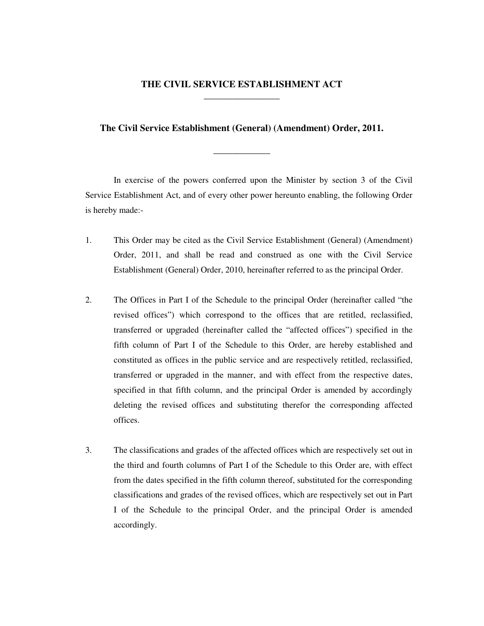#### **THE CIVIL SERVICE ESTABLISHMENT ACT \_\_\_\_\_\_\_\_\_\_\_\_\_\_\_\_**

#### **The Civil Service Establishment (General) (Amendment) Order, 2011.**

**\_\_\_\_\_\_\_\_\_\_\_\_** 

In exercise of the powers conferred upon the Minister by section 3 of the Civil Service Establishment Act, and of every other power hereunto enabling, the following Order is hereby made:-

- 1. This Order may be cited as the Civil Service Establishment (General) (Amendment) Order, 2011, and shall be read and construed as one with the Civil Service Establishment (General) Order, 2010, hereinafter referred to as the principal Order.
- 2. The Offices in Part I of the Schedule to the principal Order (hereinafter called "the revised offices") which correspond to the offices that are retitled, reclassified, transferred or upgraded (hereinafter called the "affected offices") specified in the fifth column of Part I of the Schedule to this Order, are hereby established and constituted as offices in the public service and are respectively retitled, reclassified, transferred or upgraded in the manner, and with effect from the respective dates, specified in that fifth column, and the principal Order is amended by accordingly deleting the revised offices and substituting therefor the corresponding affected offices.
- 3. The classifications and grades of the affected offices which are respectively set out in the third and fourth columns of Part I of the Schedule to this Order are, with effect from the dates specified in the fifth column thereof, substituted for the corresponding classifications and grades of the revised offices, which are respectively set out in Part I of the Schedule to the principal Order, and the principal Order is amended accordingly.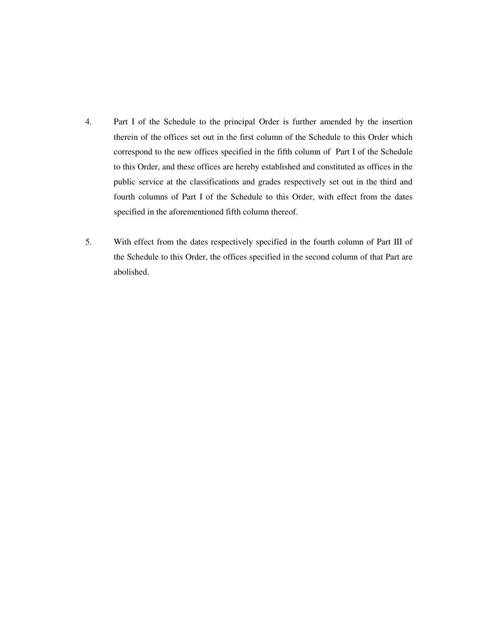- 4. Part I of the Schedule to the principal Order is further amended by the insertion therein of the offices set out in the first column of the Schedule to this Order which correspond to the new offices specified in the fifth column of Part I of the Schedule to this Order, and these offices are hereby established and constituted as offices in the public service at the classifications and grades respectively set out in the third and fourth columns of Part I of the Schedule to this Order, with effect from the dates specified in the aforementioned fifth column thereof.
- 5. With effect from the dates respectively specified in the fourth column of Part III of the Schedule to this Order, the offices specified in the second column of that Part are abolished.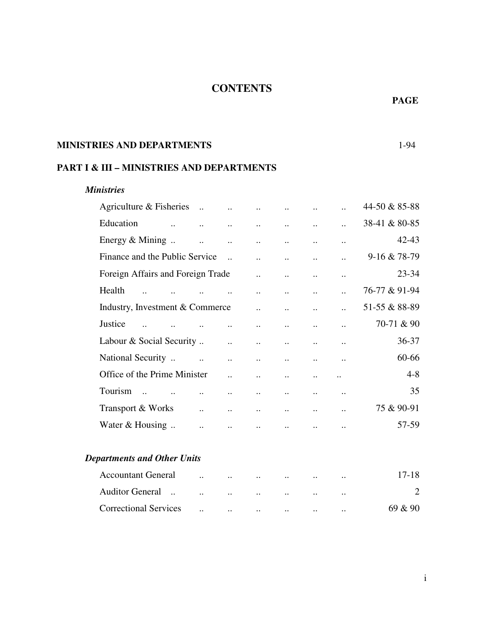#### **CONTENTS**

#### **MINISTRIES AND DEPARTMENTS** 1-94

#### **PART I & III – MINISTRIES AND DEPARTMENTS**

#### *Ministries*

| Agriculture & Fisheries            | $\dddot{\phantom{0}}$ |                      |                       |                      |                      |                      | 44-50 & 85-88  |
|------------------------------------|-----------------------|----------------------|-----------------------|----------------------|----------------------|----------------------|----------------|
| Education                          | $\ddot{\phantom{a}}$  | $\ddot{\phantom{a}}$ | $\ddot{\phantom{a}}$  | $\ddot{\phantom{a}}$ | $\ddot{\phantom{a}}$ | $\ddot{\phantom{a}}$ | 38-41 & 80-85  |
| Energy & Mining                    | $\ddot{\phantom{a}}$  | $\ddot{\phantom{a}}$ | $\ddot{\phantom{a}}$  | $\ddot{\phantom{a}}$ | $\ddot{\phantom{a}}$ | $\ddot{\phantom{a}}$ | 42-43          |
| Finance and the Public Service     |                       | $\ddotsc$            | $\ddot{\phantom{a}}$  | $\ddot{\phantom{a}}$ | $\ddot{\phantom{a}}$ | $\ddot{\phantom{a}}$ | 9-16 & 78-79   |
| Foreign Affairs and Foreign Trade  |                       |                      | $\dddot{\phantom{0}}$ | $\ddot{\phantom{a}}$ | $\ddot{\phantom{a}}$ | $\ddot{\phantom{a}}$ | 23-34          |
| Health                             |                       | $\ddotsc$            | $\ddot{\phantom{a}}$  | $\ddot{\phantom{a}}$ | $\ddotsc$            |                      | 76-77 & 91-94  |
| Industry, Investment & Commerce    |                       |                      | $\ddotsc$             | $\ddot{\phantom{a}}$ | $\ddot{\phantom{a}}$ |                      | 51-55 & 88-89  |
| Justice                            |                       | $\ddot{\phantom{a}}$ | $\ddot{\phantom{a}}$  | $\ddot{\phantom{a}}$ | $\ddot{\phantom{a}}$ | $\ddot{\phantom{a}}$ | 70-71 & 90     |
| Labour & Social Security           |                       | $\ddotsc$            | $\ddot{\phantom{0}}$  | $\ddot{\phantom{0}}$ | $\ddot{\phantom{a}}$ | $\ddot{\phantom{a}}$ | 36-37          |
| National Security                  | $\dddot{\phantom{0}}$ | $\ddot{\phantom{a}}$ | $\ddot{\phantom{a}}$  | $\ddot{\phantom{a}}$ | $\ddot{\phantom{a}}$ | $\ddot{\phantom{a}}$ | 60-66          |
| Office of the Prime Minister       |                       | $\ddot{\phantom{a}}$ | $\ddot{\phantom{a}}$  | $\ddot{\phantom{a}}$ | $\ddotsc$            | $\ddotsc$            | $4 - 8$        |
| Tourism<br>$\dddot{\phantom{1}}$   | $\ddot{\phantom{a}}$  | $\ddot{\phantom{a}}$ | $\ddot{\phantom{a}}$  | $\ddot{\phantom{a}}$ | $\ddotsc$            | $\ddot{\phantom{a}}$ | 35             |
| Transport & Works                  | $\ddot{\phantom{a}}$  | $\ddot{\phantom{a}}$ | $\ddot{\phantom{a}}$  | $\ddot{\phantom{a}}$ | $\ddot{\phantom{a}}$ | $\ddot{\phantom{a}}$ | 75 & 90-91     |
| Water & Housing                    | $\ddot{\phantom{a}}$  | $\ddot{\phantom{a}}$ |                       |                      |                      |                      | 57-59          |
| <b>Departments and Other Units</b> |                       |                      |                       |                      |                      |                      |                |
| <b>Accountant General</b>          |                       | $\ddot{\phantom{a}}$ |                       |                      |                      | $\ldots$             | $17 - 18$      |
| Auditor General                    | $\ddot{\phantom{a}}$  | $\ddot{\phantom{a}}$ |                       |                      |                      | $\ddotsc$            | $\overline{2}$ |
| <b>Correctional Services</b>       | $\cdot$ .             | $\ldots$             | $\ddotsc$             | $\ddotsc$            | $\ddotsc$            | $\cdot$ .            | 69 & 90        |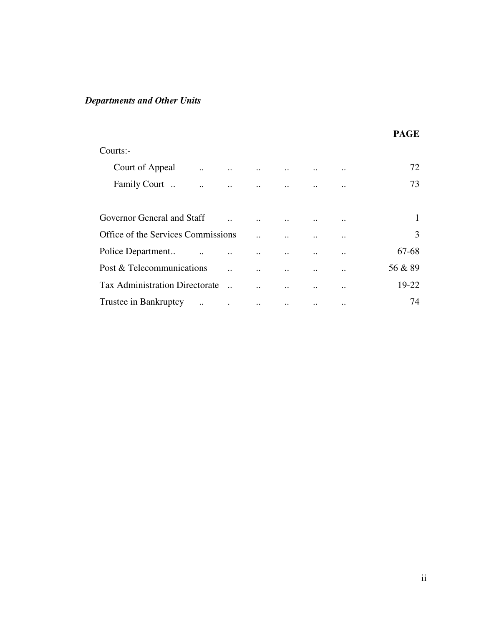### *Departments and Other Units*

|                                               |           |          |           |           |               | <b>PAGE</b> |
|-----------------------------------------------|-----------|----------|-----------|-----------|---------------|-------------|
| Courts:-                                      |           |          |           |           |               |             |
| Court of Appeal<br>$\ddot{\phantom{a}}$       | $\cdots$  | $\ddots$ | $\ddotsc$ | $\ddotsc$ | $\ddotsc$     | 72          |
| Family Court.                                 | $\ddotsc$ |          |           |           | $\ddotsc$     | 73          |
| Governor General and Staff                    |           |          |           |           | $\cdot \cdot$ | 1           |
| Office of the Services Commissions            |           |          |           |           | $\cdot$ .     | 3           |
| Police Department                             |           |          |           |           | $\ddotsc$     | 67-68       |
| Post & Telecommunications                     |           |          |           |           | $\cdot$ .     | 56 & 89     |
| <b>Tax Administration Directorate</b>         |           |          |           |           | $\bullet$ .   | 19-22       |
| Trustee in Bankruptcy<br>$\ddot{\phantom{a}}$ | $\bullet$ | $\ldots$ | $\ldots$  | $\ddotsc$ | $\ddotsc$     | 74          |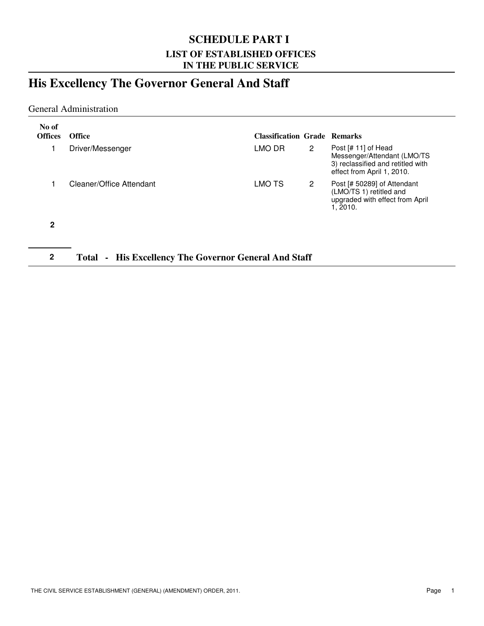#### **SCHEDULE PART I LIST OF ESTABLISHED OFFICES IN THE PUBLIC SERVICE**

### **His Excellency The Governor General And Staff**

#### General Administration

| No of<br><b>Offices</b> | <b>Office</b>            | <b>Classification Grade Remarks</b> |   |                                                                                                                       |
|-------------------------|--------------------------|-------------------------------------|---|-----------------------------------------------------------------------------------------------------------------------|
|                         | Driver/Messenger         | LMO DR                              | 2 | Post [# 11] of Head<br>Messenger/Attendant (LMO/TS<br>3) reclassified and retitled with<br>effect from April 1, 2010. |
|                         | Cleaner/Office Attendant | LMO TS                              | 2 | Post [# 50289] of Attendant<br>(LMO/TS 1) retitled and<br>upgraded with effect from April<br>1, 2010.                 |
| 2                       |                          |                                     |   |                                                                                                                       |

#### **2 Total - His Excellency The Governor General And Staff**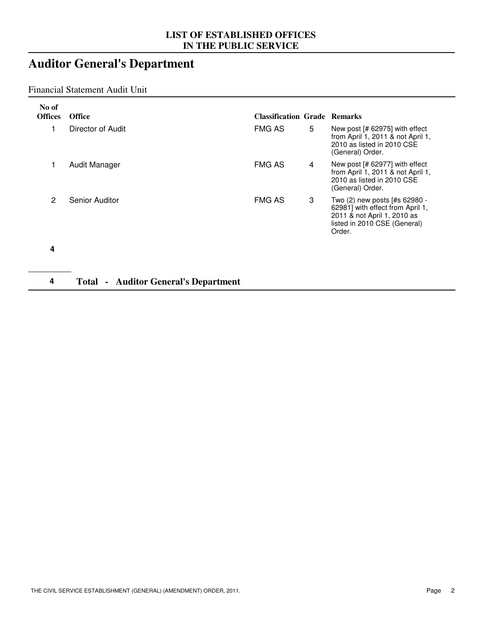## **Auditor General's Department**

#### Financial Statement Audit Unit

| No of<br><b>Offices</b> | <b>Office</b>                                  | <b>Classification Grade Remarks</b> |   |                                                                                                                                            |
|-------------------------|------------------------------------------------|-------------------------------------|---|--------------------------------------------------------------------------------------------------------------------------------------------|
| 1                       | Director of Audit                              | <b>FMG AS</b>                       | 5 | New post [# 62975] with effect<br>from April 1, 2011 & not April 1,<br>2010 as listed in 2010 CSE<br>(General) Order.                      |
|                         | Audit Manager                                  | <b>FMG AS</b>                       | 4 | New post [# 62977] with effect<br>from April 1, 2011 & not April 1,<br>2010 as listed in 2010 CSE<br>(General) Order.                      |
| 2                       | Senior Auditor                                 | <b>FMG AS</b>                       | 3 | Two (2) new posts [#s 62980 -<br>62981] with effect from April 1,<br>2011 & not April 1, 2010 as<br>listed in 2010 CSE (General)<br>Order. |
| 4                       |                                                |                                     |   |                                                                                                                                            |
| 4                       | <b>Auditor General's Department</b><br>Total - |                                     |   |                                                                                                                                            |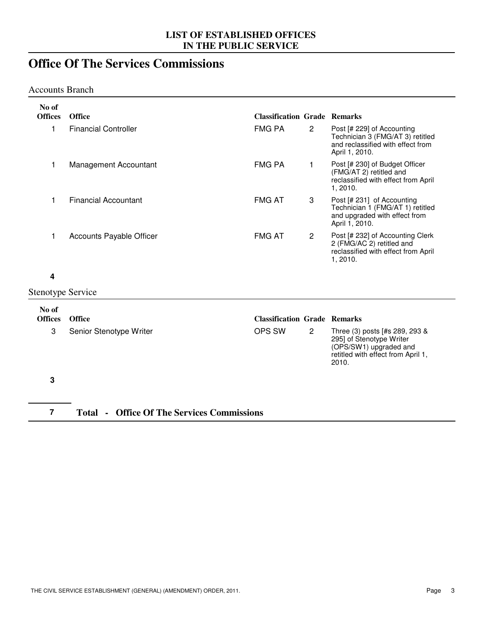### **Office Of The Services Commissions**

#### Accounts Branch

| No of                    |                                                   |                                     |                |                                                                                                                                     |
|--------------------------|---------------------------------------------------|-------------------------------------|----------------|-------------------------------------------------------------------------------------------------------------------------------------|
| <b>Offices</b>           | Office                                            | <b>Classification Grade Remarks</b> |                |                                                                                                                                     |
| 1                        | <b>Financial Controller</b>                       | <b>FMG PA</b>                       | $\overline{2}$ | Post [# 229] of Accounting<br>Technician 3 (FMG/AT 3) retitled<br>and reclassified with effect from<br>April 1, 2010.               |
| 1                        | Management Accountant                             | <b>FMG PA</b>                       | 1              | Post [# 230] of Budget Officer<br>(FMG/AT 2) retitled and<br>reclassified with effect from April<br>1, 2010.                        |
| 1                        | <b>Financial Accountant</b>                       | <b>FMG AT</b>                       | 3              | Post [# 231] of Accounting<br>Technician 1 (FMG/AT 1) retitled<br>and upgraded with effect from<br>April 1, 2010.                   |
| 1                        | Accounts Payable Officer                          | <b>FMG AT</b>                       | $\mathbf{2}$   | Post [# 232] of Accounting Clerk<br>2 (FMG/AC 2) retitled and<br>reclassified with effect from April<br>1, 2010.                    |
| 4                        |                                                   |                                     |                |                                                                                                                                     |
| <b>Stenotype Service</b> |                                                   |                                     |                |                                                                                                                                     |
| No of                    |                                                   |                                     |                |                                                                                                                                     |
| <b>Offices</b>           | Office                                            | <b>Classification Grade Remarks</b> |                |                                                                                                                                     |
| 3                        | Senior Stenotype Writer                           | OPS SW                              | $\overline{2}$ | Three (3) posts [#s 289, 293 &<br>295] of Stenotype Writer<br>(OPS/SW1) upgraded and<br>retitled with effect from April 1,<br>2010. |
| 3                        |                                                   |                                     |                |                                                                                                                                     |
| $\overline{7}$           | <b>Total - Office Of The Services Commissions</b> |                                     |                |                                                                                                                                     |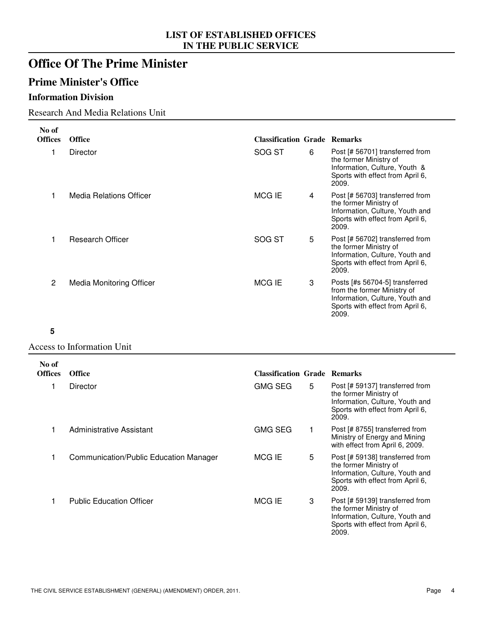### **Office Of The Prime Minister**

#### **Prime Minister's Office**

#### **Information Division**

#### Research And Media Relations Unit

| No of          |                                 |                                     |   |                                                                                                                                               |
|----------------|---------------------------------|-------------------------------------|---|-----------------------------------------------------------------------------------------------------------------------------------------------|
| <b>Offices</b> | <b>Office</b>                   | <b>Classification Grade Remarks</b> |   |                                                                                                                                               |
|                | <b>Director</b>                 | SOG ST                              | 6 | Post [# 56701] transferred from<br>the former Ministry of<br>Information, Culture, Youth &<br>Sports with effect from April 6,<br>2009.       |
|                | Media Relations Officer         | MCG IE                              | 4 | Post [# 56703] transferred from<br>the former Ministry of<br>Information, Culture, Youth and<br>Sports with effect from April 6,<br>2009.     |
|                | Research Officer                | SOG ST                              | 5 | Post [# 56702] transferred from<br>the former Ministry of<br>Information, Culture, Youth and<br>Sports with effect from April 6,<br>2009.     |
| $\overline{2}$ | <b>Media Monitoring Officer</b> | MCG IE                              | 3 | Posts [#s 56704-5] transferred<br>from the former Ministry of<br>Information, Culture, Youth and<br>Sports with effect from April 6,<br>2009. |

#### **5**

Access to Information Unit

| No of<br><b>Offices</b> | <b>Office</b>                          | <b>Classification Grade Remarks</b> |   |                                                                                                                                           |
|-------------------------|----------------------------------------|-------------------------------------|---|-------------------------------------------------------------------------------------------------------------------------------------------|
|                         | Director                               | <b>GMG SEG</b>                      | 5 | Post [# 59137] transferred from<br>the former Ministry of<br>Information, Culture, Youth and<br>Sports with effect from April 6,<br>2009. |
|                         | Administrative Assistant               | <b>GMG SEG</b>                      |   | Post [# 8755] transferred from<br>Ministry of Energy and Mining<br>with effect from April 6, 2009.                                        |
|                         | Communication/Public Education Manager | MCG IE                              | 5 | Post [# 59138] transferred from<br>the former Ministry of<br>Information, Culture, Youth and<br>Sports with effect from April 6,<br>2009. |
|                         | <b>Public Education Officer</b>        | MCG IE                              | 3 | Post [# 59139] transferred from<br>the former Ministry of<br>Information, Culture, Youth and<br>Sports with effect from April 6,<br>2009. |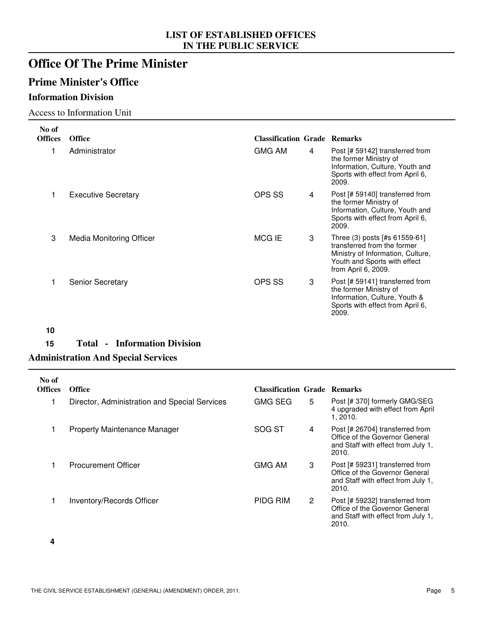### **Office Of The Prime Minister**

#### **Prime Minister's Office**

#### **Information Division**

#### Access to Information Unit

| No of<br><b>Offices</b> | <b>Office</b>                   | <b>Classification Grade Remarks</b> |                                                                                                                                                          |
|-------------------------|---------------------------------|-------------------------------------|----------------------------------------------------------------------------------------------------------------------------------------------------------|
|                         | Administrator                   | <b>GMG AM</b><br>4                  | Post [# 59142] transferred from<br>the former Ministry of<br>Information, Culture, Youth and<br>Sports with effect from April 6,<br>2009.                |
|                         | <b>Executive Secretary</b>      | OPS SS<br>4                         | Post [# 59140] transferred from<br>the former Ministry of<br>Information, Culture, Youth and<br>Sports with effect from April 6,<br>2009.                |
| 3                       | <b>Media Monitoring Officer</b> | MCG IE<br>3                         | Three (3) posts [#s 61559-61]<br>transferred from the former<br>Ministry of Information, Culture,<br>Youth and Sports with effect<br>from April 6, 2009. |
|                         | <b>Senior Secretary</b>         | OPS SS<br>3                         | Post [# 59141] transferred from<br>the former Ministry of<br>Information, Culture, Youth &<br>Sports with effect from April 6,<br>2009.                  |

**10**

#### **15 Total - Information Division**

#### **Administration And Special Services**

| No of<br><b>Offices</b> | <b>Office</b>                                 | <b>Classification Grade Remarks</b> |                      |                                                                                                                  |
|-------------------------|-----------------------------------------------|-------------------------------------|----------------------|------------------------------------------------------------------------------------------------------------------|
|                         | Director, Administration and Special Services | <b>GMG SEG</b>                      | 5                    | Post [# 370] formerly GMG/SEG<br>4 upgraded with effect from April<br>1, 2010.                                   |
|                         | <b>Property Maintenance Manager</b>           | SOG ST                              | 4                    | Post [# 26704] transferred from<br>Office of the Governor General<br>and Staff with effect from July 1,<br>2010. |
|                         | <b>Procurement Officer</b>                    | <b>GMG AM</b>                       | 3                    | Post [# 59231] transferred from<br>Office of the Governor General<br>and Staff with effect from July 1,<br>2010. |
|                         | Inventory/Records Officer                     | PIDG RIM                            | $\mathbf{2}^{\circ}$ | Post [# 59232] transferred from<br>Office of the Governor General<br>and Staff with effect from July 1,<br>2010. |

**4**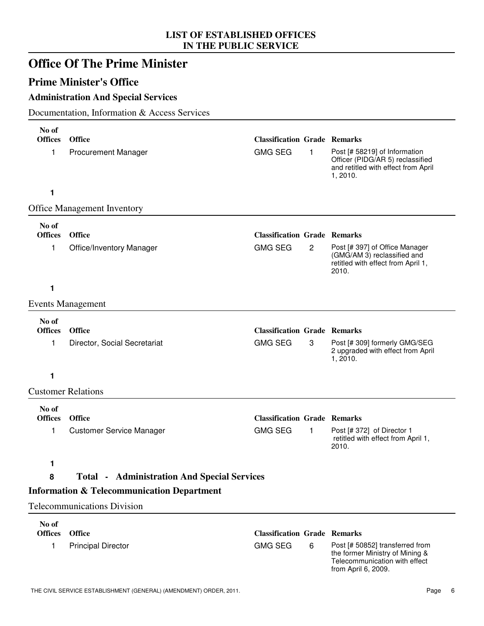|                         | <b>Office Of The Prime Minister</b>                   |                                     |              |                                                                                                                            |
|-------------------------|-------------------------------------------------------|-------------------------------------|--------------|----------------------------------------------------------------------------------------------------------------------------|
|                         | <b>Prime Minister's Office</b>                        |                                     |              |                                                                                                                            |
|                         | <b>Administration And Special Services</b>            |                                     |              |                                                                                                                            |
|                         | Documentation, Information & Access Services          |                                     |              |                                                                                                                            |
| No of<br><b>Offices</b> | Office                                                | <b>Classification Grade Remarks</b> |              |                                                                                                                            |
| 1                       | <b>Procurement Manager</b>                            | <b>GMG SEG</b>                      | $\mathbf{1}$ | Post [# 58219] of Information<br>Officer (PIDG/AR 5) reclassified<br>and retitled with effect from April<br>1,2010.        |
| 1                       |                                                       |                                     |              |                                                                                                                            |
|                         | <b>Office Management Inventory</b>                    |                                     |              |                                                                                                                            |
| No of                   |                                                       |                                     |              |                                                                                                                            |
| <b>Offices</b>          | Office                                                | <b>Classification Grade Remarks</b> |              |                                                                                                                            |
| 1                       | <b>Office/Inventory Manager</b>                       | <b>GMG SEG</b>                      | $\mathbf{2}$ | Post [# 397] of Office Manager<br>(GMG/AM 3) reclassified and<br>retitled with effect from April 1,<br>2010.               |
| 1                       |                                                       |                                     |              |                                                                                                                            |
|                         | <b>Events Management</b>                              |                                     |              |                                                                                                                            |
| No of                   |                                                       |                                     |              |                                                                                                                            |
| <b>Offices</b>          | Office                                                | <b>Classification Grade Remarks</b> |              |                                                                                                                            |
| 1                       | Director, Social Secretariat                          | <b>GMG SEG</b>                      | 3            | Post [# 309] formerly GMG/SEG<br>2 upgraded with effect from April<br>1, 2010.                                             |
| 1                       |                                                       |                                     |              |                                                                                                                            |
|                         | <b>Customer Relations</b>                             |                                     |              |                                                                                                                            |
| No of                   |                                                       |                                     |              |                                                                                                                            |
| <b>Offices</b>          | Office                                                | <b>Classification Grade Remarks</b> |              |                                                                                                                            |
| 1                       | <b>Customer Service Manager</b>                       | <b>GMG SEG</b>                      | 1            | Post [# 372] of Director 1<br>retitled with effect from April 1,<br>2010.                                                  |
| 1                       |                                                       |                                     |              |                                                                                                                            |
| 8                       | <b>Total • Administration And Special Services</b>    |                                     |              |                                                                                                                            |
|                         | <b>Information &amp; Telecommunication Department</b> |                                     |              |                                                                                                                            |
|                         | <b>Telecommunications Division</b>                    |                                     |              |                                                                                                                            |
| No of                   |                                                       |                                     |              |                                                                                                                            |
| <b>Offices</b>          | <b>Office</b>                                         | <b>Classification Grade Remarks</b> |              |                                                                                                                            |
| 1                       | <b>Principal Director</b>                             | <b>GMG SEG</b>                      | 6            | Post [# 50852] transferred from<br>the former Ministry of Mining &<br>Telecommunication with effect<br>from April 6, 2009. |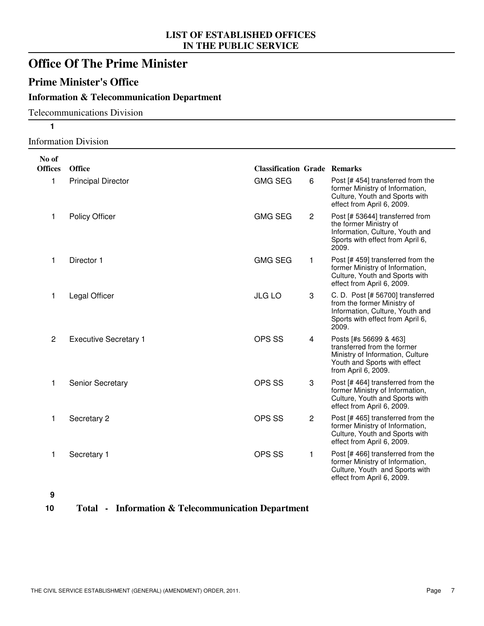### **Office Of The Prime Minister**

#### **Prime Minister's Office**

#### **Information & Telecommunication Department**

#### Telecommunications Division

**1**

#### Information Division

| No of          |                              |                                     |                |                                                                                                                                                  |
|----------------|------------------------------|-------------------------------------|----------------|--------------------------------------------------------------------------------------------------------------------------------------------------|
| <b>Offices</b> | Office                       | <b>Classification Grade Remarks</b> |                |                                                                                                                                                  |
| 1              | <b>Principal Director</b>    | <b>GMG SEG</b>                      | 6              | Post [#454] transferred from the<br>former Ministry of Information,<br>Culture, Youth and Sports with<br>effect from April 6, 2009.              |
| 1              | <b>Policy Officer</b>        | <b>GMG SEG</b>                      | $\overline{2}$ | Post [# 53644] transferred from<br>the former Ministry of<br>Information, Culture, Youth and<br>Sports with effect from April 6,<br>2009.        |
| 1              | Director 1                   | <b>GMG SEG</b>                      | 1              | Post [# 459] transferred from the<br>former Ministry of Information,<br>Culture, Youth and Sports with<br>effect from April 6, 2009.             |
| 1              | Legal Officer                | <b>JLG LO</b>                       | 3              | C. D. Post [# 56700] transferred<br>from the former Ministry of<br>Information, Culture, Youth and<br>Sports with effect from April 6,<br>2009.  |
| $\overline{2}$ | <b>Executive Secretary 1</b> | <b>OPS SS</b>                       | 4              | Posts [#s 56699 & 463]<br>transferred from the former<br>Ministry of Information, Culture<br>Youth and Sports with effect<br>from April 6, 2009. |
| 1              | <b>Senior Secretary</b>      | <b>OPS SS</b>                       | 3              | Post [#464] transferred from the<br>former Ministry of Information,<br>Culture, Youth and Sports with<br>effect from April 6, 2009.              |
| 1              | Secretary 2                  | OPS SS                              | $\overline{c}$ | Post [#465] transferred from the<br>former Ministry of Information,<br>Culture, Youth and Sports with<br>effect from April 6, 2009.              |
| 1              | Secretary 1                  | OPS SS                              | 1              | Post [# 466] transferred from the<br>former Ministry of Information,<br>Culture, Youth and Sports with<br>effect from April 6, 2009.             |

**9**

#### **10 Total - Information & Telecommunication Department**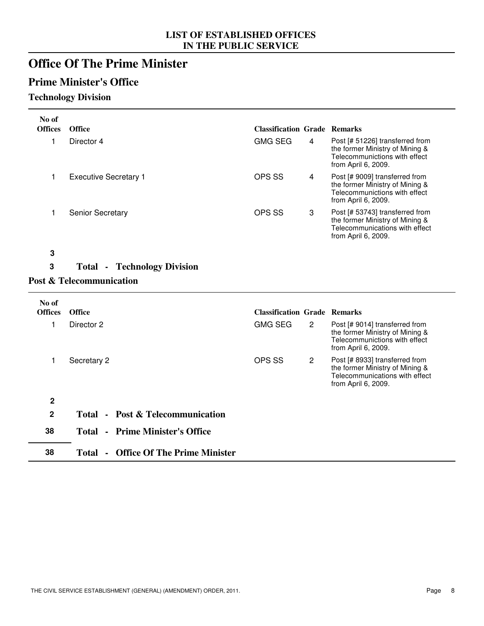### **Office Of The Prime Minister**

#### **Prime Minister's Office**

#### **Technology Division**

| No of            |                                             |                                     |                |                                                                                                                             |
|------------------|---------------------------------------------|-------------------------------------|----------------|-----------------------------------------------------------------------------------------------------------------------------|
| <b>Offices</b>   | Office                                      | <b>Classification Grade Remarks</b> |                |                                                                                                                             |
| 1                | Director 4                                  | <b>GMG SEG</b>                      | $\overline{4}$ | Post [# 51226] transferred from<br>the former Ministry of Mining &<br>Telecommunictions with effect<br>from April 6, 2009.  |
| 1                | <b>Executive Secretary 1</b>                | <b>OPS SS</b>                       | 4              | Post [# 9009] transferred from<br>the former Ministry of Mining &<br>Telecommunictions with effect<br>from April 6, 2009.   |
| 1                | <b>Senior Secretary</b>                     | <b>OPS SS</b>                       | 3              | Post [# 53743] transferred from<br>the former Ministry of Mining &<br>Telecommunications with effect<br>from April 6, 2009. |
| $\mathbf 3$      |                                             |                                     |                |                                                                                                                             |
| 3                | <b>Total - Technology Division</b>          |                                     |                |                                                                                                                             |
|                  | <b>Post &amp; Telecommunication</b>         |                                     |                |                                                                                                                             |
|                  |                                             |                                     |                |                                                                                                                             |
| No of            |                                             |                                     |                |                                                                                                                             |
| <b>Offices</b>   | Office                                      | <b>Classification Grade Remarks</b> |                |                                                                                                                             |
| 1                | Director 2                                  | <b>GMG SEG</b>                      | $\mathbf{2}$   | Post [# 9014] transferred from<br>the former Ministry of Mining &<br>Telecommunictions with effect<br>from April 6, 2009.   |
| 1                | Secretary 2                                 | <b>OPS SS</b>                       | $\overline{c}$ | Post [# 8933] transferred from<br>the former Ministry of Mining &<br>Telecommunications with effect<br>from April 6, 2009.  |
| $\boldsymbol{2}$ |                                             |                                     |                |                                                                                                                             |
| $\mathbf 2$      | Total - Post & Telecommunication            |                                     |                |                                                                                                                             |
|                  |                                             |                                     |                |                                                                                                                             |
| 38               | <b>Total - Prime Minister's Office</b>      |                                     |                |                                                                                                                             |
| 38               | <b>Total - Office Of The Prime Minister</b> |                                     |                |                                                                                                                             |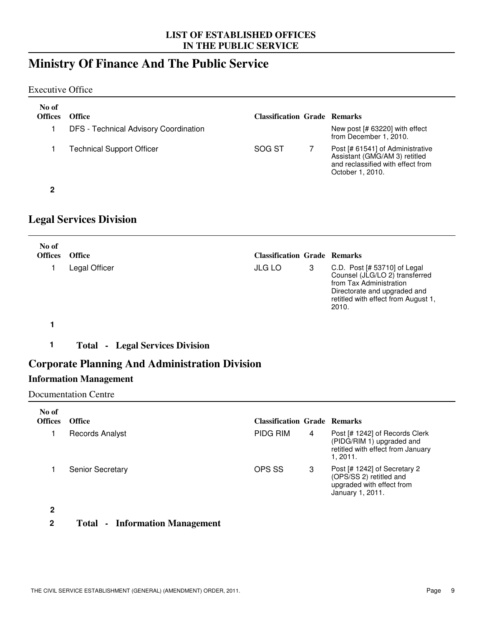### **Ministry Of Finance And The Public Service**

Executive Office

| No of<br><b>Offices</b> | <b>Office</b>                                | <b>Classification Grade Remarks</b> |                                                                                                                            |
|-------------------------|----------------------------------------------|-------------------------------------|----------------------------------------------------------------------------------------------------------------------------|
|                         | <b>DFS</b> - Technical Advisory Coordination |                                     | New post [# 63220] with effect<br>from December 1, 2010.                                                                   |
|                         | <b>Technical Support Officer</b>             | SOG ST                              | Post [# 61541] of Administrative<br>Assistant (GMG/AM 3) retitled<br>and reclassified with effect from<br>October 1, 2010. |

### **Legal Services Division**

| No of<br><b>Offices</b> | <b>Office</b> | <b>Classification Grade Remarks</b> |                                                                                                                                                                             |
|-------------------------|---------------|-------------------------------------|-----------------------------------------------------------------------------------------------------------------------------------------------------------------------------|
|                         | Legal Officer | <b>JLG LO</b>                       | C.D. Post $[# 53710]$ of Legal<br>Counsel (JLG/LO 2) transferred<br>from Tax Administration<br>Directorate and upgraded and<br>retitled with effect from August 1,<br>2010. |

**1**

**1 Total - Legal Services Division**

#### **Corporate Planning And Administration Division**

#### **Information Management**

Documentation Centre

| No of<br><b>Offices</b> | <b>Office</b>           | <b>Classification Grade Remarks</b> |   |                                                                                                              |
|-------------------------|-------------------------|-------------------------------------|---|--------------------------------------------------------------------------------------------------------------|
|                         | <b>Records Analyst</b>  | <b>PIDG RIM</b>                     | 4 | Post [# 1242] of Records Clerk<br>(PIDG/RIM 1) upgraded and<br>retitled with effect from January<br>1, 2011. |
|                         | <b>Senior Secretary</b> | OPS SS                              | 3 | Post [# 1242] of Secretary 2<br>(OPS/SS 2) retitled and<br>upgraded with effect from<br>January 1, 2011.     |

**2**

**2 Total - Information Management**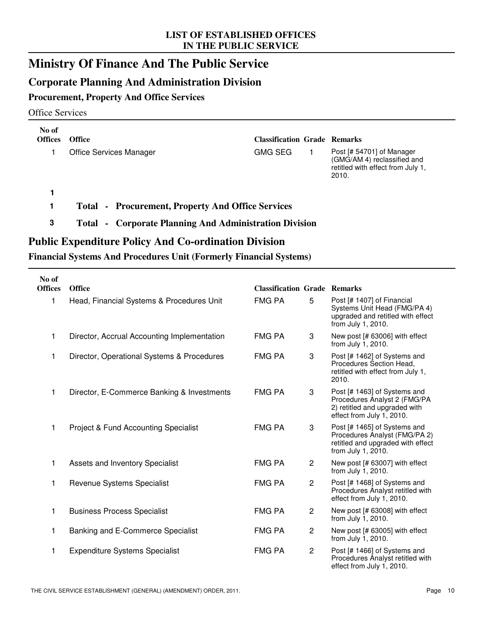### **Ministry Of Finance And The Public Service**

#### **Corporate Planning And Administration Division**

#### **Procurement, Property And Office Services**

#### Office Services

| No of<br><b>Offices</b> | <b>Office</b>                                                    | <b>Classification Grade Remarks</b> |                                                                                                        |
|-------------------------|------------------------------------------------------------------|-------------------------------------|--------------------------------------------------------------------------------------------------------|
|                         | <b>Office Services Manager</b>                                   | <b>GMG SEG</b>                      | Post [# 54701] of Manager<br>(GMG/AM 4) reclassified and<br>retitled with effect from July 1,<br>2010. |
|                         |                                                                  |                                     |                                                                                                        |
|                         | - Procurement, Property And Office Services<br>Total             |                                     |                                                                                                        |
| 3                       | - Corporate Planning And Administration Division<br><b>Total</b> |                                     |                                                                                                        |

#### **Public Expenditure Policy And Co-ordination Division**

#### **Financial Systems And Procedures Unit (Formerly Financial Systems)**

| No of<br><b>Offices</b> | Office                                          | <b>Classification Grade Remarks</b> |                |                                                                                                                            |
|-------------------------|-------------------------------------------------|-------------------------------------|----------------|----------------------------------------------------------------------------------------------------------------------------|
| 1                       | Head, Financial Systems & Procedures Unit       | <b>FMG PA</b>                       | 5              | Post [# 1407] of Financial<br>Systems Unit Head (FMG/PA 4)<br>upgraded and retitled with effect<br>from July 1, 2010.      |
| 1                       | Director, Accrual Accounting Implementation     | FMG PA                              | 3              | New post [# 63006] with effect<br>from July 1, 2010.                                                                       |
| 1                       | Director, Operational Systems & Procedures      | <b>FMG PA</b>                       | 3              | Post [# 1462] of Systems and<br>Procedures Section Head,<br>retitled with effect from July 1,<br>2010.                     |
| 1                       | Director, E-Commerce Banking & Investments      | <b>FMG PA</b>                       | 3              | Post [# 1463] of Systems and<br>Procedures Analyst 2 (FMG/PA<br>2) retitled and upgraded with<br>effect from July 1, 2010. |
| 1                       | <b>Project &amp; Fund Accounting Specialist</b> | <b>FMG PA</b>                       | 3              | Post [# 1465] of Systems and<br>Procedures Analyst (FMG/PA 2)<br>retitled and upgraded with effect<br>from July 1, 2010.   |
| 1                       | Assets and Inventory Specialist                 | <b>FMG PA</b>                       | $\overline{c}$ | New post [# 63007] with effect<br>from July 1, 2010.                                                                       |
| 1                       | Revenue Systems Specialist                      | <b>FMG PA</b>                       | $\overline{2}$ | Post [# 1468] of Systems and<br>Procedures Analyst retitled with<br>effect from July 1, 2010.                              |
| 1                       | <b>Business Process Specialist</b>              | <b>FMG PA</b>                       | $\overline{c}$ | New post [# 63008] with effect<br>from July 1, 2010.                                                                       |
| 1                       | Banking and E-Commerce Specialist               | <b>FMG PA</b>                       | $\overline{c}$ | New post [# 63005] with effect<br>from July 1, 2010.                                                                       |
| 1                       | <b>Expenditure Systems Specialist</b>           | <b>FMG PA</b>                       | $\overline{c}$ | Post [# 1466] of Systems and<br>Procedures Analyst retitled with<br>effect from July 1, 2010.                              |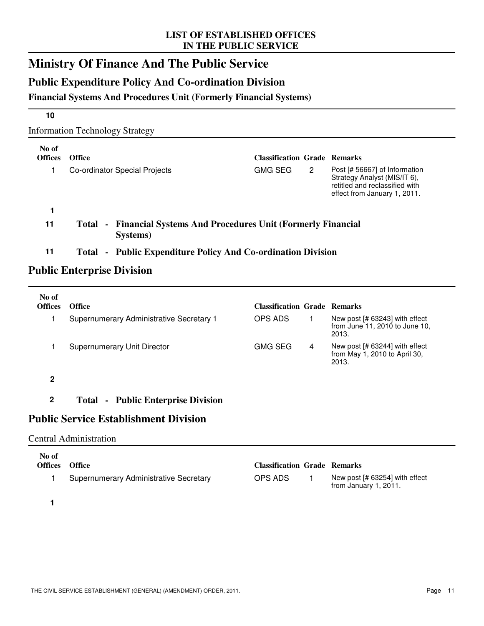### **Ministry Of Finance And The Public Service**

### **Public Expenditure Policy And Co-ordination Division**

#### **Financial Systems And Procedures Unit (Formerly Financial Systems)**

| <b>Information Technology Strategy</b> |  |  |
|----------------------------------------|--|--|

| No of<br><b>Offices</b> | <b>Office</b>                                                                    | <b>Classification Grade Remarks</b> |   |                                                                                                                                 |
|-------------------------|----------------------------------------------------------------------------------|-------------------------------------|---|---------------------------------------------------------------------------------------------------------------------------------|
| 1                       | Co-ordinator Special Projects                                                    | <b>GMG SEG</b>                      | 2 | Post [# 56667] of Information<br>Strategy Analyst (MIS/IT 6),<br>retitled and reclassified with<br>effect from January 1, 2011. |
|                         |                                                                                  |                                     |   |                                                                                                                                 |
| 11                      | - Financial Systems And Procedures Unit (Formerly Financial<br>Total<br>Systems) |                                     |   |                                                                                                                                 |
| 11                      | <b>Public Expenditure Policy And Co-ordination Division</b><br>Total<br>$\sim$   |                                     |   |                                                                                                                                 |

#### **Public Enterprise Division**

| No of<br><b>Offices</b> | <b>Office</b>                             | <b>Classification Grade Remarks</b> |   |                                                                            |
|-------------------------|-------------------------------------------|-------------------------------------|---|----------------------------------------------------------------------------|
|                         | Supernumerary Administrative Secretary 1  | OPS ADS                             |   | New post [# 63243] with effect<br>from June 11, 2010 to June 10,<br>2013.  |
|                         | Supernumerary Unit Director               | <b>GMG SEG</b>                      | 4 | New post $[# 63244]$ with effect<br>from May 1, 2010 to April 30,<br>2013. |
| 2                       |                                           |                                     |   |                                                                            |
| 2                       | <b>Total - Public Enterprise Division</b> |                                     |   |                                                                            |

### **Public Service Establishment Division**

#### Central Administration

| No of<br><b>Offices</b> | <b>Office</b>                                 | <b>Classification Grade Remarks</b> |                                                           |
|-------------------------|-----------------------------------------------|-------------------------------------|-----------------------------------------------------------|
|                         | <b>Supernumerary Administrative Secretary</b> | OPS ADS                             | New post $[# 63254]$ with effect<br>from January 1, 2011. |

**1**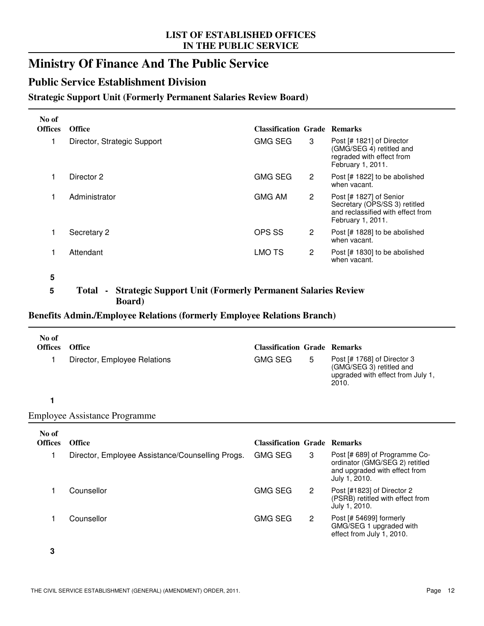### **Ministry Of Finance And The Public Service**

#### **Public Service Establishment Division**

#### **Strategic Support Unit (Formerly Permanent Salaries Review Board)**

| No of<br><b>Offices</b> | <b>Office</b>               | <b>Classification Grade Remarks</b> |                |                                                                                                                    |
|-------------------------|-----------------------------|-------------------------------------|----------------|--------------------------------------------------------------------------------------------------------------------|
|                         | Director, Strategic Support | <b>GMG SEG</b>                      | 3              | Post [# 1821] of Director<br>(GMG/SEG 4) retitled and<br>regraded with effect from<br>February 1, 2011.            |
|                         | Director 2                  | <b>GMG SEG</b>                      | 2              | Post [# 1822] to be abolished<br>when vacant.                                                                      |
|                         | Administrator               | <b>GMG AM</b>                       | $\overline{2}$ | Post [# 1827] of Senior<br>Secretary (OPS/SS 3) retitled<br>and reclassified with effect from<br>February 1, 2011. |
|                         | Secretary 2                 | OPS SS                              | 2              | Post [# 1828] to be abolished<br>when vacant.                                                                      |
|                         | Attendant                   | LMO TS                              | 2              | Post [# 1830] to be abolished<br>when vacant.                                                                      |

**<sup>5</sup>**

#### **5 Total - Strategic Support Unit (Formerly Permanent Salaries Review Board)**

#### **Benefits Admin./Employee Relations (formerly Employee Relations Branch)**

| No of<br><b>Offices</b> | <b>Office</b><br>Director, Employee Relations    | <b>Classification Grade Remarks</b><br><b>GMG SEG</b> | 5                    | Post $[# 1768]$ of Director 3<br>(GMG/SEG 3) retitled and<br>upgraded with effect from July 1,<br>2010.           |
|-------------------------|--------------------------------------------------|-------------------------------------------------------|----------------------|-------------------------------------------------------------------------------------------------------------------|
|                         |                                                  |                                                       |                      |                                                                                                                   |
|                         | <b>Employee Assistance Programme</b>             |                                                       |                      |                                                                                                                   |
| No of<br><b>Offices</b> | <b>Office</b>                                    | <b>Classification Grade Remarks</b>                   |                      |                                                                                                                   |
|                         |                                                  |                                                       |                      |                                                                                                                   |
|                         | Director, Employee Assistance/Counselling Progs. | <b>GMG SEG</b>                                        | 3                    | Post [# 689] of Programme Co-<br>ordinator (GMG/SEG 2) retitled<br>and upgraded with effect from<br>July 1, 2010. |
|                         | Counsellor                                       | <b>GMG SEG</b>                                        | $\mathbf{2}^{\circ}$ | Post [#1823] of Director 2<br>(PSRB) retitled with effect from<br>July 1, 2010.                                   |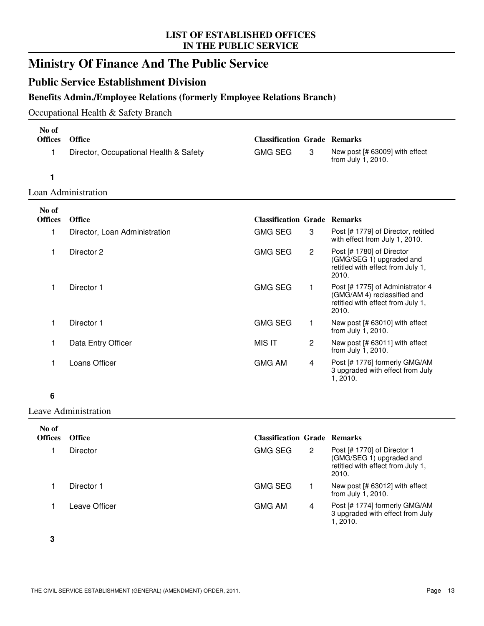### **Ministry Of Finance And The Public Service**

#### **Public Service Establishment Division**

#### **Benefits Admin./Employee Relations (formerly Employee Relations Branch)**

#### Occupational Health & Safety Branch

| No of<br><b>Offices</b> | Office                                 | <b>Classification Grade Remarks</b> |                |                                                                                                               |
|-------------------------|----------------------------------------|-------------------------------------|----------------|---------------------------------------------------------------------------------------------------------------|
| 1                       | Director, Occupational Health & Safety | <b>GMG SEG</b>                      | 3              | New post [# 63009] with effect<br>from July 1, 2010.                                                          |
| 1                       |                                        |                                     |                |                                                                                                               |
|                         | Loan Administration                    |                                     |                |                                                                                                               |
| No of                   |                                        |                                     |                |                                                                                                               |
| <b>Offices</b>          | <b>Office</b>                          | <b>Classification Grade Remarks</b> |                |                                                                                                               |
| 1                       | Director, Loan Administration          | <b>GMG SEG</b>                      | 3              | Post [# 1779] of Director, retitled<br>with effect from July 1, 2010.                                         |
| 1                       | Director 2                             | <b>GMG SEG</b>                      | $\mathbf{2}$   | Post [# 1780] of Director<br>(GMG/SEG 1) upgraded and<br>retitled with effect from July 1,<br>2010.           |
| 1                       | Director 1                             | <b>GMG SEG</b>                      | 1              | Post [# 1775] of Administrator 4<br>(GMG/AM 4) reclassified and<br>retitled with effect from July 1,<br>2010. |
| 1                       | Director 1                             | <b>GMG SEG</b>                      | 1              | New post [# 63010] with effect<br>from July 1, 2010.                                                          |
|                         | Data Entry Officer                     | <b>MIS IT</b>                       | $\overline{c}$ | New post [# 63011] with effect<br>from July 1, 2010.                                                          |
| 1                       | Loans Officer                          | <b>GMG AM</b>                       | 4              | Post [# 1776] formerly GMG/AM<br>3 upgraded with effect from July<br>1, 2010.                                 |

#### **6**

#### Leave Administration

| No of<br><b>Offices</b> | <b>Office</b> | <b>Classification Grade Remarks</b> |                       |                                                                                                       |
|-------------------------|---------------|-------------------------------------|-----------------------|-------------------------------------------------------------------------------------------------------|
|                         | Director      | <b>GMG SEG</b>                      | $\mathbf{2}^{\prime}$ | Post [# 1770] of Director 1<br>(GMG/SEG 1) upgraded and<br>retitled with effect from July 1,<br>2010. |
|                         | Director 1    | <b>GMG SEG</b>                      |                       | New post [# 63012] with effect<br>from July 1, 2010.                                                  |
|                         | Leave Officer | <b>GMG AM</b>                       | 4                     | Post [# 1774] formerly GMG/AM<br>3 upgraded with effect from July<br>1.2010.                          |

**3**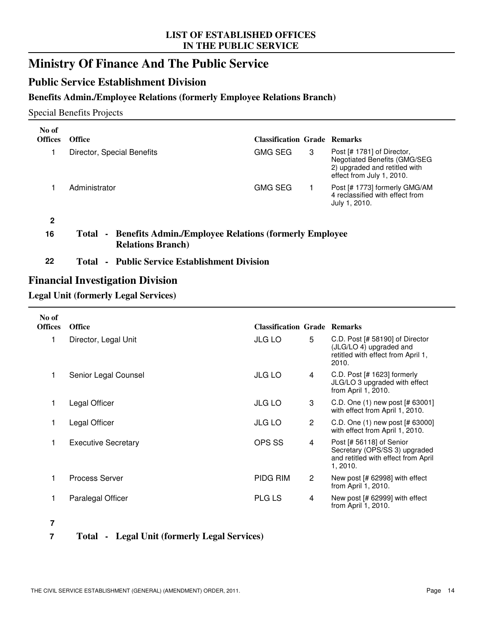### **Ministry Of Finance And The Public Service**

#### **Public Service Establishment Division**

#### **Benefits Admin./Employee Relations (formerly Employee Relations Branch)**

#### Special Benefits Projects

| No of<br><b>Offices</b> | <b>Office</b>              | <b>Classification Grade Remarks</b> |   |                                                                                                                          |
|-------------------------|----------------------------|-------------------------------------|---|--------------------------------------------------------------------------------------------------------------------------|
|                         | Director, Special Benefits | <b>GMG SEG</b>                      | 3 | Post [# 1781] of Director,<br>Negotiated Benefits (GMG/SEG<br>2) upgraded and retitled with<br>effect from July 1, 2010. |
|                         | Administrator              | <b>GMG SEG</b>                      |   | Post [# 1773] formerly GMG/AM<br>4 reclassified with effect from<br>July 1, 2010.                                        |
|                         |                            |                                     |   |                                                                                                                          |

#### **16 Total - Benefits Admin./Employee Relations (formerly Employee Relations Branch)**

#### **22 Total - Public Service Establishment Division**

#### **Financial Investigation Division**

#### **Legal Unit (formerly Legal Services)**

| No of<br><b>Offices</b> | <b>Office</b>              | <b>Classification Grade Remarks</b> |   |                                                                                                              |
|-------------------------|----------------------------|-------------------------------------|---|--------------------------------------------------------------------------------------------------------------|
| 1                       | Director, Legal Unit       | <b>JLG LO</b>                       | 5 | C.D. Post [# 58190] of Director<br>(JLG/LO 4) upgraded and<br>retitled with effect from April 1,<br>2010.    |
| 1                       | Senior Legal Counsel       | <b>JLG LO</b>                       | 4 | C.D. Post $[# 1623]$ formerly<br>JLG/LO 3 upgraded with effect<br>from April 1, 2010.                        |
| 1                       | Legal Officer              | <b>JLG LO</b>                       | 3 | C.D. One (1) new post [# 63001]<br>with effect from April 1, 2010.                                           |
| 1                       | Legal Officer              | JLG LO                              | 2 | C.D. One (1) new post [# 63000]<br>with effect from April 1, 2010.                                           |
| 1                       | <b>Executive Secretary</b> | OPS SS                              | 4 | Post [# 56118] of Senior<br>Secretary (OPS/SS 3) upgraded<br>and retitled with effect from April<br>1, 2010. |
| 1                       | <b>Process Server</b>      | PIDG RIM                            | 2 | New post [# 62998] with effect<br>from April 1, 2010.                                                        |
|                         | Paralegal Officer          | <b>PLG LS</b>                       | 4 | New post [# 62999] with effect<br>from April 1, 2010.                                                        |

**7**

#### **7 Total - Legal Unit (formerly Legal Services)**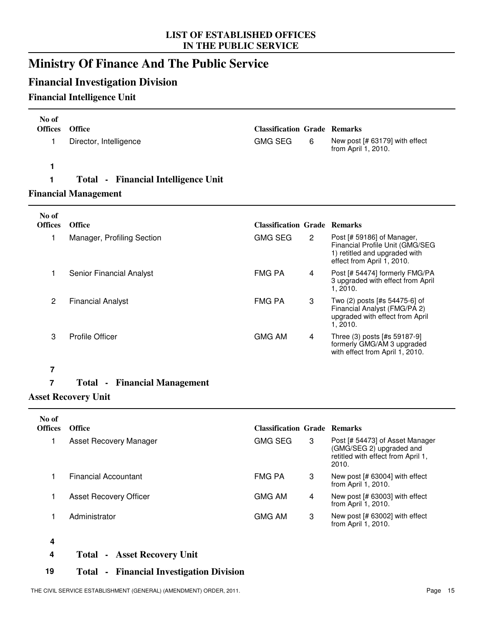### **Ministry Of Finance And The Public Service**

### **Financial Investigation Division**

#### **Financial Intelligence Unit**

| No of<br><b>Offices</b><br>1 | Office<br>Director, Intelligence    | <b>Classification Grade Remarks</b><br><b>GMG SEG</b> | 6              | New post [# 63179] with effect<br>from April 1, 2010.                                                                        |
|------------------------------|-------------------------------------|-------------------------------------------------------|----------------|------------------------------------------------------------------------------------------------------------------------------|
| 1                            |                                     |                                                       |                |                                                                                                                              |
| 1                            | Total - Financial Intelligence Unit |                                                       |                |                                                                                                                              |
|                              | <b>Financial Management</b>         |                                                       |                |                                                                                                                              |
| No of                        |                                     |                                                       |                |                                                                                                                              |
| <b>Offices</b>               | <b>Office</b>                       | <b>Classification Grade Remarks</b>                   |                |                                                                                                                              |
| 1                            | Manager, Profiling Section          | <b>GMG SEG</b>                                        | $\overline{2}$ | Post [# 59186] of Manager,<br>Financial Profile Unit (GMG/SEG<br>1) retitled and upgraded with<br>effect from April 1, 2010. |
| 1                            | <b>Senior Financial Analyst</b>     | <b>FMG PA</b>                                         | 4              | Post [# 54474] formerly FMG/PA<br>3 upgraded with effect from April<br>1, 2010.                                              |
| $\overline{c}$               | <b>Financial Analyst</b>            | <b>FMG PA</b>                                         | 3              | Two (2) posts [#s 54475-6] of<br>Financial Analyst (FMG/PA 2)<br>upgraded with effect from April<br>1, 2010.                 |
| 3                            | <b>Profile Officer</b>              | <b>GMG AM</b>                                         | $\overline{4}$ | Three (3) posts [#s 59187-9]<br>formerly GMG/AM 3 upgraded<br>with effect from April 1, 2010.                                |
| 7                            |                                     |                                                       |                |                                                                                                                              |
| $\overline{7}$               | <b>Total - Financial Management</b> |                                                       |                |                                                                                                                              |
|                              | <b>Asset Recovery Unit</b>          |                                                       |                |                                                                                                                              |

| No of<br><b>Offices</b>  | <b>Office</b>                 | <b>Classification Grade Remarks</b> |   |                                                                                                            |
|--------------------------|-------------------------------|-------------------------------------|---|------------------------------------------------------------------------------------------------------------|
|                          | Asset Recovery Manager        | <b>GMG SEG</b>                      | 3 | Post [# 54473] of Asset Manager<br>(GMG/SEG 2) upgraded and<br>retitled with effect from April 1,<br>2010. |
|                          | Financial Accountant          | <b>FMG PA</b>                       | 3 | New post [# 63004] with effect<br>from April 1, 2010.                                                      |
|                          | <b>Asset Recovery Officer</b> | <b>GMG AM</b>                       | 4 | New post [# 63003] with effect<br>from April 1, 2010.                                                      |
|                          | Administrator                 | <b>GMG AM</b>                       | 3 | New post [# 63002] with effect<br>from April 1, 2010.                                                      |
| $\overline{\phantom{a}}$ |                               |                                     |   |                                                                                                            |

**4**

**4 Total - Asset Recovery Unit**

#### **19 Total - Financial Investigation Division**

THE CIVIL SERVICE ESTABLISHMENT (GENERAL) (AMENDMENT) ORDER, 2011. Page 15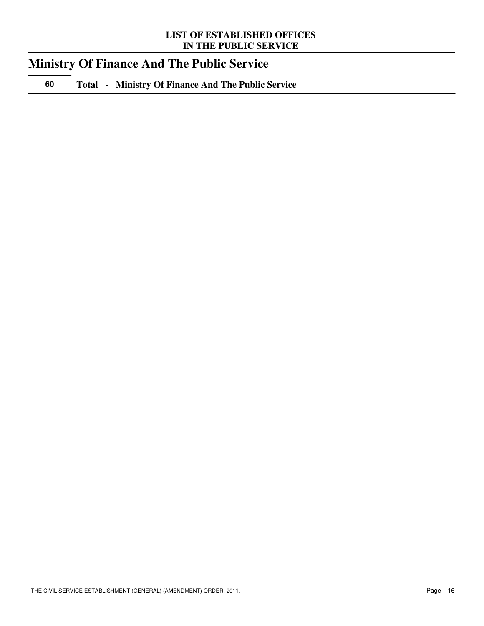### **Ministry Of Finance And The Public Service**

**60 Total - Ministry Of Finance And The Public Service**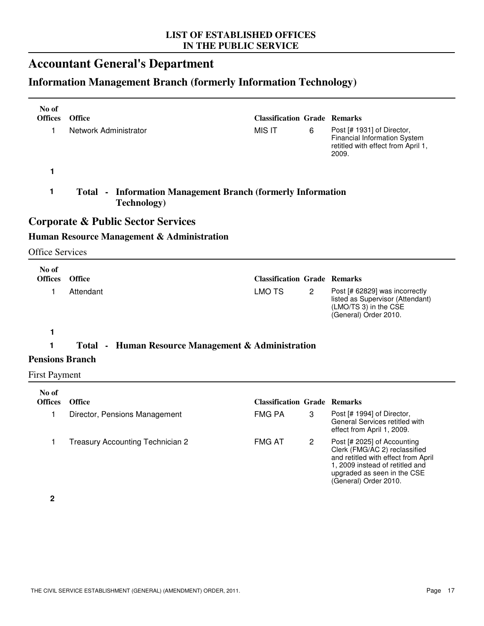### **Accountant General's Department**

### **Information Management Branch (formerly Information Technology)**

| No of<br><b>Offices</b> | Office                                                                                    | <b>Classification Grade Remarks</b> |                |                                                                                                                                                                                                |
|-------------------------|-------------------------------------------------------------------------------------------|-------------------------------------|----------------|------------------------------------------------------------------------------------------------------------------------------------------------------------------------------------------------|
| 1                       | Network Administrator                                                                     | <b>MIS IT</b>                       | 6              | Post [# 1931] of Director,<br>Financial Information System<br>retitled with effect from April 1,<br>2009.                                                                                      |
| 1                       |                                                                                           |                                     |                |                                                                                                                                                                                                |
| 1                       | <b>Total - Information Management Branch (formerly Information</b><br><b>Technology</b> ) |                                     |                |                                                                                                                                                                                                |
|                         | <b>Corporate &amp; Public Sector Services</b>                                             |                                     |                |                                                                                                                                                                                                |
|                         | Human Resource Management & Administration                                                |                                     |                |                                                                                                                                                                                                |
| <b>Office Services</b>  |                                                                                           |                                     |                |                                                                                                                                                                                                |
| No of                   |                                                                                           |                                     |                |                                                                                                                                                                                                |
| <b>Offices</b>          | Office                                                                                    | <b>Classification Grade Remarks</b> |                |                                                                                                                                                                                                |
| 1                       | Attendant                                                                                 | <b>LMO TS</b>                       | $\overline{c}$ | Post [# 62829] was incorrectly<br>listed as Supervisor (Attendant)<br>(LMO/TS 3) in the CSE<br>(General) Order 2010.                                                                           |
| 1                       |                                                                                           |                                     |                |                                                                                                                                                                                                |
| 1                       | Total - Human Resource Management & Administration                                        |                                     |                |                                                                                                                                                                                                |
| <b>Pensions Branch</b>  |                                                                                           |                                     |                |                                                                                                                                                                                                |
| <b>First Payment</b>    |                                                                                           |                                     |                |                                                                                                                                                                                                |
| No of                   |                                                                                           |                                     |                |                                                                                                                                                                                                |
| <b>Offices</b>          | <b>Office</b>                                                                             | <b>Classification Grade Remarks</b> |                |                                                                                                                                                                                                |
| 1                       | Director, Pensions Management                                                             | <b>FMG PA</b>                       | 3              | Post [# 1994] of Director,<br>General Services retitled with<br>effect from April 1, 2009.                                                                                                     |
| 1                       | Treasury Accounting Technician 2                                                          | <b>FMG AT</b>                       | $\mathbf{2}$   | Post [# 2025] of Accounting<br>Clerk (FMG/AC 2) reclassified<br>and retitled with effect from April<br>1, 2009 instead of retitled and<br>upgraded as seen in the CSE<br>(General) Order 2010. |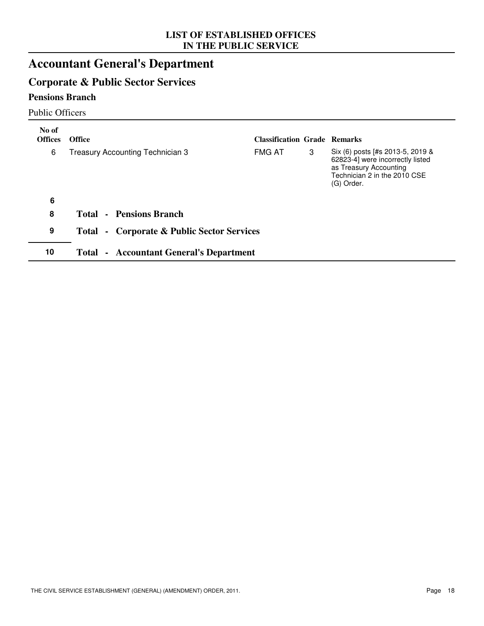### **Accountant General's Department**

### **Corporate & Public Sector Services**

#### **Pensions Branch**

Public Officers

| No of<br><b>Offices</b> | <b>Office</b>                                  | <b>Classification Grade Remarks</b> |   |                                                                                                                                              |
|-------------------------|------------------------------------------------|-------------------------------------|---|----------------------------------------------------------------------------------------------------------------------------------------------|
| 6                       | Treasury Accounting Technician 3               | <b>FMG AT</b>                       | 3 | Six (6) posts [#s 2013-5, 2019 &<br>62823-4] were incorrectly listed<br>as Treasury Accounting<br>Technician 2 in the 2010 CSE<br>(G) Order. |
| 6                       |                                                |                                     |   |                                                                                                                                              |
| 8                       | <b>Total - Pensions Branch</b>                 |                                     |   |                                                                                                                                              |
| 9                       | - Corporate & Public Sector Services<br>Total  |                                     |   |                                                                                                                                              |
| 10                      | <b>Total - Accountant General's Department</b> |                                     |   |                                                                                                                                              |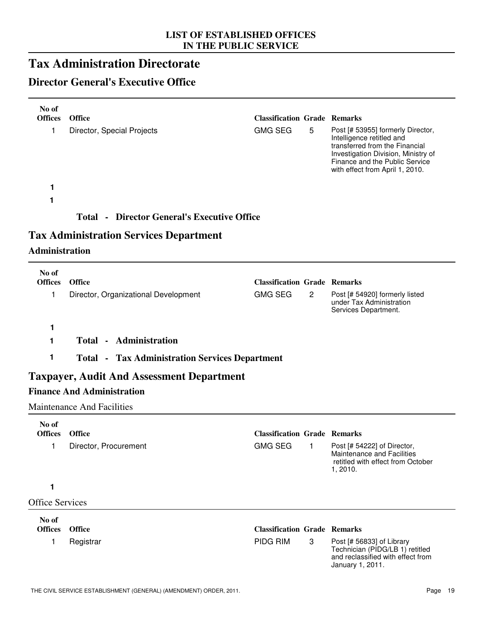### **Tax Administration Directorate**

### **Director General's Executive Office**

| No of<br><b>Offices</b> | <b>Office</b>                                         | <b>Classification Grade Remarks</b> |                |                                                                                                                                                                                                              |
|-------------------------|-------------------------------------------------------|-------------------------------------|----------------|--------------------------------------------------------------------------------------------------------------------------------------------------------------------------------------------------------------|
| 1                       | Director, Special Projects                            | <b>GMG SEG</b>                      | 5              | Post [# 53955] formerly Director,<br>Intelligence retitled and<br>transferred from the Financial<br>Investigation Division, Ministry of<br>Finance and the Public Service<br>with effect from April 1, 2010. |
| 1                       |                                                       |                                     |                |                                                                                                                                                                                                              |
| 1                       |                                                       |                                     |                |                                                                                                                                                                                                              |
|                         | <b>Total - Director General's Executive Office</b>    |                                     |                |                                                                                                                                                                                                              |
|                         | <b>Tax Administration Services Department</b>         |                                     |                |                                                                                                                                                                                                              |
| <b>Administration</b>   |                                                       |                                     |                |                                                                                                                                                                                                              |
| No of                   |                                                       |                                     |                |                                                                                                                                                                                                              |
| <b>Offices</b>          | <b>Office</b>                                         | <b>Classification Grade Remarks</b> |                |                                                                                                                                                                                                              |
| 1                       | Director, Organizational Development                  | <b>GMG SEG</b>                      | $\overline{2}$ | Post [# 54920] formerly listed<br>under Tax Administration<br>Services Department.                                                                                                                           |
| 1                       |                                                       |                                     |                |                                                                                                                                                                                                              |
| 1                       | <b>Total - Administration</b>                         |                                     |                |                                                                                                                                                                                                              |
| 1                       | <b>Total - Tax Administration Services Department</b> |                                     |                |                                                                                                                                                                                                              |
|                         | <b>Taxpayer, Audit And Assessment Department</b>      |                                     |                |                                                                                                                                                                                                              |
|                         | <b>Finance And Administration</b>                     |                                     |                |                                                                                                                                                                                                              |
|                         | <b>Maintenance And Facilities</b>                     |                                     |                |                                                                                                                                                                                                              |
| No of                   |                                                       |                                     |                |                                                                                                                                                                                                              |
| <b>Offices</b>          | Office                                                | <b>Classification Grade Remarks</b> |                |                                                                                                                                                                                                              |
| 1                       | Director, Procurement                                 | <b>GMG SEG</b>                      | 1              | Post [# 54222] of Director,<br>Maintenance and Facilities<br>retitled with effect from October<br>1, 2010.                                                                                                   |
| 1                       |                                                       |                                     |                |                                                                                                                                                                                                              |
| <b>Office Services</b>  |                                                       |                                     |                |                                                                                                                                                                                                              |
| No of<br><b>Offices</b> | <b>Office</b>                                         | <b>Classification Grade Remarks</b> |                |                                                                                                                                                                                                              |
| 1                       | Registrar                                             | PIDG RIM                            | 3              | Post [# 56833] of Library<br>Technician (PIDG/LB 1) retitled<br>and reclassified with effect from<br>January 1, 2011.                                                                                        |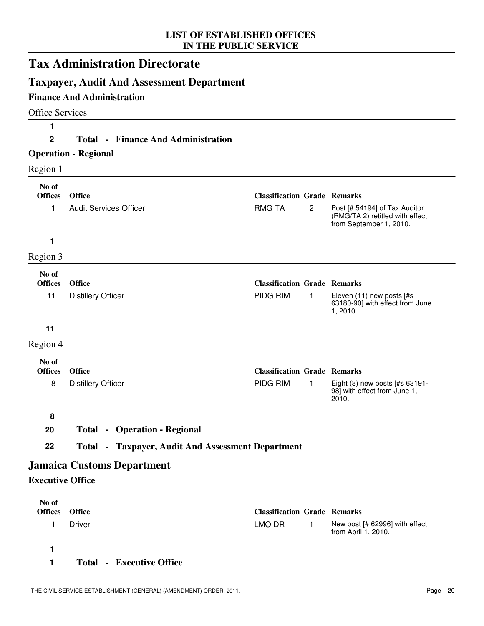|                         | <b>Tax Administration Directorate</b>                    |                                     |                |                                                                                             |
|-------------------------|----------------------------------------------------------|-------------------------------------|----------------|---------------------------------------------------------------------------------------------|
|                         | <b>Taxpayer, Audit And Assessment Department</b>         |                                     |                |                                                                                             |
|                         | <b>Finance And Administration</b>                        |                                     |                |                                                                                             |
| <b>Office Services</b>  |                                                          |                                     |                |                                                                                             |
| 1                       |                                                          |                                     |                |                                                                                             |
| 2                       | <b>Total • Finance And Administration</b>                |                                     |                |                                                                                             |
|                         | <b>Operation - Regional</b>                              |                                     |                |                                                                                             |
| Region 1                |                                                          |                                     |                |                                                                                             |
| No of<br><b>Offices</b> | <b>Office</b>                                            | <b>Classification Grade Remarks</b> |                |                                                                                             |
| 1                       | <b>Audit Services Officer</b>                            | <b>RMG TA</b>                       | $\overline{c}$ | Post [# 54194] of Tax Auditor<br>(RMG/TA 2) retitled with effect<br>from September 1, 2010. |
| 1                       |                                                          |                                     |                |                                                                                             |
| Region 3                |                                                          |                                     |                |                                                                                             |
| No of                   |                                                          |                                     |                |                                                                                             |
| <b>Offices</b>          | <b>Office</b>                                            | <b>Classification Grade Remarks</b> |                |                                                                                             |
| 11                      | <b>Distillery Officer</b>                                | PIDG RIM                            | $\mathbf{1}$   | Eleven (11) new posts [#s<br>63180-90] with effect from June<br>1,2010.                     |
| 11                      |                                                          |                                     |                |                                                                                             |
| Region 4                |                                                          |                                     |                |                                                                                             |
| No of<br><b>Offices</b> | <b>Office</b>                                            | <b>Classification Grade Remarks</b> |                |                                                                                             |
| 8                       | <b>Distillery Officer</b>                                | PIDG RIM                            | 1              | Eight (8) new posts [#s 63191-<br>98] with effect from June 1,<br>2010.                     |
| 8                       |                                                          |                                     |                |                                                                                             |
| 20                      | <b>Total - Operation - Regional</b>                      |                                     |                |                                                                                             |
| 22                      | <b>Total - Taxpayer, Audit And Assessment Department</b> |                                     |                |                                                                                             |
|                         | <b>Jamaica Customs Department</b>                        |                                     |                |                                                                                             |
| <b>Executive Office</b> |                                                          |                                     |                |                                                                                             |
| No of                   |                                                          |                                     |                |                                                                                             |
| <b>Offices</b>          | Office                                                   | <b>Classification Grade Remarks</b> |                |                                                                                             |
| 1                       | <b>Driver</b>                                            | LMO DR                              | 1              | New post [# 62996] with effect<br>from April 1, 2010.                                       |

**1**

**1 Total - Executive Office**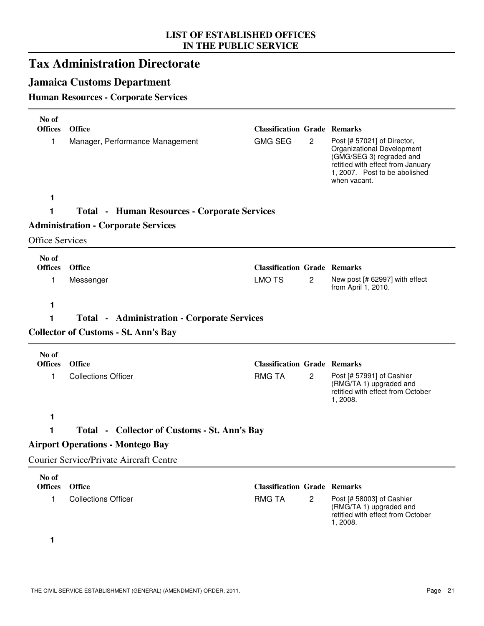### **Tax Administration Directorate**

### **Jamaica Customs Department**

#### **Human Resources - Corporate Services**

| No of                   |                                                     |                                     |                |                                                                                                                                                                             |
|-------------------------|-----------------------------------------------------|-------------------------------------|----------------|-----------------------------------------------------------------------------------------------------------------------------------------------------------------------------|
| <b>Offices</b>          | Office                                              | <b>Classification Grade Remarks</b> |                |                                                                                                                                                                             |
| 1                       | Manager, Performance Management                     | <b>GMG SEG</b>                      | $\mathbf{2}$   | Post [# 57021] of Director,<br>Organizational Development<br>(GMG/SEG 3) regraded and<br>retitled with effect from January<br>1, 2007. Post to be abolished<br>when vacant. |
| 1                       |                                                     |                                     |                |                                                                                                                                                                             |
| 1                       | <b>Total - Human Resources - Corporate Services</b> |                                     |                |                                                                                                                                                                             |
|                         | <b>Administration - Corporate Services</b>          |                                     |                |                                                                                                                                                                             |
| <b>Office Services</b>  |                                                     |                                     |                |                                                                                                                                                                             |
| No of                   |                                                     |                                     |                |                                                                                                                                                                             |
| <b>Offices</b>          | <b>Office</b>                                       | <b>Classification Grade Remarks</b> |                |                                                                                                                                                                             |
| 1                       | Messenger                                           | <b>LMO TS</b>                       | 2              | New post [# 62997] with effect<br>from April 1, 2010.                                                                                                                       |
| 1                       |                                                     |                                     |                |                                                                                                                                                                             |
| 1                       | <b>Total • Administration • Corporate Services</b>  |                                     |                |                                                                                                                                                                             |
|                         | <b>Collector of Customs - St. Ann's Bay</b>         |                                     |                |                                                                                                                                                                             |
| No of                   |                                                     |                                     |                |                                                                                                                                                                             |
| <b>Offices</b>          | <b>Office</b>                                       | <b>Classification Grade Remarks</b> |                |                                                                                                                                                                             |
| 1                       | <b>Collections Officer</b>                          | <b>RMG TA</b>                       | $\overline{2}$ | Post [# 57991] of Cashier<br>(RMG/TA 1) upgraded and<br>retitled with effect from October<br>1, 2008.                                                                       |
| 1                       |                                                     |                                     |                |                                                                                                                                                                             |
| 1                       | Total - Collector of Customs - St. Ann's Bay        |                                     |                |                                                                                                                                                                             |
|                         | <b>Airport Operations - Montego Bay</b>             |                                     |                |                                                                                                                                                                             |
|                         | <b>Courier Service/Private Aircraft Centre</b>      |                                     |                |                                                                                                                                                                             |
| No of<br><b>Offices</b> | <b>Office</b>                                       | <b>Classification Grade Remarks</b> |                |                                                                                                                                                                             |
| 1                       | <b>Collections Officer</b>                          | <b>RMG TA</b>                       | $\overline{2}$ | Post [# 58003] of Cashier<br>(RMG/TA 1) upgraded and<br>retitled with effect from October<br>1, 2008.                                                                       |
| 1                       |                                                     |                                     |                |                                                                                                                                                                             |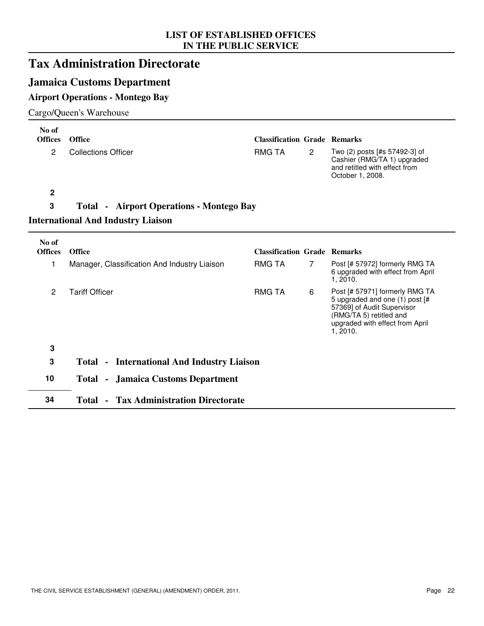### **Tax Administration Directorate**

#### **Jamaica Customs Department**

#### **Airport Operations - Montego Bay**

#### Cargo/Queen's Warehouse

| No of<br><b>Offices</b> | <b>Office</b>                                     | <b>Classification Grade Remarks</b> |              |                                                                                                                                                                          |
|-------------------------|---------------------------------------------------|-------------------------------------|--------------|--------------------------------------------------------------------------------------------------------------------------------------------------------------------------|
| $\overline{c}$          | <b>Collections Officer</b>                        | <b>RMG TA</b>                       | $\mathbf{2}$ | Two (2) posts [#s 57492-3] of<br>Cashier (RMG/TA 1) upgraded<br>and retitled with effect from<br>October 1, 2008.                                                        |
| $\mathbf 2$             |                                                   |                                     |              |                                                                                                                                                                          |
| 3                       | <b>Total • Airport Operations - Montego Bay</b>   |                                     |              |                                                                                                                                                                          |
|                         | <b>International And Industry Liaison</b>         |                                     |              |                                                                                                                                                                          |
| No of<br><b>Offices</b> | <b>Office</b>                                     | <b>Classification Grade Remarks</b> |              |                                                                                                                                                                          |
| 1                       | Manager, Classification And Industry Liaison      | <b>RMG TA</b>                       | 7            | Post [# 57972] formerly RMG TA<br>6 upgraded with effect from April<br>1, 2010.                                                                                          |
| $\overline{c}$          | <b>Tariff Officer</b>                             | <b>RMG TA</b>                       | 6            | Post [# 57971] formerly RMG TA<br>5 upgraded and one (1) post [#<br>57369] of Audit Supervisor<br>(RMG/TA 5) retitled and<br>upgraded with effect from April<br>1, 2010. |
| 3                       |                                                   |                                     |              |                                                                                                                                                                          |
| 3                       | <b>Total - International And Industry Liaison</b> |                                     |              |                                                                                                                                                                          |
| 10                      | <b>Total - Jamaica Customs Department</b>         |                                     |              |                                                                                                                                                                          |
| 34                      | <b>Tax Administration Directorate</b><br>Total -  |                                     |              |                                                                                                                                                                          |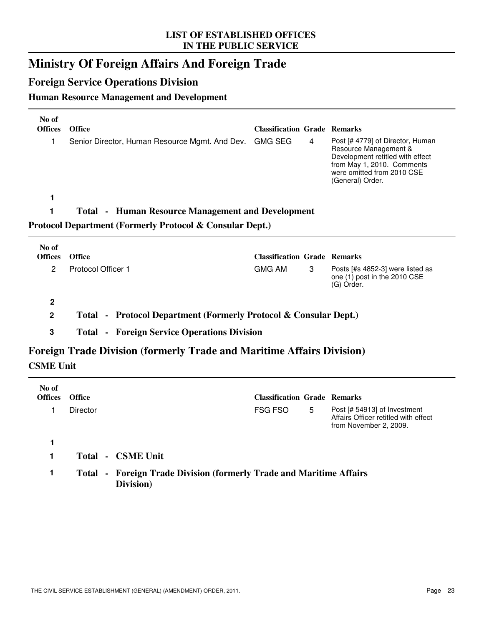### **Ministry Of Foreign Affairs And Foreign Trade**

#### **Foreign Service Operations Division**

#### **Human Resource Management and Development**

| No of<br><b>Offices</b> | <b>Office</b>                                                       | <b>Classification Grade Remarks</b> |   |                                                                                                                                                                               |
|-------------------------|---------------------------------------------------------------------|-------------------------------------|---|-------------------------------------------------------------------------------------------------------------------------------------------------------------------------------|
|                         | Senior Director, Human Resource Mgmt. And Dev.                      | GMG SEG                             | 4 | Post [# 4779] of Director, Human<br>Resource Management &<br>Development retitled with effect<br>from May 1, 2010. Comments<br>were omitted from 2010 CSE<br>(General) Order. |
|                         |                                                                     |                                     |   |                                                                                                                                                                               |
|                         |                                                                     |                                     |   |                                                                                                                                                                               |
|                         | <b>Total • Human Resource Management and Development</b>            |                                     |   |                                                                                                                                                                               |
|                         | <b>Protocol Department (Formerly Protocol &amp; Consular Dept.)</b> |                                     |   |                                                                                                                                                                               |
| No of                   |                                                                     |                                     |   |                                                                                                                                                                               |
| <b>Offices</b>          | <b>Office</b>                                                       | <b>Classification Grade Remarks</b> |   |                                                                                                                                                                               |

#### **2**

**2 Total - Protocol Department (Formerly Protocol & Consular Dept.)**

**3 Total - Foreign Service Operations Division**

### **Foreign Trade Division (formerly Trade and Maritime Affairs Division) CSME Unit**

| No of<br><b>Offices</b> | <b>Office</b>   |                                                                            | <b>Classification Grade Remarks</b> |   |                                                                                                |
|-------------------------|-----------------|----------------------------------------------------------------------------|-------------------------------------|---|------------------------------------------------------------------------------------------------|
|                         | Director        |                                                                            | FSG FSO                             | 5 | Post [# 54913] of Investment<br>Affairs Officer retitled with effect<br>from November 2, 2009. |
|                         |                 |                                                                            |                                     |   |                                                                                                |
|                         | Total<br>$\sim$ | <b>CSME Unit</b>                                                           |                                     |   |                                                                                                |
|                         | Total           | - Foreign Trade Division (formerly Trade and Maritime Affairs<br>Division) |                                     |   |                                                                                                |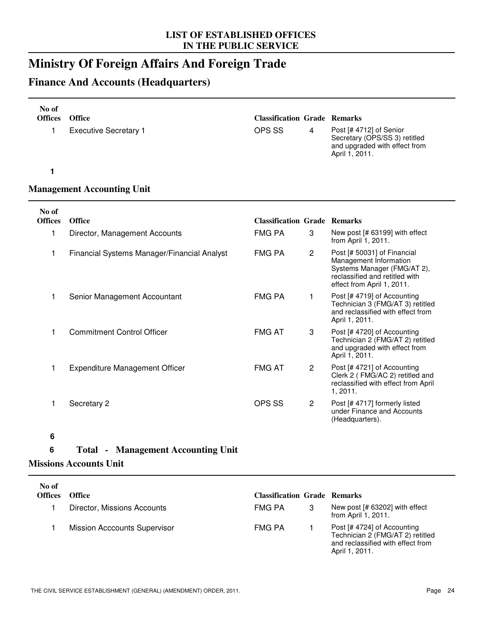### **Ministry Of Foreign Affairs And Foreign Trade**

### **Finance And Accounts (Headquarters)**

| No of<br><b>Offices</b> | <b>Office</b>                               | <b>Classification Grade Remarks</b> |              |                                                                                                                                                      |
|-------------------------|---------------------------------------------|-------------------------------------|--------------|------------------------------------------------------------------------------------------------------------------------------------------------------|
| 1                       | <b>Executive Secretary 1</b>                | OPS SS                              | 4            | Post [# 4712] of Senior<br>Secretary (OPS/SS 3) retitled<br>and upgraded with effect from<br>April 1, 2011.                                          |
| 1                       |                                             |                                     |              |                                                                                                                                                      |
|                         | <b>Management Accounting Unit</b>           |                                     |              |                                                                                                                                                      |
| No of<br><b>Offices</b> | <b>Office</b>                               | <b>Classification Grade Remarks</b> |              |                                                                                                                                                      |
| 1                       | Director, Management Accounts               | <b>FMG PA</b>                       | 3            | New post [# 63199] with effect<br>from April 1, 2011.                                                                                                |
| 1                       | Financial Systems Manager/Financial Analyst | <b>FMG PA</b>                       | $\mathbf{2}$ | Post [# 50031] of Financial<br>Management Information<br>Systems Manager (FMG/AT 2),<br>reclassified and retitled with<br>effect from April 1, 2011. |
| 1                       | Senior Management Accountant                | <b>FMG PA</b>                       | 1            | Post [# 4719] of Accounting<br>Technician 3 (FMG/AT 3) retitled<br>and reclassified with effect from<br>April 1, 2011.                               |
| 1                       | <b>Commitment Control Officer</b>           | <b>FMG AT</b>                       | 3            | Post [# 4720] of Accounting<br>Technician 2 (FMG/AT 2) retitled<br>and upgraded with effect from<br>April 1, 2011.                                   |
| 1                       | <b>Expenditure Management Officer</b>       | <b>FMG AT</b>                       | $\mathbf{2}$ | Post [# 4721] of Accounting<br>Clerk 2 (FMG/AC 2) retitled and<br>reclassified with effect from April<br>1, 2011.                                    |
| 1                       | Secretary 2                                 | <b>OPS SS</b>                       | $\mathbf{2}$ | Post [# 4717] formerly listed<br>under Finance and Accounts<br>(Headquarters).                                                                       |

#### **6**

#### **6 Total - Management Accounting Unit**

#### **Missions Accounts Unit**

| No of<br><b>Offices</b> | <b>Office</b>                       | <b>Classification Grade Remarks</b> |                                                                                                                        |
|-------------------------|-------------------------------------|-------------------------------------|------------------------------------------------------------------------------------------------------------------------|
|                         | Director, Missions Accounts         | FMG PA                              | New post [# 63202] with effect<br>from April 1, 2011.                                                                  |
|                         | <b>Mission Acccounts Supervisor</b> | <b>FMG PA</b>                       | Post [# 4724] of Accounting<br>Technician 2 (FMG/AT 2) retitled<br>and reclassified with effect from<br>April 1, 2011. |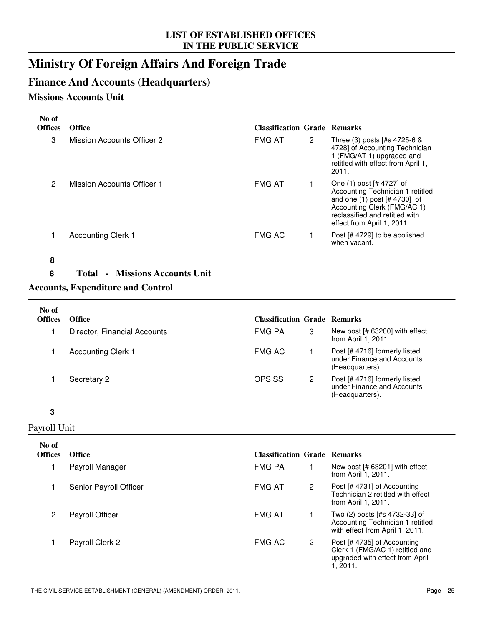### **Ministry Of Foreign Affairs And Foreign Trade**

#### **Finance And Accounts (Headquarters)**

#### **Missions Accounts Unit**

| No of<br><b>Offices</b> | <b>Office</b>              | <b>Classification Grade Remarks</b> |   |                                                                                                                                                                                                 |
|-------------------------|----------------------------|-------------------------------------|---|-------------------------------------------------------------------------------------------------------------------------------------------------------------------------------------------------|
| 3                       | Mission Accounts Officer 2 | <b>FMG AT</b>                       | 2 | Three (3) posts [#s 4725-6 &<br>4728] of Accounting Technician<br>1 (FMG/AT 1) upgraded and<br>retitled with effect from April 1,<br>2011.                                                      |
| 2                       | Mission Accounts Officer 1 | <b>FMG AT</b>                       |   | One (1) post [# 4727] of<br>Accounting Technician 1 retitled<br>and one $(1)$ post $[# 4730]$ of<br>Accounting Clerk (FMG/AC 1)<br>reclassified and retitled with<br>effect from April 1, 2011. |
|                         | <b>Accounting Clerk 1</b>  | <b>FMG AC</b>                       |   | Post [# 4729] to be abolished<br>when vacant.                                                                                                                                                   |
| ឧ                       |                            |                                     |   |                                                                                                                                                                                                 |

#### **8**

**8 Total - Missions Accounts Unit**

#### **Accounts, Expenditure and Control**

| No of<br><b>Offices</b> | <b>Office</b>                | <b>Classification Grade Remarks</b> |   |                                                                                |
|-------------------------|------------------------------|-------------------------------------|---|--------------------------------------------------------------------------------|
|                         | Director, Financial Accounts | FMG PA                              | 3 | New post [# 63200] with effect<br>from April 1, 2011.                          |
|                         | <b>Accounting Clerk 1</b>    | <b>FMG AC</b>                       |   | Post [# 4716] formerly listed<br>under Finance and Accounts<br>(Headquarters). |
|                         | Secretary 2                  | OPS SS                              | 2 | Post [# 4716] formerly listed<br>under Finance and Accounts<br>(Headquarters). |

#### **3**

#### Payroll Unit

| No of<br><b>Offices</b> | <b>Office</b>          | <b>Classification Grade Remarks</b> |   |                                                                                                               |
|-------------------------|------------------------|-------------------------------------|---|---------------------------------------------------------------------------------------------------------------|
|                         | Payroll Manager        | <b>FMG PA</b>                       |   | New post [# 63201] with effect<br>from April 1, 2011.                                                         |
|                         | Senior Payroll Officer | <b>FMG AT</b>                       | 2 | Post [# 4731] of Accounting<br>Technician 2 retitled with effect<br>from April 1, 2011.                       |
| 2                       | <b>Payroll Officer</b> | <b>FMG AT</b>                       |   | Two (2) posts [#s 4732-33] of<br>Accounting Technician 1 retitled<br>with effect from April 1, 2011.          |
|                         | Payroll Clerk 2        | <b>FMG AC</b>                       | 2 | Post [# 4735] of Accounting<br>Clerk 1 (FMG/AC 1) retitled and<br>upgraded with effect from April<br>1, 2011. |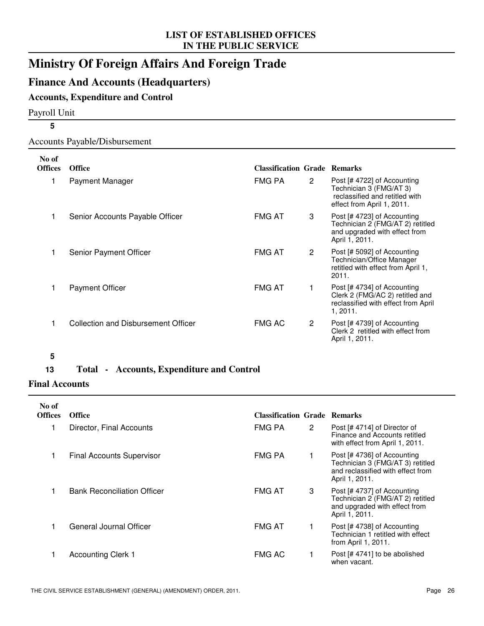### **Ministry Of Foreign Affairs And Foreign Trade**

#### **Finance And Accounts (Headquarters)**

#### **Accounts, Expenditure and Control**

Payroll Unit

#### Accounts Payable/Disbursement

| No of          |                                     |                                     |   |                                                                                                                        |
|----------------|-------------------------------------|-------------------------------------|---|------------------------------------------------------------------------------------------------------------------------|
| <b>Offices</b> | <b>Office</b>                       | <b>Classification Grade Remarks</b> |   |                                                                                                                        |
|                | Payment Manager                     | FMG PA                              | 2 | Post [# 4722] of Accounting<br>Technician 3 (FMG/AT 3)<br>reclassified and retitled with<br>effect from April 1, 2011. |
|                | Senior Accounts Payable Officer     | <b>FMG AT</b>                       | 3 | Post [# 4723] of Accounting<br>Technician 2 (FMG/AT 2) retitled<br>and upgraded with effect from<br>April 1, 2011.     |
|                | Senior Payment Officer              | <b>FMG AT</b>                       | 2 | Post [# 5092] of Accounting<br>Technician/Office Manager<br>retitled with effect from April 1,<br>2011.                |
|                | <b>Payment Officer</b>              | <b>FMG AT</b>                       | 1 | Post [# 4734] of Accounting<br>Clerk 2 (FMG/AC 2) retitled and<br>reclassified with effect from April<br>1, 2011.      |
|                | Collection and Disbursement Officer | <b>FMG AC</b>                       | 2 | Post [# 4739] of Accounting<br>Clerk 2 retitled with effect from<br>April 1, 2011.                                     |

#### **5**

#### **13 Total - Accounts, Expenditure and Control**

#### **Final Accounts**

| No of<br><b>Offices</b> | <b>Office</b>                      | <b>Classification Grade Remarks</b> |                      |                                                                                                                        |
|-------------------------|------------------------------------|-------------------------------------|----------------------|------------------------------------------------------------------------------------------------------------------------|
|                         | Director, Final Accounts           | FMG PA                              | $\mathbf{2}^{\circ}$ | Post [#4714] of Director of<br>Finance and Accounts retitled<br>with effect from April 1, 2011.                        |
|                         | <b>Final Accounts Supervisor</b>   | FMG PA                              |                      | Post [# 4736] of Accounting<br>Technician 3 (FMG/AT 3) retitled<br>and reclassified with effect from<br>April 1, 2011. |
|                         | <b>Bank Reconciliation Officer</b> | <b>FMG AT</b>                       | 3                    | Post [# 4737] of Accounting<br>Technician 2 (FMG/AT 2) retitled<br>and upgraded with effect from<br>April 1, 2011.     |
|                         | General Journal Officer            | <b>FMG AT</b>                       |                      | Post [# 4738] of Accounting<br>Technician 1 retitled with effect<br>from April 1, $2011$ .                             |
|                         | <b>Accounting Clerk 1</b>          | <b>FMG AC</b>                       |                      | Post [#4741] to be abolished<br>when vacant.                                                                           |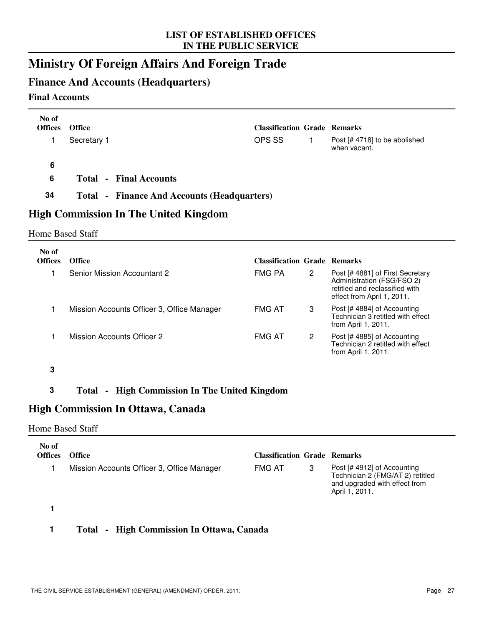### **Ministry Of Foreign Affairs And Foreign Trade**

#### **Finance And Accounts (Headquarters)**

#### **Final Accounts**

| No of<br><b>Offices</b> | <b>Office</b>                                      | <b>Classification Grade Remarks</b> |                |                                                                                                                                |
|-------------------------|----------------------------------------------------|-------------------------------------|----------------|--------------------------------------------------------------------------------------------------------------------------------|
| 1                       | Secretary 1                                        | OPS SS                              | 1              | Post [# 4718] to be abolished<br>when vacant.                                                                                  |
| 6                       |                                                    |                                     |                |                                                                                                                                |
| 6                       | <b>Total - Final Accounts</b>                      |                                     |                |                                                                                                                                |
| 34                      | <b>Total - Finance And Accounts (Headquarters)</b> |                                     |                |                                                                                                                                |
|                         | <b>High Commission In The United Kingdom</b>       |                                     |                |                                                                                                                                |
| <b>Home Based Staff</b> |                                                    |                                     |                |                                                                                                                                |
| No of                   |                                                    |                                     |                |                                                                                                                                |
| <b>Offices</b>          | Office                                             | <b>Classification Grade Remarks</b> |                |                                                                                                                                |
| 1                       | <b>Senior Mission Accountant 2</b>                 | <b>FMG PA</b>                       | $\overline{2}$ | Post [# 4881] of First Secretary<br>Administration (FSG/FSO 2)<br>retitled and reclassified with<br>effect from April 1, 2011. |
| 1                       | Mission Accounts Officer 3, Office Manager         | <b>FMG AT</b>                       | 3              | Post [# 4884] of Accounting<br>Technician 3 retitled with effect<br>from April 1, 2011.                                        |
| 1                       | Mission Accounts Officer 2                         | <b>FMG AT</b>                       | 2              | Post [# 4885] of Accounting<br>Technician 2 retitled with effect<br>from April 1, 2011.                                        |
| 3                       |                                                    |                                     |                |                                                                                                                                |

#### **3 Total - High Commission In The United Kingdom**

#### **High Commission In Ottawa, Canada**

#### Home Based Staff

| No of<br><b>Offices</b> | Office                                     | <b>Classification Grade Remarks</b> |                                                                                                                    |
|-------------------------|--------------------------------------------|-------------------------------------|--------------------------------------------------------------------------------------------------------------------|
|                         | Mission Accounts Officer 3, Office Manager | <b>FMG AT</b>                       | Post [# 4912] of Accounting<br>Technician 2 (FMG/AT 2) retitled<br>and upgraded with effect from<br>April 1, 2011. |
|                         |                                            |                                     |                                                                                                                    |

#### **1 Total - High Commission In Ottawa, Canada**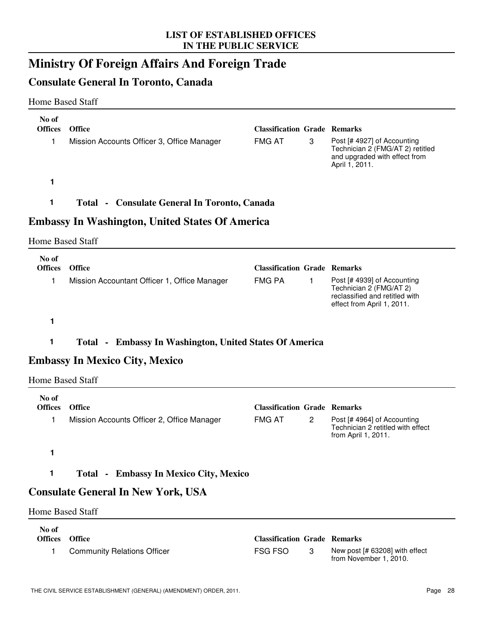### **Ministry Of Foreign Affairs And Foreign Trade**

#### **Consulate General In Toronto, Canada**

#### Home Based Staff

| No of                   |                                                                |                                                      |              |                                                                                                                        |
|-------------------------|----------------------------------------------------------------|------------------------------------------------------|--------------|------------------------------------------------------------------------------------------------------------------------|
| <b>Offices</b><br>1     | <b>Office</b><br>Mission Accounts Officer 3, Office Manager    | <b>Classification Grade Remarks</b><br><b>FMG AT</b> | 3            | Post [# 4927] of Accounting<br>Technician 2 (FMG/AT 2) retitled<br>and upgraded with effect from<br>April 1, 2011.     |
| 1                       |                                                                |                                                      |              |                                                                                                                        |
| 1                       | <b>Total - Consulate General In Toronto, Canada</b>            |                                                      |              |                                                                                                                        |
|                         | <b>Embassy In Washington, United States Of America</b>         |                                                      |              |                                                                                                                        |
| <b>Home Based Staff</b> |                                                                |                                                      |              |                                                                                                                        |
| No of<br><b>Offices</b> | <b>Office</b>                                                  | <b>Classification Grade Remarks</b>                  |              |                                                                                                                        |
| 1                       | Mission Accountant Officer 1, Office Manager                   | <b>FMG PA</b>                                        | $\mathbf{1}$ | Post [# 4939] of Accounting<br>Technician 2 (FMG/AT 2)<br>reclassified and retitled with<br>effect from April 1, 2011. |
| 1                       |                                                                |                                                      |              |                                                                                                                        |
|                         |                                                                |                                                      |              |                                                                                                                        |
| 1                       |                                                                |                                                      |              |                                                                                                                        |
|                         | <b>Total - Embassy In Washington, United States Of America</b> |                                                      |              |                                                                                                                        |
| <b>Home Based Staff</b> | <b>Embassy In Mexico City, Mexico</b>                          |                                                      |              |                                                                                                                        |
| No of<br><b>Offices</b> | Office                                                         | <b>Classification Grade Remarks</b>                  |              |                                                                                                                        |
| 1                       | Mission Accounts Officer 2, Office Manager                     | <b>FMG AT</b>                                        | $\mathbf{2}$ | Post [# 4964] of Accounting<br>Technician 2 retitled with effect<br>from April 1, 2011.                                |
| 1                       |                                                                |                                                      |              |                                                                                                                        |
| 1                       | <b>Total - Embassy In Mexico City, Mexico</b>                  |                                                      |              |                                                                                                                        |
|                         | <b>Consulate General In New York, USA</b>                      |                                                      |              |                                                                                                                        |
| <b>Home Based Staff</b> |                                                                |                                                      |              |                                                                                                                        |
| No of<br><b>Offices</b> | Office                                                         | <b>Classification Grade Remarks</b>                  |              |                                                                                                                        |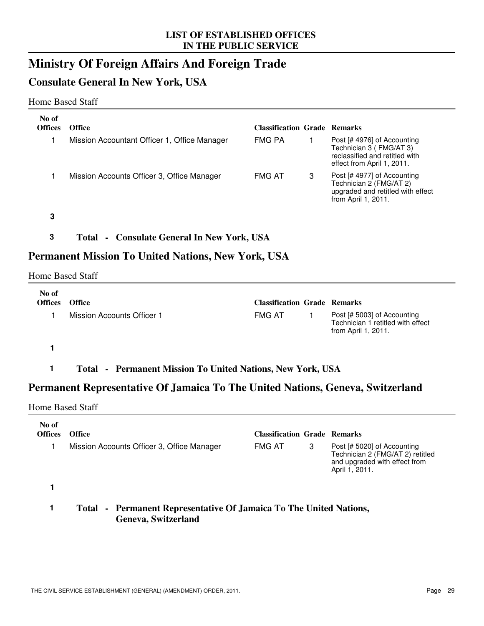### **Ministry Of Foreign Affairs And Foreign Trade**

#### **Consulate General In New York, USA**

#### Home Based Staff

| No of<br><b>Offices</b> | <b>Office</b>                                | <b>Classification Grade Remarks</b> |   |                                                                                                                        |
|-------------------------|----------------------------------------------|-------------------------------------|---|------------------------------------------------------------------------------------------------------------------------|
|                         | Mission Accountant Officer 1, Office Manager | <b>FMG PA</b>                       |   | Post [# 4976] of Accounting<br>Technician 3 (FMG/AT 3)<br>reclassified and retitled with<br>effect from April 1, 2011. |
|                         | Mission Accounts Officer 3, Office Manager   | <b>FMG AT</b>                       | З | Post [# 4977] of Accounting<br>Technician 2 (FMG/AT 2)<br>upgraded and retitled with effect<br>from April 1, 2011.     |

**3**

#### **3 Total - Consulate General In New York, USA**

#### **Permanent Mission To United Nations, New York, USA**

#### Home Based Staff

| No of<br><b>Offices</b> | <b>Office</b>              | <b>Classification Grade Remarks</b> |                                                                                         |
|-------------------------|----------------------------|-------------------------------------|-----------------------------------------------------------------------------------------|
|                         | Mission Accounts Officer 1 | <b>FMG AT</b>                       | Post [# 5003] of Accounting<br>Technician 1 retitled with effect<br>from April 1, 2011. |

**1**

**1 Total - Permanent Mission To United Nations, New York, USA**

#### **Permanent Representative Of Jamaica To The United Nations, Geneva, Switzerland**

#### Home Based Staff

| No of<br><b>Offices</b> | <b>Office</b>                              | <b>Classification Grade Remarks</b> |   |                                                                                                                    |
|-------------------------|--------------------------------------------|-------------------------------------|---|--------------------------------------------------------------------------------------------------------------------|
|                         | Mission Accounts Officer 3, Office Manager | <b>FMG AT</b>                       | 3 | Post [# 5020] of Accounting<br>Technician 2 (FMG/AT 2) retitled<br>and upgraded with effect from<br>April 1, 2011. |
|                         |                                            |                                     |   |                                                                                                                    |

#### **1 Total - Permanent Representative Of Jamaica To The United Nations, Geneva, Switzerland**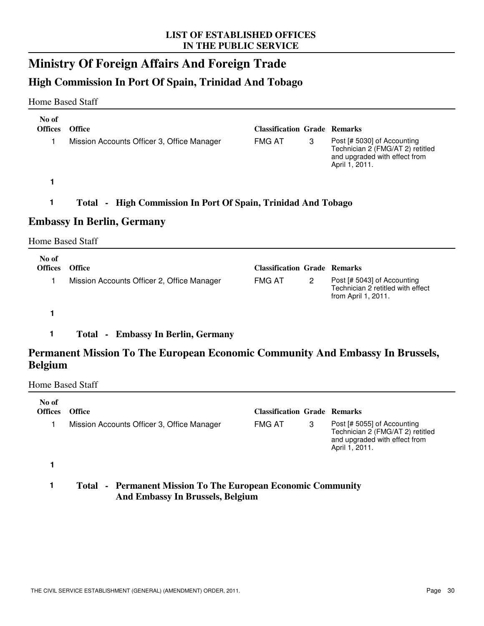### **Ministry Of Foreign Affairs And Foreign Trade**

#### **High Commission In Port Of Spain, Trinidad And Tobago**

#### Home Based Staff

| No of<br><b>Offices</b>           | <b>Office</b>                                                    | <b>Classification Grade Remarks</b> |   |                                                                                                                    |  |  |
|-----------------------------------|------------------------------------------------------------------|-------------------------------------|---|--------------------------------------------------------------------------------------------------------------------|--|--|
|                                   | Mission Accounts Officer 3, Office Manager                       | <b>FMG AT</b>                       | 3 | Post [# 5030] of Accounting<br>Technician 2 (FMG/AT 2) retitled<br>and upgraded with effect from<br>April 1, 2011. |  |  |
|                                   |                                                                  |                                     |   |                                                                                                                    |  |  |
| 1                                 | - High Commission In Port Of Spain, Trinidad And Tobago<br>Total |                                     |   |                                                                                                                    |  |  |
| <b>Embassy In Berlin, Germany</b> |                                                                  |                                     |   |                                                                                                                    |  |  |

#### Home Based Staff

| No of<br><b>Offices</b> | <b>Office</b>                              | <b>Classification Grade Remarks</b> |   |                                                                                         |
|-------------------------|--------------------------------------------|-------------------------------------|---|-----------------------------------------------------------------------------------------|
|                         | Mission Accounts Officer 2, Office Manager | <b>FMG AT</b>                       | 2 | Post [# 5043] of Accounting<br>Technician 2 retitled with effect<br>from April 1, 2011. |

**1**

#### **1 Total - Embassy In Berlin, Germany**

#### **Permanent Mission To The European Economic Community And Embassy In Brussels, Belgium**

Home Based Staff

| No of<br><b>Offices</b> | <b>Office</b>                                                       | <b>Classification Grade Remarks</b> |   |                                                                                                                    |
|-------------------------|---------------------------------------------------------------------|-------------------------------------|---|--------------------------------------------------------------------------------------------------------------------|
|                         | Mission Accounts Officer 3, Office Manager                          | <b>FMG AT</b>                       | 3 | Post [# 5055] of Accounting<br>Technician 2 (FMG/AT 2) retitled<br>and upgraded with effect from<br>April 1, 2011. |
|                         |                                                                     |                                     |   |                                                                                                                    |
|                         | <b>Total - Permanent Mission To The European Economic Community</b> |                                     |   |                                                                                                                    |

**And Embassy In Brussels, Belgium**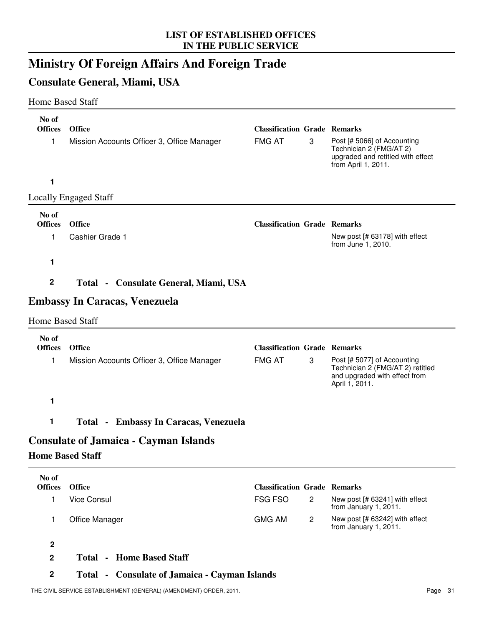# **Ministry Of Foreign Affairs And Foreign Trade**

## **Consulate General, Miami, USA**

### Home Based Staff

| No of                   |                                              |                                     |              |                                                                                                                    |
|-------------------------|----------------------------------------------|-------------------------------------|--------------|--------------------------------------------------------------------------------------------------------------------|
| <b>Offices</b>          | <b>Office</b>                                | <b>Classification Grade Remarks</b> |              |                                                                                                                    |
| 1                       | Mission Accounts Officer 3, Office Manager   | <b>FMG AT</b>                       | 3            | Post [# 5066] of Accounting<br>Technician 2 (FMG/AT 2)<br>upgraded and retitled with effect<br>from April 1, 2011. |
| 1                       |                                              |                                     |              |                                                                                                                    |
|                         | <b>Locally Engaged Staff</b>                 |                                     |              |                                                                                                                    |
| No of                   |                                              |                                     |              |                                                                                                                    |
| <b>Offices</b>          | <b>Office</b>                                | <b>Classification Grade Remarks</b> |              |                                                                                                                    |
| 1                       | Cashier Grade 1                              |                                     |              | New post [# 63178] with effect<br>from June 1, 2010.                                                               |
| 1                       |                                              |                                     |              |                                                                                                                    |
| $\mathbf 2$             | Total - Consulate General, Miami, USA        |                                     |              |                                                                                                                    |
|                         | <b>Embassy In Caracas, Venezuela</b>         |                                     |              |                                                                                                                    |
| <b>Home Based Staff</b> |                                              |                                     |              |                                                                                                                    |
| No of                   |                                              |                                     |              |                                                                                                                    |
| <b>Offices</b>          | <b>Office</b>                                | <b>Classification Grade Remarks</b> |              |                                                                                                                    |
| 1                       | Mission Accounts Officer 3, Office Manager   | <b>FMG AT</b>                       | 3            | Post [# 5077] of Accounting<br>Technician 2 (FMG/AT 2) retitled<br>and upgraded with effect from<br>April 1, 2011. |
| 1                       |                                              |                                     |              |                                                                                                                    |
| 1                       | <b>Total - Embassy In Caracas, Venezuela</b> |                                     |              |                                                                                                                    |
|                         | <b>Consulate of Jamaica - Cayman Islands</b> |                                     |              |                                                                                                                    |
| <b>Home Based Staff</b> |                                              |                                     |              |                                                                                                                    |
| No of<br><b>Offices</b> | <b>Office</b>                                | <b>Classification Grade Remarks</b> |              |                                                                                                                    |
| 1                       | Vice Consul                                  | FSG FSO                             | $\mathbf{2}$ | New post [# 63241] with effect                                                                                     |
|                         |                                              |                                     |              | from January 1, 2011.                                                                                              |
| 1                       | Office Manager                               | <b>GMG AM</b>                       | $\mathbf{2}$ | New post [# 63242] with effect<br>from January 1, 2011.                                                            |
| $\overline{2}$          |                                              |                                     |              |                                                                                                                    |

**2 Total - Home Based Staff**

### **2 Total - Consulate of Jamaica - Cayman Islands**

THE CIVIL SERVICE ESTABLISHMENT (GENERAL) (AMENDMENT) ORDER, 2011. Page 31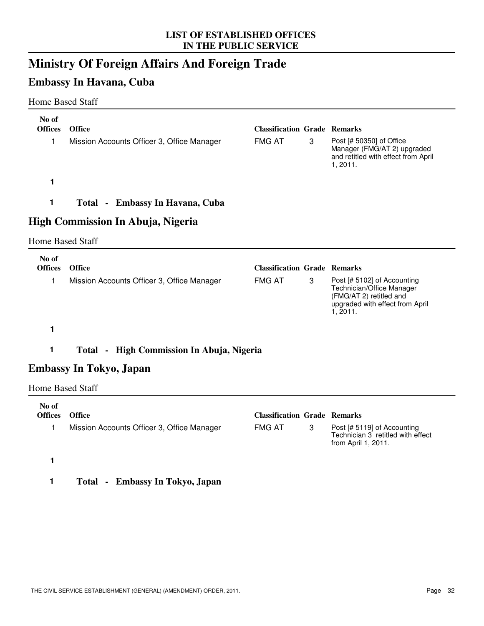# **Ministry Of Foreign Affairs And Foreign Trade**

# **Embassy In Havana, Cuba**

### Home Based Staff

| No of<br><b>Offices</b> | <b>Office</b>                                                | <b>Classification Grade Remarks</b> |   |                                                                                                                                    |
|-------------------------|--------------------------------------------------------------|-------------------------------------|---|------------------------------------------------------------------------------------------------------------------------------------|
| 1                       | Mission Accounts Officer 3, Office Manager                   | <b>FMG AT</b>                       | 3 | Post [# 50350] of Office<br>Manager (FMG/AT 2) upgraded<br>and retitled with effect from April<br>1, 2011.                         |
| 1                       |                                                              |                                     |   |                                                                                                                                    |
| 1                       | Total - Embassy In Havana, Cuba                              |                                     |   |                                                                                                                                    |
|                         | High Commission In Abuja, Nigeria                            |                                     |   |                                                                                                                                    |
| <b>Home Based Staff</b> |                                                              |                                     |   |                                                                                                                                    |
| No of<br><b>Offices</b> | Office                                                       | <b>Classification Grade Remarks</b> |   |                                                                                                                                    |
| 1                       | Mission Accounts Officer 3, Office Manager                   | <b>FMG AT</b>                       | 3 | Post [# 5102] of Accounting<br>Technician/Office Manager<br>(FMG/AT 2) retitled and<br>upgraded with effect from April<br>1, 2011. |
| 1                       |                                                              |                                     |   |                                                                                                                                    |
| 1                       | High Commission In Abuja, Nigeria<br>Total<br>$\blacksquare$ |                                     |   |                                                                                                                                    |

## **Embassy In Tokyo, Japan**

#### Home Based Staff

| No of<br><b>Offices</b> | <b>Office</b>                              | <b>Classification Grade Remarks</b> |                                                                                            |
|-------------------------|--------------------------------------------|-------------------------------------|--------------------------------------------------------------------------------------------|
|                         | Mission Accounts Officer 3, Office Manager | <b>FMG AT</b>                       | Post [# 5119] of Accounting<br>Technician 3 retitled with effect<br>from April 1, $2011$ . |
|                         |                                            |                                     |                                                                                            |

**1 Total - Embassy In Tokyo, Japan**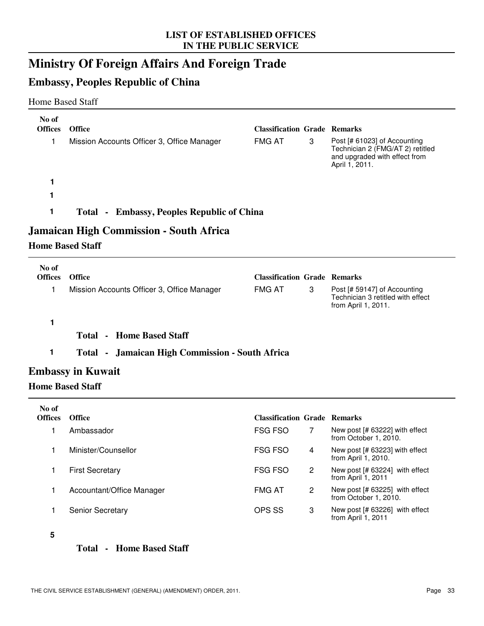# **Ministry Of Foreign Affairs And Foreign Trade**

## **Embassy, Peoples Republic of China**

### Home Based Staff

| No of<br><b>Offices</b><br>1 | <b>Office</b><br>Mission Accounts Officer 3, Office Manager | <b>Classification Grade Remarks</b><br><b>FMG AT</b> | 3 | Post [# 61023] of Accounting<br>Technician 2 (FMG/AT 2) retitled                         |
|------------------------------|-------------------------------------------------------------|------------------------------------------------------|---|------------------------------------------------------------------------------------------|
|                              |                                                             |                                                      |   | and upgraded with effect from<br>April 1, 2011.                                          |
|                              |                                                             |                                                      |   |                                                                                          |
|                              |                                                             |                                                      |   |                                                                                          |
| $\mathbf 1$                  | Total - Embassy, Peoples Republic of China                  |                                                      |   |                                                                                          |
|                              | Jamaican High Commission - South Africa                     |                                                      |   |                                                                                          |
| <b>Home Based Staff</b>      |                                                             |                                                      |   |                                                                                          |
| No of                        |                                                             |                                                      |   |                                                                                          |
| <b>Offices</b>               | <b>Office</b>                                               | <b>Classification Grade Remarks</b>                  |   |                                                                                          |
| 1                            | Mission Accounts Officer 3, Office Manager                  | <b>FMG AT</b>                                        | 3 | Post [# 59147] of Accounting<br>Technician 3 retitled with effect<br>from April 1, 2011. |

#### **1**

**Total - Home Based Staff**

### **1 Total - Jamaican High Commission - South Africa**

## **Embassy in Kuwait**

#### **Home Based Staff**

| No of<br><b>Offices</b> | <b>Office</b>             | <b>Classification Grade Remarks</b> |                                                           |
|-------------------------|---------------------------|-------------------------------------|-----------------------------------------------------------|
|                         | Ambassador                | <b>FSG FSO</b>                      | New post $[# 63222]$ with effect<br>from October 1, 2010. |
|                         | Minister/Counsellor       | <b>FSG FSO</b><br>4                 | New post [# 63223] with effect<br>from April 1, 2010.     |
|                         | <b>First Secretary</b>    | <b>FSG FSO</b><br>2                 | New post $[# 63224]$ with effect<br>from April 1, 2011    |
|                         | Accountant/Office Manager | <b>FMG AT</b><br>2                  | New post $[# 63225]$ with effect<br>from October 1, 2010. |
|                         | <b>Senior Secretary</b>   | OPS SS<br>3                         | New post $[# 63226]$ with effect<br>from April 1, 2011    |

#### **5**

#### **Total - Home Based Staff**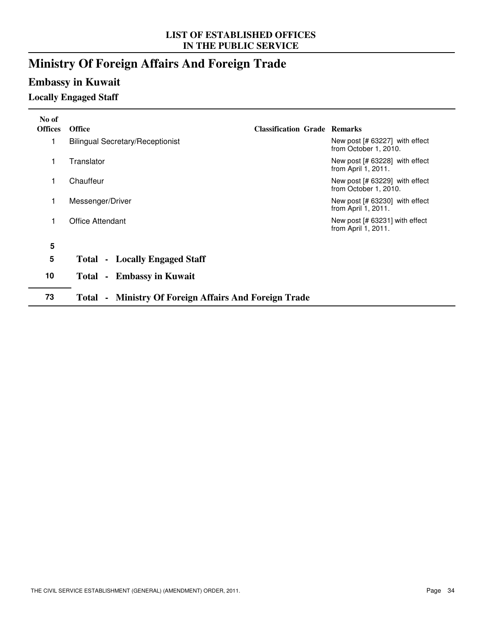# **Ministry Of Foreign Affairs And Foreign Trade**

# **Embassy in Kuwait**

## **Locally Engaged Staff**

| No of<br><b>Offices</b> | <b>Office</b>                                                                     | <b>Classification Grade Remarks</b> |                                                           |
|-------------------------|-----------------------------------------------------------------------------------|-------------------------------------|-----------------------------------------------------------|
| 1                       | <b>Bilingual Secretary/Receptionist</b>                                           |                                     | New post $[# 63227]$ with effect<br>from October 1, 2010. |
| 1                       | Translator                                                                        |                                     | New post $[# 63228]$ with effect<br>from April 1, 2011.   |
| 1                       | Chauffeur                                                                         |                                     | New post $[# 63229]$ with effect<br>from October 1, 2010. |
| 1                       | Messenger/Driver                                                                  |                                     | New post $[# 63230]$ with effect<br>from April 1, 2011.   |
| 1                       | Office Attendant                                                                  |                                     | New post $[# 63231]$ with effect<br>from April 1, 2011.   |
| 5                       |                                                                                   |                                     |                                                           |
| 5                       | - Locally Engaged Staff<br>Total                                                  |                                     |                                                           |
| 10                      | - Embassy in Kuwait<br>Total                                                      |                                     |                                                           |
| 73                      | <b>Ministry Of Foreign Affairs And Foreign Trade</b><br>Total -<br>$\blacksquare$ |                                     |                                                           |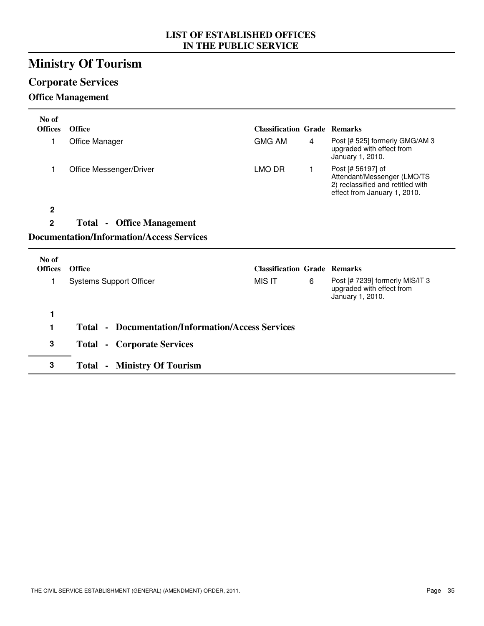# **Ministry Of Tourism**

# **Corporate Services**

## **Office Management**

| No of<br><b>Offices</b> | <b>Office</b>                                            | <b>Classification Grade Remarks</b> |   |                                                                                                                       |
|-------------------------|----------------------------------------------------------|-------------------------------------|---|-----------------------------------------------------------------------------------------------------------------------|
| 1                       | Office Manager                                           | <b>GMG AM</b>                       | 4 | Post [# 525] formerly GMG/AM 3<br>upgraded with effect from<br>January 1, 2010.                                       |
| 1                       | Office Messenger/Driver                                  | LMO DR                              | 1 | Post [# 56197] of<br>Attendant/Messenger (LMO/TS<br>2) reclassified and retitled with<br>effect from January 1, 2010. |
| 2                       |                                                          |                                     |   |                                                                                                                       |
| $\overline{2}$          | <b>Total - Office Management</b>                         |                                     |   |                                                                                                                       |
|                         | <b>Documentation/Information/Access Services</b>         |                                     |   |                                                                                                                       |
| No of                   |                                                          |                                     |   |                                                                                                                       |
| <b>Offices</b>          | <b>Office</b>                                            | <b>Classification Grade Remarks</b> |   |                                                                                                                       |
| 1                       | <b>Systems Support Officer</b>                           | <b>MIS IT</b>                       | 6 | Post [# 7239] formerly MIS/IT 3<br>upgraded with effect from<br>January 1, 2010.                                      |
| 1                       |                                                          |                                     |   |                                                                                                                       |
| 1                       | <b>Total • Documentation/Information/Access Services</b> |                                     |   |                                                                                                                       |
| 3                       | <b>Total - Corporate Services</b>                        |                                     |   |                                                                                                                       |
| 3                       |                                                          |                                     |   |                                                                                                                       |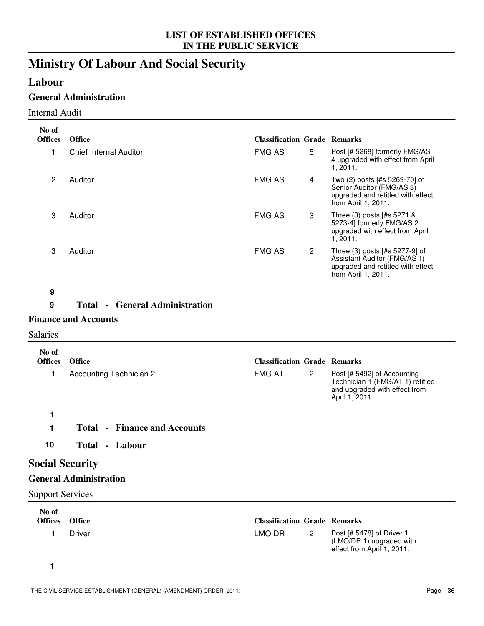# **Ministry Of Labour And Social Security**

## **Labour**

## **General Administration**

#### Internal Audit

| No of                   |                                       |                                     |                         |                                                                                                                            |
|-------------------------|---------------------------------------|-------------------------------------|-------------------------|----------------------------------------------------------------------------------------------------------------------------|
| <b>Offices</b>          | <b>Office</b>                         | <b>Classification Grade Remarks</b> |                         |                                                                                                                            |
| 1                       | <b>Chief Internal Auditor</b>         | <b>FMG AS</b>                       | 5                       | Post [# 5268] formerly FMG/AS<br>4 upgraded with effect from April<br>1, 2011.                                             |
| $\overline{2}$          | Auditor                               | <b>FMG AS</b>                       | $\overline{\mathbf{4}}$ | Two (2) posts [#s 5269-70] of<br>Senior Auditor (FMG/AS 3)<br>upgraded and retitled with effect<br>from April 1, 2011.     |
| 3                       | Auditor                               | <b>FMG AS</b>                       | 3                       | Three (3) posts [#s 5271 &<br>5273-4] formerly FMG/AS 2<br>upgraded with effect from April<br>1, 2011.                     |
| 3                       | Auditor                               | <b>FMG AS</b>                       | $\mathbf{2}$            | Three (3) posts [#s 5277-9] of<br>Assistant Auditor (FMG/AS 1)<br>upgraded and retitled with effect<br>from April 1, 2011. |
| $\boldsymbol{9}$        |                                       |                                     |                         |                                                                                                                            |
| 9                       | <b>Total • General Administration</b> |                                     |                         |                                                                                                                            |
|                         | <b>Finance and Accounts</b>           |                                     |                         |                                                                                                                            |
| <b>Salaries</b>         |                                       |                                     |                         |                                                                                                                            |
| No of<br><b>Offices</b> | <b>Office</b>                         | <b>Classification Grade Remarks</b> |                         |                                                                                                                            |
|                         |                                       |                                     |                         |                                                                                                                            |
| 1                       | <b>Accounting Technician 2</b>        | <b>FMG AT</b>                       | $\mathbf{2}$            | Post [# 5492] of Accounting<br>Technician 1 (FMG/AT 1) retitled<br>and upgraded with effect from<br>April 1, 2011.         |
| 1                       |                                       |                                     |                         |                                                                                                                            |
| 1                       | <b>Total - Finance and Accounts</b>   |                                     |                         |                                                                                                                            |
| 10                      | Total - Labour                        |                                     |                         |                                                                                                                            |
| <b>Social Security</b>  |                                       |                                     |                         |                                                                                                                            |

# **General Administration**

Support Services

| No of<br><b>Offices</b> | Office | <b>Classification Grade Remarks</b> |   |                                                                                     |
|-------------------------|--------|-------------------------------------|---|-------------------------------------------------------------------------------------|
|                         | Driver | LMO DR                              | 2 | Post [# 5478] of Driver 1<br>(LMO/DR 1) upgraded with<br>effect from April 1, 2011. |

**1**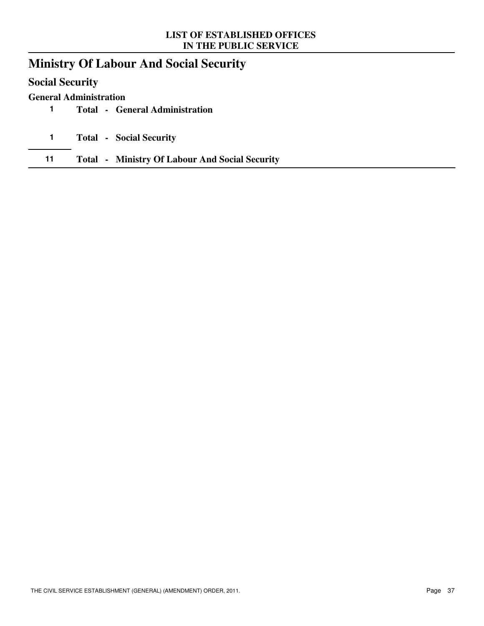# **Ministry Of Labour And Social Security**

## **Social Security**

### **General Administration**

- **1 Total - General Administration**
- **1 Total Social Security**
- **11 Total Ministry Of Labour And Social Security**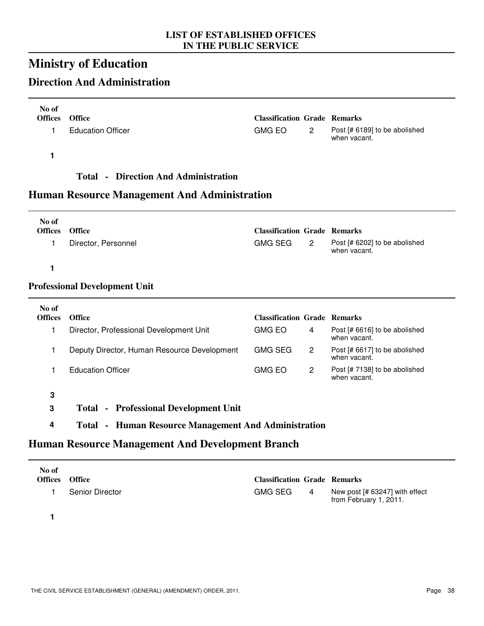# **Ministry of Education**

# **Direction And Administration**

| No of<br>Offices Office |                          | <b>Classification Grade Remarks</b> |   |                                               |
|-------------------------|--------------------------|-------------------------------------|---|-----------------------------------------------|
|                         | <b>Education Officer</b> | GMG EO                              | 2 | Post [# 6189] to be abolished<br>when vacant. |

**1**

### **Total - Direction And Administration**

## **Human Resource Management And Administration**

| No of<br><b>Offices</b> | <b>Office</b>       | <b>Classification Grade Remarks</b> |   |                                               |
|-------------------------|---------------------|-------------------------------------|---|-----------------------------------------------|
|                         | Director, Personnel | GMG SEG                             | 2 | Post [# 6202] to be abolished<br>when vacant. |

**1**

### **Professional Development Unit**

| No of<br><b>Offices</b> | <b>Office</b>                               | <b>Classification Grade Remarks</b> |                                               |
|-------------------------|---------------------------------------------|-------------------------------------|-----------------------------------------------|
|                         | Director, Professional Development Unit     | <b>GMG EO</b><br>4                  | Post [# 6616] to be abolished<br>when vacant. |
|                         | Deputy Director, Human Resource Development | <b>GMG SEG</b><br>2                 | Post [# 6617] to be abolished<br>when vacant. |
|                         | <b>Education Officer</b>                    | <b>GMG EO</b>                       | Post [# 7138] to be abolished<br>when vacant. |

- **3 Total - Professional Development Unit**
- **4 Total Human Resource Management And Administration**

### **Human Resource Management And Development Branch**

| No of<br><b>Offices</b> | <b>Office</b>   | <b>Classification Grade Remarks</b> |                                                          |
|-------------------------|-----------------|-------------------------------------|----------------------------------------------------------|
|                         | Senior Director | GMG SEG<br>4                        | New post [# 63247] with effect<br>from February 1, 2011. |

**1**

**3**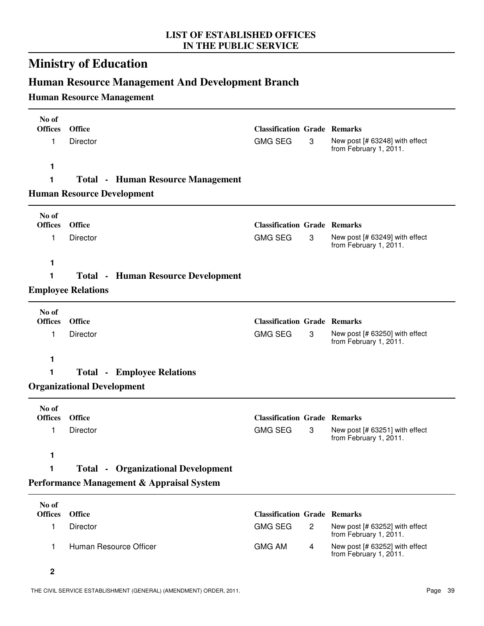# **Ministry of Education**

# **Human Resource Management And Development Branch**

## **Human Resource Management**

| No of<br><b>Offices</b> | <b>Office</b>                     |                                           | <b>Classification Grade Remarks</b> |                |                                                          |
|-------------------------|-----------------------------------|-------------------------------------------|-------------------------------------|----------------|----------------------------------------------------------|
| 1                       | Director                          |                                           | <b>GMG SEG</b>                      | 3              | New post [# 63248] with effect<br>from February 1, 2011. |
| 1                       |                                   |                                           |                                     |                |                                                          |
| 1                       |                                   | <b>Total • Human Resource Management</b>  |                                     |                |                                                          |
|                         | <b>Human Resource Development</b> |                                           |                                     |                |                                                          |
| No of<br><b>Offices</b> | <b>Office</b>                     |                                           | <b>Classification Grade Remarks</b> |                |                                                          |
| 1                       | Director                          |                                           | <b>GMG SEG</b>                      | 3              | New post [# 63249] with effect                           |
|                         |                                   |                                           |                                     |                | from February 1, 2011.                                   |
| 1                       |                                   |                                           |                                     |                |                                                          |
| 1                       |                                   | <b>Total • Human Resource Development</b> |                                     |                |                                                          |
|                         | <b>Employee Relations</b>         |                                           |                                     |                |                                                          |
| No of                   |                                   |                                           |                                     |                |                                                          |
| <b>Offices</b>          | <b>Office</b>                     |                                           | <b>Classification Grade Remarks</b> |                |                                                          |
| 1                       | Director                          |                                           | <b>GMG SEG</b>                      | 3              | New post [# 63250] with effect<br>from February 1, 2011. |
| 1                       |                                   |                                           |                                     |                |                                                          |
| 1                       |                                   | <b>Total - Employee Relations</b>         |                                     |                |                                                          |
|                         | <b>Organizational Development</b> |                                           |                                     |                |                                                          |
| No of                   |                                   |                                           |                                     |                |                                                          |
| <b>Offices</b>          | <b>Office</b>                     |                                           | <b>Classification Grade Remarks</b> |                |                                                          |
| 1                       | Director                          |                                           | <b>GMG SEG</b>                      | 3              | New post [# 63251] with effect<br>from February 1, 2011. |
| 1                       |                                   |                                           |                                     |                |                                                          |
| 1                       |                                   | <b>Total • Organizational Development</b> |                                     |                |                                                          |
|                         |                                   | Performance Management & Appraisal System |                                     |                |                                                          |
| No of<br><b>Offices</b> | <b>Office</b>                     |                                           | <b>Classification Grade Remarks</b> |                |                                                          |
|                         |                                   |                                           |                                     |                |                                                          |
| 1                       | Director                          |                                           | <b>GMG SEG</b>                      | $\overline{c}$ | New post [# 63252] with effect<br>from February 1, 2011. |
| 1                       |                                   | Human Resource Officer                    | <b>GMG AM</b>                       | 4              | New post [# 63252] with effect<br>from February 1, 2011. |
| $\mathbf 2$             |                                   |                                           |                                     |                |                                                          |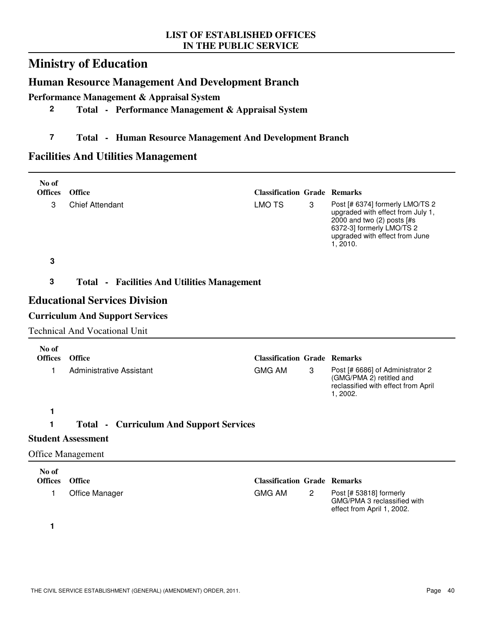# **Ministry of Education**

## **Human Resource Management And Development Branch**

**Performance Management & Appraisal System**

## **2 Total - Performance Management & Appraisal System**

## **7 Total - Human Resource Management And Development Branch**

## **Facilities And Utilities Management**

| No of<br><b>Offices</b> | Office                                             |                                                      |              |                                                                                                                                                                               |
|-------------------------|----------------------------------------------------|------------------------------------------------------|--------------|-------------------------------------------------------------------------------------------------------------------------------------------------------------------------------|
| 3                       | <b>Chief Attendant</b>                             | <b>Classification Grade Remarks</b><br><b>LMO TS</b> | 3            | Post [# 6374] formerly LMO/TS 2<br>upgraded with effect from July 1,<br>2000 and two (2) posts [#s<br>6372-3] formerly LMO/TS 2<br>upgraded with effect from June<br>1, 2010. |
| 3                       |                                                    |                                                      |              |                                                                                                                                                                               |
| 3                       | <b>Total - Facilities And Utilities Management</b> |                                                      |              |                                                                                                                                                                               |
|                         | <b>Educational Services Division</b>               |                                                      |              |                                                                                                                                                                               |
|                         | <b>Curriculum And Support Services</b>             |                                                      |              |                                                                                                                                                                               |
|                         | <b>Technical And Vocational Unit</b>               |                                                      |              |                                                                                                                                                                               |
| No of<br><b>Offices</b> | Office                                             | <b>Classification Grade Remarks</b>                  |              |                                                                                                                                                                               |
| 1                       | <b>Administrative Assistant</b>                    | <b>GMG AM</b>                                        | 3            | Post [# 6686] of Administrator 2<br>(GMG/PMA 2) retitled and<br>reclassified with effect from April<br>1, 2002.                                                               |
| 1                       |                                                    |                                                      |              |                                                                                                                                                                               |
| 1                       | <b>Total • Curriculum And Support Services</b>     |                                                      |              |                                                                                                                                                                               |
|                         | <b>Student Assessment</b>                          |                                                      |              |                                                                                                                                                                               |
|                         | <b>Office Management</b>                           |                                                      |              |                                                                                                                                                                               |
| No of                   |                                                    |                                                      |              |                                                                                                                                                                               |
| <b>Offices</b><br>1     | Office<br>Office Manager                           | <b>Classification Grade Remarks</b><br><b>GMG AM</b> | $\mathbf{2}$ | Post [# 53818] formerly<br>GMG/PMA 3 reclassified with<br>effect from April 1, 2002.                                                                                          |
| 1                       |                                                    |                                                      |              |                                                                                                                                                                               |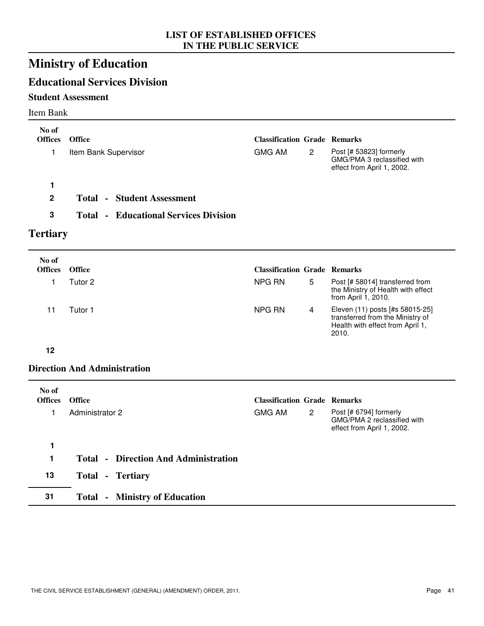# **Ministry of Education**

# **Educational Services Division**

### **Student Assessment**

#### Item Bank

| No of<br><b>Offices</b> | <b>Office</b>                            | <b>Classification Grade Remarks</b> |                       |                                                                                      |
|-------------------------|------------------------------------------|-------------------------------------|-----------------------|--------------------------------------------------------------------------------------|
|                         | Item Bank Supervisor                     | GMG AM                              | $\mathbf{2}^{\prime}$ | Post [# 53823] formerly<br>GMG/PMA 3 reclassified with<br>effect from April 1, 2002. |
|                         |                                          |                                     |                       |                                                                                      |
| $\mathbf{2}$            | - Student Assessment<br>Total            |                                     |                       |                                                                                      |
| 3                       | - Educational Services Division<br>Total |                                     |                       |                                                                                      |

# **Tertiary**

| No of<br><b>Offices</b> | <b>Office</b> | <b>Classification Grade Remarks</b> |   |                                                                                                                  |
|-------------------------|---------------|-------------------------------------|---|------------------------------------------------------------------------------------------------------------------|
|                         | Tutor 2       | NPG RN                              | 5 | Post [# 58014] transferred from<br>the Ministry of Health with effect<br>from April 1, 2010.                     |
|                         | Tutor 1       | NPG RN                              |   | Eleven (11) posts [#s 58015-25]<br>transferred from the Ministry of<br>Health with effect from April 1,<br>2010. |

#### **12**

### **Direction And Administration**

| No of<br><b>Offices</b> | <b>Office</b>                               | <b>Classification Grade Remarks</b> |              |                                                                                     |
|-------------------------|---------------------------------------------|-------------------------------------|--------------|-------------------------------------------------------------------------------------|
| 1                       | Administrator 2                             | <b>GMG AM</b>                       | $\mathbf{2}$ | Post [# 6794] formerly<br>GMG/PMA 2 reclassified with<br>effect from April 1, 2002. |
| 1                       |                                             |                                     |              |                                                                                     |
| 1                       | <b>Total - Direction And Administration</b> |                                     |              |                                                                                     |
| 13                      | <b>Total - Tertiary</b>                     |                                     |              |                                                                                     |
| 31                      | - Ministry of Education<br><b>Total</b>     |                                     |              |                                                                                     |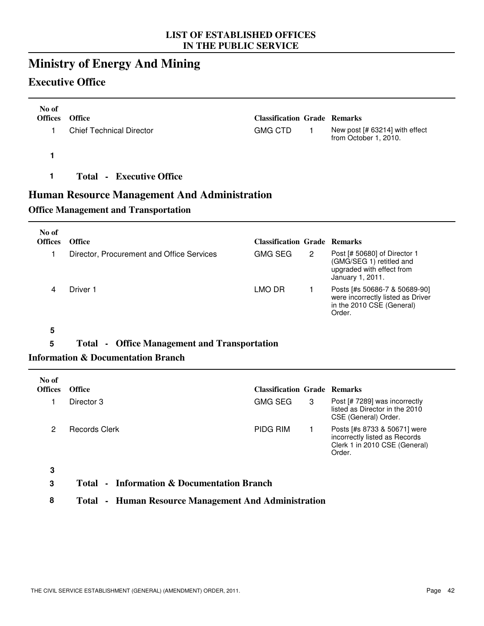# **Ministry of Energy And Mining**

## **Executive Office**

| No of<br><b>Offices</b> | <b>Office</b>                   | <b>Classification Grade Remarks</b> |                                                         |
|-------------------------|---------------------------------|-------------------------------------|---------------------------------------------------------|
|                         | <b>Chief Technical Director</b> | <b>GMG CTD</b>                      | New post [# 63214] with effect<br>from October 1, 2010. |
|                         |                                 |                                     |                                                         |
|                         | <b>Total - Executive Office</b> |                                     |                                                         |

## **Human Resource Management And Administration**

## **Office Management and Transportation**

| No of<br><b>Offices</b> | <b>Office</b>                             | <b>Classification Grade Remarks</b>     |                                                                                                           |
|-------------------------|-------------------------------------------|-----------------------------------------|-----------------------------------------------------------------------------------------------------------|
|                         | Director, Procurement and Office Services | <b>GMG SEG</b><br>$\mathbf{2}^{\prime}$ | Post [# 50680] of Director 1<br>(GMG/SEG 1) retitled and<br>upgraded with effect from<br>January 1, 2011. |
| 4                       | Driver 1                                  | LMO DR                                  | Posts [#s 50686-7 & 50689-90]<br>were incorrectly listed as Driver<br>in the 2010 CSE (General)<br>Order. |

**5**

# **5 Total - Office Management and Transportation**

### **Information & Documentation Branch**

| No of<br><b>Offices</b> | <b>Office</b> | <b>Classification Grade Remarks</b> |   |                                                                                                          |
|-------------------------|---------------|-------------------------------------|---|----------------------------------------------------------------------------------------------------------|
|                         | Director 3    | <b>GMG SEG</b>                      | 3 | Post [# 7289] was incorrectly<br>listed as Director in the 2010<br>CSE (General) Order.                  |
| 2                       | Records Clerk | PIDG RIM                            |   | Posts [#s 8733 & 50671] were<br>incorrectly listed as Records<br>Clerk 1 in 2010 CSE (General)<br>Order. |
| $\sim$                  |               |                                     |   |                                                                                                          |

**3**

### **3 Total - Information & Documentation Branch**

**8 Total - Human Resource Management And Administration**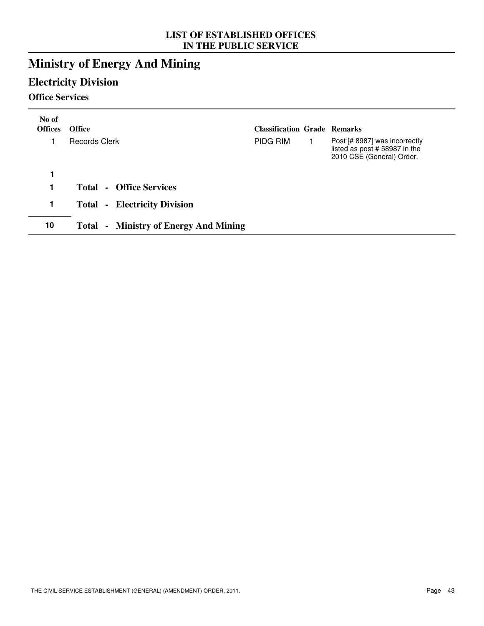# **Ministry of Energy And Mining**

# **Electricity Division**

## **Office Services**

| No of<br><b>Offices</b> | <b>Office</b>                                   | <b>Classification Grade Remarks</b> |                                                                                            |
|-------------------------|-------------------------------------------------|-------------------------------------|--------------------------------------------------------------------------------------------|
|                         | <b>Records Clerk</b>                            | PIDG RIM                            | Post [# 8987] was incorrectly<br>listed as post #58987 in the<br>2010 CSE (General) Order. |
| 1                       |                                                 |                                     |                                                                                            |
| 1                       | - Office Services<br>Total                      |                                     |                                                                                            |
| 1                       | - Electricity Division<br><b>Total</b>          |                                     |                                                                                            |
| 10                      | - Ministry of Energy And Mining<br><b>Total</b> |                                     |                                                                                            |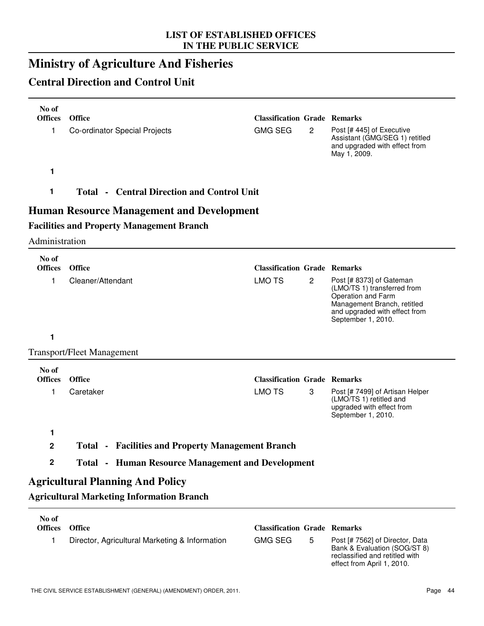# **Ministry of Agriculture And Fisheries**

# **Central Direction and Control Unit**

| No of                   |                                                          |                                     |                |                                                                                                                                                                     |
|-------------------------|----------------------------------------------------------|-------------------------------------|----------------|---------------------------------------------------------------------------------------------------------------------------------------------------------------------|
| <b>Offices</b>          | <b>Office</b>                                            | <b>Classification Grade Remarks</b> |                |                                                                                                                                                                     |
| 1                       | Co-ordinator Special Projects                            | <b>GMG SEG</b>                      | $\overline{2}$ | Post [# 445] of Executive<br>Assistant (GMG/SEG 1) retitled<br>and upgraded with effect from<br>May 1, 2009.                                                        |
| 1                       |                                                          |                                     |                |                                                                                                                                                                     |
| 1                       | <b>Total • Central Direction and Control Unit</b>        |                                     |                |                                                                                                                                                                     |
|                         | <b>Human Resource Management and Development</b>         |                                     |                |                                                                                                                                                                     |
|                         | <b>Facilities and Property Management Branch</b>         |                                     |                |                                                                                                                                                                     |
| Administration          |                                                          |                                     |                |                                                                                                                                                                     |
| No of<br><b>Offices</b> | Office                                                   | <b>Classification Grade Remarks</b> |                |                                                                                                                                                                     |
|                         |                                                          |                                     |                |                                                                                                                                                                     |
| 1                       | Cleaner/Attendant                                        | <b>LMO TS</b>                       | $\overline{c}$ | Post [# 8373] of Gateman<br>(LMO/TS 1) transferred from<br>Operation and Farm<br>Management Branch, retitled<br>and upgraded with effect from<br>September 1, 2010. |
| 1                       |                                                          |                                     |                |                                                                                                                                                                     |
|                         | <b>Transport/Fleet Management</b>                        |                                     |                |                                                                                                                                                                     |
| No of                   |                                                          |                                     |                |                                                                                                                                                                     |
| <b>Offices</b>          | Office                                                   | <b>Classification Grade Remarks</b> |                |                                                                                                                                                                     |
| 1                       | Caretaker                                                | <b>LMO TS</b>                       | 3              | Post [# 7499] of Artisan Helper<br>(LMO/TS 1) retitled and<br>upgraded with effect from<br>September 1, 2010.                                                       |
| 1                       |                                                          |                                     |                |                                                                                                                                                                     |
| $\mathbf 2$             | <b>Total • Facilities and Property Management Branch</b> |                                     |                |                                                                                                                                                                     |
| $\boldsymbol{2}$        | <b>Total - Human Resource Management and Development</b> |                                     |                |                                                                                                                                                                     |
|                         | <b>Agricultural Planning And Policy</b>                  |                                     |                |                                                                                                                                                                     |
|                         | <b>Agricultural Marketing Information Branch</b>         |                                     |                |                                                                                                                                                                     |
| No of                   |                                                          |                                     |                |                                                                                                                                                                     |
| <b>Offices</b>          | <b>Office</b>                                            | <b>Classification Grade Remarks</b> |                |                                                                                                                                                                     |
| 1                       | Director, Agricultural Marketing & Information           | <b>GMG SEG</b>                      | 5              | Post [# 7562] of Director, Data<br>Bank & Evaluation (SOG/ST 8)                                                                                                     |

reclassified and retitled with effect from April 1, 2010.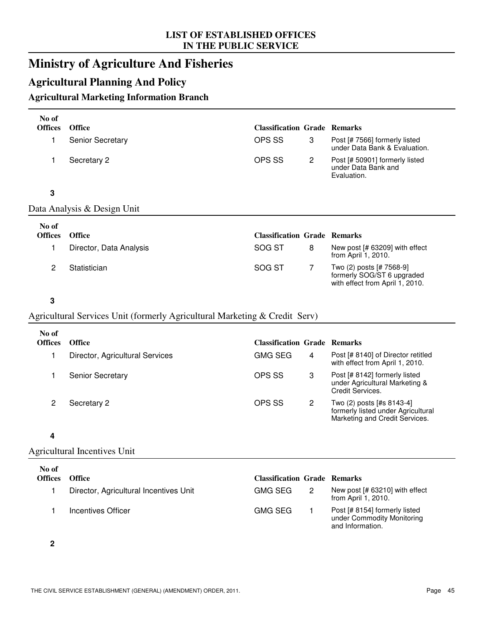# **Ministry of Agriculture And Fisheries**

# **Agricultural Planning And Policy**

## **Agricultural Marketing Information Branch**

| No of          |                                                                            |                                     |                |                                                                                           |
|----------------|----------------------------------------------------------------------------|-------------------------------------|----------------|-------------------------------------------------------------------------------------------|
| <b>Offices</b> | <b>Office</b>                                                              | <b>Classification Grade Remarks</b> |                |                                                                                           |
| 1              | <b>Senior Secretary</b>                                                    | OPS SS                              | 3              | Post [# 7566] formerly listed<br>under Data Bank & Evaluation.                            |
| 1              | Secretary 2                                                                | OPS SS                              | $\overline{2}$ | Post [# 50901] formerly listed<br>under Data Bank and<br>Evaluation.                      |
| $\mathbf 3$    |                                                                            |                                     |                |                                                                                           |
|                | Data Analysis & Design Unit                                                |                                     |                |                                                                                           |
| No of          |                                                                            |                                     |                |                                                                                           |
| <b>Offices</b> | <b>Office</b>                                                              | <b>Classification Grade Remarks</b> |                |                                                                                           |
| 1              | Director, Data Analysis                                                    | SOG ST                              | 8              | New post [# 63209] with effect<br>from April 1, 2010.                                     |
| $\overline{c}$ | Statistician                                                               | SOG ST                              | $\overline{7}$ | Two (2) posts [# 7568-9]<br>formerly SOG/ST 6 upgraded<br>with effect from April 1, 2010. |
| $\mathbf 3$    |                                                                            |                                     |                |                                                                                           |
|                | Agricultural Services Unit (formerly Agricultural Marketing & Credit Serv) |                                     |                |                                                                                           |
| No of          |                                                                            |                                     |                |                                                                                           |
| <b>Offices</b> | <b>Office</b>                                                              | <b>Classification Grade Remarks</b> |                |                                                                                           |
| 1              | Director, Agricultural Services                                            | <b>GMG SEG</b>                      | 4              | Post [# 8140] of Director retitled                                                        |

|                         |        | with effect from April 1, 2010.                                                                   |
|-------------------------|--------|---------------------------------------------------------------------------------------------------|
| <b>Senior Secretary</b> | OPS SS | Post [# 8142] formerly listed<br>under Agricultural Marketing &<br>Credit Services.               |
| Secretary 2             | OPS SS | Two (2) posts [#s 8143-4]<br>formerly listed under Agricultural<br>Marketing and Credit Services. |

#### **4**

### Agricultural Incentives Unit

| No of<br><b>Offices</b> | <b>Office</b>                          | <b>Classification Grade Remarks</b> |                                                                                 |
|-------------------------|----------------------------------------|-------------------------------------|---------------------------------------------------------------------------------|
|                         | Director, Agricultural Incentives Unit | GMG SEG                             | New post [# 63210] with effect<br>from April 1, 2010.                           |
|                         | Incentives Officer                     | GMG SEG                             | Post [# 8154] formerly listed<br>under Commodity Monitoring<br>and Information. |

**2**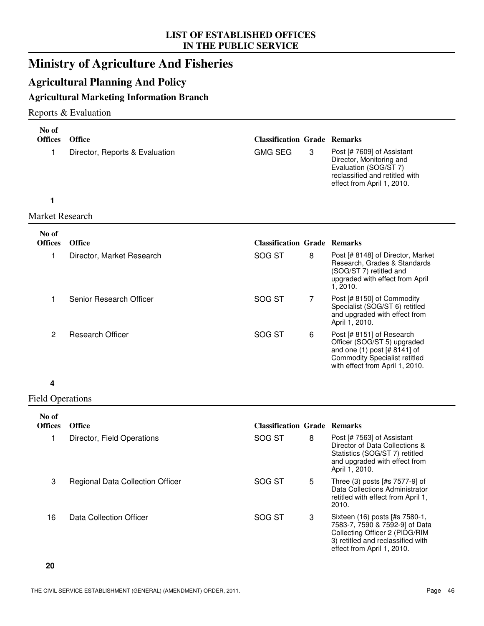# **Ministry of Agriculture And Fisheries**

# **Agricultural Planning And Policy**

## **Agricultural Marketing Information Branch**

### Reports & Evaluation

| No of<br><b>Offices</b> | <b>Office</b>                  | <b>Classification Grade Remarks</b> |                |                                                                                                                                                                     |
|-------------------------|--------------------------------|-------------------------------------|----------------|---------------------------------------------------------------------------------------------------------------------------------------------------------------------|
| 1                       | Director, Reports & Evaluation | <b>GMG SEG</b>                      | 3              | Post [# 7609] of Assistant<br>Director, Monitoring and<br>Evaluation (SOG/ST 7)<br>reclassified and retitled with<br>effect from April 1, 2010.                     |
| 1                       |                                |                                     |                |                                                                                                                                                                     |
| <b>Market Research</b>  |                                |                                     |                |                                                                                                                                                                     |
| No of<br><b>Offices</b> | <b>Office</b>                  | <b>Classification Grade Remarks</b> |                |                                                                                                                                                                     |
| 1                       | Director, Market Research      | SOG ST                              | 8              | Post [# 8148] of Director, Market<br>Research, Grades & Standards<br>(SOG/ST 7) retitled and<br>upgraded with effect from April<br>1, 2010.                         |
| 1                       | Senior Research Officer        | SOG ST                              | $\overline{7}$ | Post [# 8150] of Commodity<br>Specialist (SOG/ST 6) retitled<br>and upgraded with effect from<br>April 1, 2010.                                                     |
| $\overline{c}$          | <b>Research Officer</b>        | SOG ST                              | 6              | Post [# 8151] of Research<br>Officer (SOG/ST 5) upgraded<br>and one (1) post [# 8141] of<br><b>Commodity Specialist retitled</b><br>with effect from April 1, 2010. |
| 4                       |                                |                                     |                |                                                                                                                                                                     |

#### Field Operations

| No of<br><b>Offices</b> | <b>Office</b>                           | <b>Classification Grade Remarks</b> |   |                                                                                                                                                                       |
|-------------------------|-----------------------------------------|-------------------------------------|---|-----------------------------------------------------------------------------------------------------------------------------------------------------------------------|
|                         | Director, Field Operations              | SOG ST                              | 8 | Post [# 7563] of Assistant<br>Director of Data Collections &<br>Statistics (SOG/ST 7) retitled<br>and upgraded with effect from<br>April 1, 2010.                     |
| 3                       | <b>Regional Data Collection Officer</b> | SOG ST                              | 5 | Three (3) posts [#s 7577-9] of<br>Data Collections Administrator<br>retitled with effect from April 1,<br>2010.                                                       |
| 16                      | Data Collection Officer                 | SOG ST                              | 3 | Sixteen (16) posts [#s 7580-1,<br>7583-7, 7590 & 7592-9] of Data<br>Collecting Officer 2 (PIDG/RIM<br>3) retitled and reclassified with<br>effect from April 1, 2010. |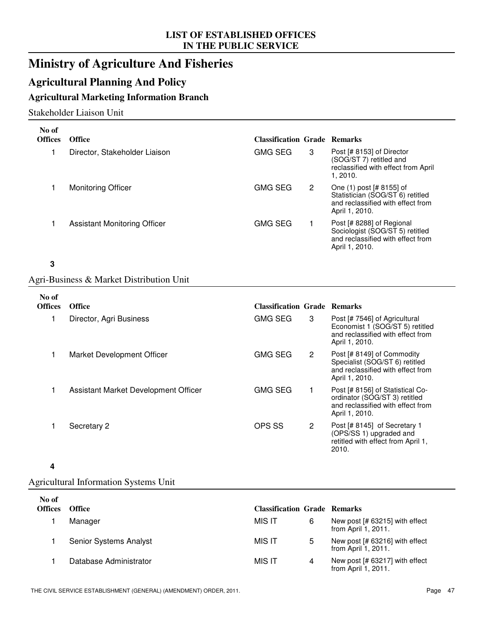# **Ministry of Agriculture And Fisheries**

# **Agricultural Planning And Policy**

## **Agricultural Marketing Information Branch**

### Stakeholder Liaison Unit

| No of<br><b>Offices</b> | <b>Office</b>                            | <b>Classification Grade Remarks</b> |              |                                                                                                                     |
|-------------------------|------------------------------------------|-------------------------------------|--------------|---------------------------------------------------------------------------------------------------------------------|
| 1                       | Director, Stakeholder Liaison            | <b>GMG SEG</b>                      | 3            | Post [# 8153] of Director<br>(SOG/ST 7) retitled and<br>reclassified with effect from April<br>1, 2010.             |
| 1                       | <b>Monitoring Officer</b>                | <b>GMG SEG</b>                      | $\mathbf{2}$ | One (1) post [# 8155] of<br>Statistician (SOG/ST 6) retitled<br>and reclassified with effect from<br>April 1, 2010. |
| 1                       | <b>Assistant Monitoring Officer</b>      | <b>GMG SEG</b>                      | 1.           | Post [# 8288] of Regional<br>Sociologist (SOG/ST 5) retitled<br>and reclassified with effect from<br>April 1, 2010. |
| 3                       |                                          |                                     |              |                                                                                                                     |
|                         | Agri-Business & Market Distribution Unit |                                     |              |                                                                                                                     |
| No of                   |                                          |                                     |              |                                                                                                                     |
| <b>Offices</b>          | <b>Office</b>                            | <b>Classification Grade Remarks</b> |              |                                                                                                                     |
| 1                       | Director, Agri Business                  | <b>GMG SEG</b>                      | 3            | Post [# 7546] of Agricultural<br>Economist 1 (SOG/ST 5) retitled                                                    |

| No of<br><b>Offices</b> | <b>Office</b>                        | <b>Classification Grade Remarks</b> |   |                                                                                                                          |
|-------------------------|--------------------------------------|-------------------------------------|---|--------------------------------------------------------------------------------------------------------------------------|
|                         | Director, Agri Business              | <b>GMG SEG</b>                      | 3 | Post [# 7546] of Agricultural<br>Economist 1 (SOG/ST 5) retitled<br>and reclassified with effect from<br>April 1, 2010.  |
|                         | Market Development Officer           | <b>GMG SEG</b>                      | 2 | Post [# 8149] of Commodity<br>Specialist (SOG/ST 6) retitled<br>and reclassified with effect from<br>April 1, 2010.      |
|                         | Assistant Market Development Officer | <b>GMG SEG</b>                      |   | Post [# 8156] of Statistical Co-<br>ordinator (SOG/ST 3) retitled<br>and reclassified with effect from<br>April 1, 2010. |
|                         | Secretary 2                          | OPS SS                              | 2 | Post [# 8145] of Secretary 1<br>(OPS/SS 1) upgraded and<br>retitled with effect from April 1,<br>2010.                   |

#### **4**

# Agricultural Information Systems Unit

| No of<br><b>Offices</b> | <b>Office</b>          | <b>Classification Grade Remarks</b> |   |                                                       |
|-------------------------|------------------------|-------------------------------------|---|-------------------------------------------------------|
|                         | Manager                | MIS IT                              | 6 | New post [# 63215] with effect<br>from April 1, 2011. |
|                         | Senior Systems Analyst | MIS IT                              | 5 | New post [# 63216] with effect<br>from April 1, 2011. |
|                         | Database Administrator | MIS IT                              | 4 | New post [# 63217] with effect<br>from April 1, 2011. |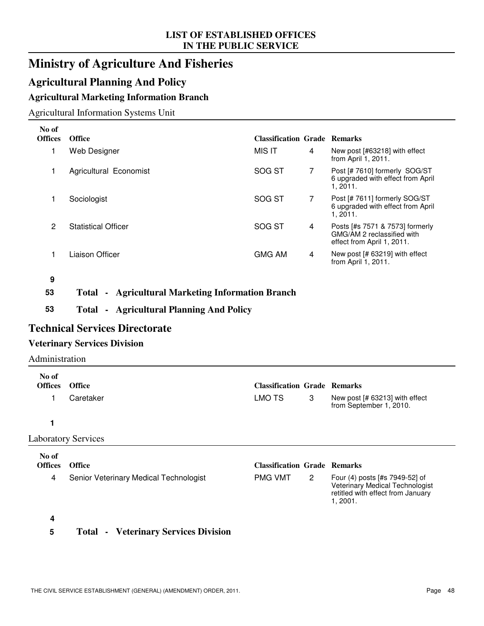# **Ministry of Agriculture And Fisheries**

# **Agricultural Planning And Policy**

# **Agricultural Marketing Information Branch**

## Agricultural Information Systems Unit

| No of<br><b>Offices</b> | <b>Office</b>              | <b>Classification Grade Remarks</b> |   |                                                                                             |
|-------------------------|----------------------------|-------------------------------------|---|---------------------------------------------------------------------------------------------|
|                         | Web Designer               | MIS IT                              | 4 | New post [#63218] with effect<br>from April 1, 2011.                                        |
|                         | Agricultural Economist     | SOG ST                              | 7 | Post [# 7610] formerly SOG/ST<br>6 upgraded with effect from April<br>1, 2011.              |
|                         | Sociologist                | SOG ST                              | 7 | Post [# 7611] formerly SOG/ST<br>6 upgraded with effect from April<br>1, 2011.              |
| 2                       | <b>Statistical Officer</b> | SOG ST                              | 4 | Posts [#s 7571 & 7573] formerly<br>GMG/AM 2 reclassified with<br>effect from April 1, 2011. |
|                         | Liaison Officer            | <b>GMG AM</b>                       | 4 | New post [# 63219] with effect<br>from April 1, 2011.                                       |

**9**

### **53 Total - Agricultural Marketing Information Branch**

**53 Total - Agricultural Planning And Policy**

## **Technical Services Directorate**

### **Veterinary Services Division**

### Administration

| No of<br><b>Offices</b> | <b>Office</b>                          | <b>Classification Grade Remarks</b> |              |                                                                                                                    |
|-------------------------|----------------------------------------|-------------------------------------|--------------|--------------------------------------------------------------------------------------------------------------------|
|                         | Caretaker                              | LMO TS                              | 3            | New post [# 63213] with effect<br>from September 1, 2010.                                                          |
|                         |                                        |                                     |              |                                                                                                                    |
|                         | <b>Laboratory Services</b>             |                                     |              |                                                                                                                    |
| No of<br><b>Offices</b> | <b>Office</b>                          | <b>Classification Grade Remarks</b> |              |                                                                                                                    |
| 4                       | Senior Veterinary Medical Technologist | <b>PMG VMT</b>                      | $\mathbf{2}$ | Four (4) posts [#s 7949-52] of<br>Veterinary Medical Technologist<br>retitled with effect from January<br>1, 2001. |

#### **4**

### **5 Total - Veterinary Services Division**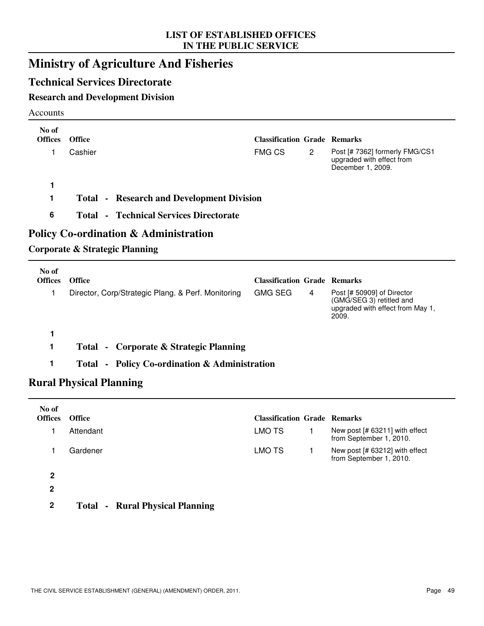# **Ministry of Agriculture And Fisheries**

## **Technical Services Directorate**

## **Research and Development Division**

#### Accounts

 $\overline{\phantom{0}}$ 

| No of<br><b>Offices</b> | <b>Office</b>                                                                      | <b>Classification Grade Remarks</b> |                |                                                                                                     |
|-------------------------|------------------------------------------------------------------------------------|-------------------------------------|----------------|-----------------------------------------------------------------------------------------------------|
| 1                       | Cashier                                                                            | <b>FMG CS</b>                       | $\overline{2}$ | Post [# 7362] formerly FMG/CS1<br>upgraded with effect from<br>December 1, 2009.                    |
| 1                       |                                                                                    |                                     |                |                                                                                                     |
|                         | <b>Total - Research and Development Division</b>                                   |                                     |                |                                                                                                     |
| 6                       | <b>Total - Technical Services Directorate</b>                                      |                                     |                |                                                                                                     |
|                         | <b>Policy Co-ordination &amp; Administration</b><br>Corporate & Strategic Planning |                                     |                |                                                                                                     |
| No of<br><b>Offices</b> | <b>Office</b>                                                                      | <b>Classification Grade Remarks</b> |                |                                                                                                     |
| 1                       | Director, Corp/Strategic Plang. & Perf. Monitoring                                 | <b>GMG SEG</b>                      | 4              | Post [# 50909] of Director<br>(GMG/SEG 3) retitled and<br>upgraded with effect from May 1,<br>2009. |
|                         |                                                                                    |                                     |                |                                                                                                     |

- **1 Total - Corporate & Strategic Planning**
- **1 Total Policy Co-ordination & Administration**

## **Rural Physical Planning**

| No of<br><b>Offices</b> | <b>Office</b> |                                        | <b>Classification Grade Remarks</b> |                                                           |
|-------------------------|---------------|----------------------------------------|-------------------------------------|-----------------------------------------------------------|
|                         | Attendant     |                                        | LMO TS                              | New post [# 63211] with effect<br>from September 1, 2010. |
|                         | Gardener      |                                        | LMO TS                              | New post [# 63212] with effect<br>from September 1, 2010. |
| 2                       |               |                                        |                                     |                                                           |
| $\mathbf{2}$            |               |                                        |                                     |                                                           |
| 2                       |               | <b>Total - Rural Physical Planning</b> |                                     |                                                           |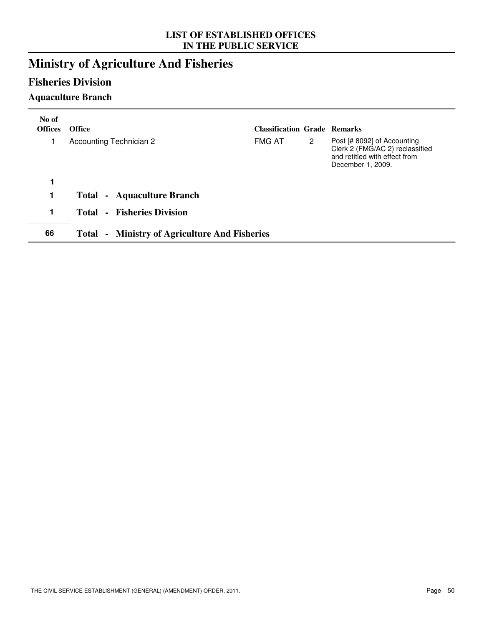# **Ministry of Agriculture And Fisheries**

## **Fisheries Division**

## **Aquaculture Branch**

| No of<br><b>Offices</b> | <b>Office</b>                                        | <b>Classification Grade Remarks</b> |                       |                                                                                                                      |
|-------------------------|------------------------------------------------------|-------------------------------------|-----------------------|----------------------------------------------------------------------------------------------------------------------|
|                         | Accounting Technician 2                              | <b>FMG AT</b>                       | $\mathbf{2}^{\prime}$ | Post [# 8092] of Accounting<br>Clerk 2 (FMG/AC 2) reclassified<br>and retitled with effect from<br>December 1, 2009. |
| 1                       |                                                      |                                     |                       |                                                                                                                      |
| 1                       | <b>Total - Aquaculture Branch</b>                    |                                     |                       |                                                                                                                      |
| 1                       | <b>Total - Fisheries Division</b>                    |                                     |                       |                                                                                                                      |
| 66                      | <b>Total - Ministry of Agriculture And Fisheries</b> |                                     |                       |                                                                                                                      |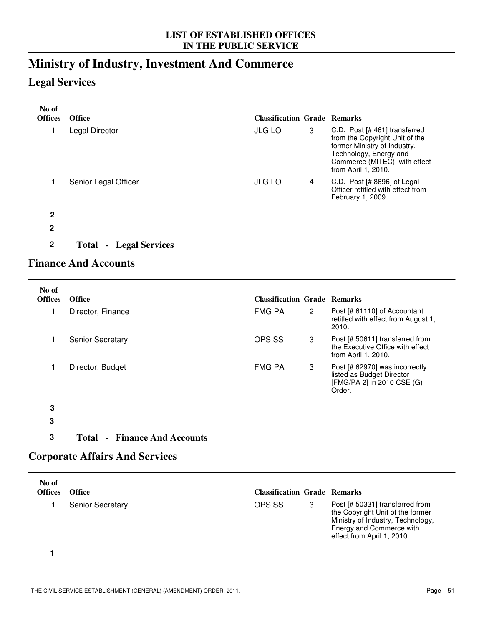# **Ministry of Industry, Investment And Commerce**

## **Legal Services**

| No of<br><b>Offices</b> | <b>Office</b>        | <b>Classification Grade Remarks</b> |   |                                                                                                                                                                                  |
|-------------------------|----------------------|-------------------------------------|---|----------------------------------------------------------------------------------------------------------------------------------------------------------------------------------|
|                         | Legal Director       | <b>JLG LO</b>                       | 3 | C.D. Post [# 461] transferred<br>from the Copyright Unit of the<br>former Ministry of Industry,<br>Technology, Energy and<br>Commerce (MITEC) with effect<br>from April 1, 2010. |
|                         | Senior Legal Officer | <b>JLG LO</b>                       | 4 | C.D. Post $[#8696]$ of Legal<br>Officer retitled with effect from<br>February 1, 2009.                                                                                           |
| 2                       |                      |                                     |   |                                                                                                                                                                                  |
| $\mathbf 2$             |                      |                                     |   |                                                                                                                                                                                  |

**2 Total - Legal Services**

# **Finance And Accounts**

| No of<br><b>Offices</b> | <b>Office</b>           | <b>Classification Grade Remarks</b> |              |                                                                                                     |
|-------------------------|-------------------------|-------------------------------------|--------------|-----------------------------------------------------------------------------------------------------|
|                         | Director, Finance       | <b>FMG PA</b>                       | $\mathbf{2}$ | Post [# 61110] of Accountant<br>retitled with effect from August 1,<br>2010.                        |
|                         | <b>Senior Secretary</b> | OPS SS                              | 3            | Post [# 50611] transferred from<br>the Executive Office with effect<br>from April 1, 2010.          |
|                         | Director, Budget        | <b>FMG PA</b>                       | 3            | Post [# 62970] was incorrectly<br>listed as Budget Director<br>[FMG/PA 2] in 2010 CSE (G)<br>Order. |
| 3                       |                         |                                     |              |                                                                                                     |

- **3**
- **3 Total Finance And Accounts**

## **Corporate Affairs And Services**

| No of<br><b>Offices</b> | <b>Office</b>           | <b>Classification Grade Remarks</b> |                                                                                                                                                                    |
|-------------------------|-------------------------|-------------------------------------|--------------------------------------------------------------------------------------------------------------------------------------------------------------------|
|                         | <b>Senior Secretary</b> | OPS SS                              | Post [# 50331] transferred from<br>the Copyright Unit of the former<br>Ministry of Industry, Technology,<br>Energy and Commerce with<br>effect from April 1, 2010. |

**1**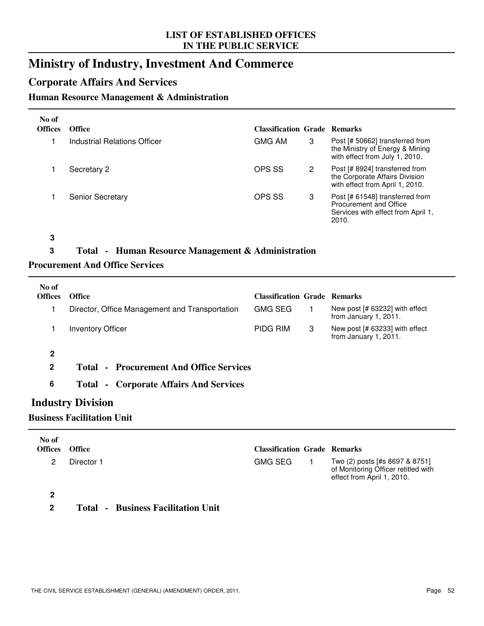# **Ministry of Industry, Investment And Commerce**

## **Corporate Affairs And Services**

### **Human Resource Management & Administration**

| No of<br><b>Offices</b> | <b>Office</b>                | <b>Classification Grade Remarks</b> |   |                                                                                                          |
|-------------------------|------------------------------|-------------------------------------|---|----------------------------------------------------------------------------------------------------------|
|                         | Industrial Relations Officer | <b>GMG AM</b>                       | 3 | Post [# 50662] transferred from<br>the Ministry of Energy & Mining<br>with effect from July 1, 2010.     |
|                         | Secretary 2                  | OPS SS                              | 2 | Post [# 8924] transferred from<br>the Corporate Affairs Division<br>with effect from April 1, 2010.      |
|                         | <b>Senior Secretary</b>      | OPS SS                              | 3 | Post [# 61548] transferred from<br>Procurement and Office<br>Services with effect from April 1,<br>2010. |

**3**

### **3 Total - Human Resource Management & Administration**

#### **Procurement And Office Services**

| No of<br><b>Offices</b> | <b>Office</b>                                  | <b>Classification Grade Remarks</b> |   |                                                         |
|-------------------------|------------------------------------------------|-------------------------------------|---|---------------------------------------------------------|
|                         | Director, Office Management and Transportation | <b>GMG SEG</b>                      |   | New post [# 63232] with effect<br>from January 1, 2011. |
|                         | <b>Inventory Officer</b>                       | PIDG RIM                            | 3 | New post [# 63233] with effect<br>from January 1, 2011. |
| 2                       |                                                |                                     |   |                                                         |
| $\mathbf{2}$            | <b>Total - Procurement And Office Services</b> |                                     |   |                                                         |
| 6                       | <b>Total - Corporate Affairs And Services</b>  |                                     |   |                                                         |

## **Industry Division**

### **Business Facilitation Unit**

| No of<br><b>Offices</b> | <b>Office</b> | <b>Classification Grade Remarks</b> |                                                                                                     |
|-------------------------|---------------|-------------------------------------|-----------------------------------------------------------------------------------------------------|
| 2                       | Director 1    | <b>GMG SEG</b>                      | Two (2) posts [#s 8697 & 8751]<br>of Monitoring Officer retitled with<br>effect from April 1, 2010. |
|                         |               |                                     |                                                                                                     |

**2 Total - Business Facilitation Unit**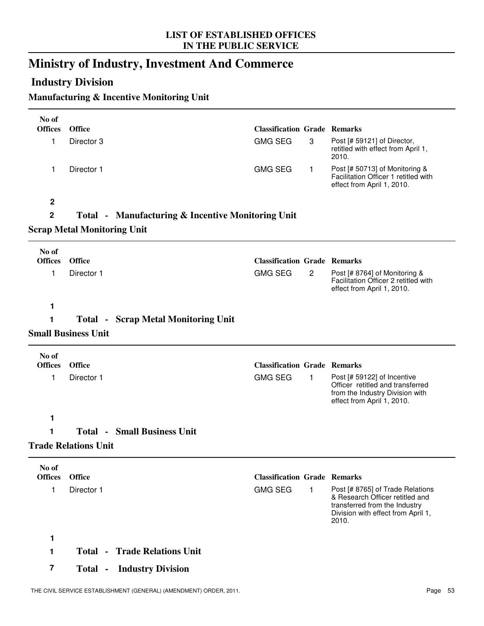# **Ministry of Industry, Investment And Commerce**

# **Industry Division**

## **Manufacturing & Incentive Monitoring Unit**

| No of                   |                                    |                                                              |                                     |              |                                                                                                                                  |
|-------------------------|------------------------------------|--------------------------------------------------------------|-------------------------------------|--------------|----------------------------------------------------------------------------------------------------------------------------------|
| <b>Offices</b>          | <b>Office</b>                      |                                                              | <b>Classification Grade Remarks</b> |              |                                                                                                                                  |
| 1                       | Director 3                         |                                                              | <b>GMG SEG</b>                      | 3            | Post [# 59121] of Director,<br>retitled with effect from April 1,<br>2010.                                                       |
| 1                       | Director 1                         |                                                              | <b>GMG SEG</b>                      | 1            | Post [# 50713] of Monitoring &<br>Facilitation Officer 1 retitled with<br>effect from April 1, 2010.                             |
| $\boldsymbol{2}$        |                                    |                                                              |                                     |              |                                                                                                                                  |
| $\mathbf 2$             |                                    | <b>Total • Manufacturing &amp; Incentive Monitoring Unit</b> |                                     |              |                                                                                                                                  |
|                         | <b>Scrap Metal Monitoring Unit</b> |                                                              |                                     |              |                                                                                                                                  |
| No of                   |                                    |                                                              |                                     |              |                                                                                                                                  |
| <b>Offices</b>          | <b>Office</b>                      |                                                              | <b>Classification Grade Remarks</b> |              |                                                                                                                                  |
| 1                       | Director 1                         |                                                              | <b>GMG SEG</b>                      | $\mathbf{2}$ | Post [# 8764] of Monitoring &<br>Facilitation Officer 2 retitled with<br>effect from April 1, 2010.                              |
| 1                       |                                    |                                                              |                                     |              |                                                                                                                                  |
| 1                       |                                    | <b>Total - Scrap Metal Monitoring Unit</b>                   |                                     |              |                                                                                                                                  |
|                         | <b>Small Business Unit</b>         |                                                              |                                     |              |                                                                                                                                  |
| No of                   |                                    |                                                              |                                     |              |                                                                                                                                  |
| <b>Offices</b>          | <b>Office</b>                      |                                                              | <b>Classification Grade Remarks</b> |              |                                                                                                                                  |
| 1                       | Director 1                         |                                                              | <b>GMG SEG</b>                      | 1            | Post [# 59122] of Incentive<br>Officer retitled and transferred<br>from the Industry Division with<br>effect from April 1, 2010. |
| 1                       |                                    |                                                              |                                     |              |                                                                                                                                  |
| 1                       |                                    | <b>Total - Small Business Unit</b>                           |                                     |              |                                                                                                                                  |
|                         | <b>Trade Relations Unit</b>        |                                                              |                                     |              |                                                                                                                                  |
|                         |                                    |                                                              |                                     |              |                                                                                                                                  |
| No of<br><b>Offices</b> | <b>Office</b>                      |                                                              | <b>Classification Grade Remarks</b> |              |                                                                                                                                  |
| 1                       | Director 1                         |                                                              | <b>GMG SEG</b>                      | 1            | Post [# 8765] of Trade Relations                                                                                                 |
|                         |                                    |                                                              |                                     |              | & Research Officer retitled and<br>transferred from the Industry<br>Division with effect from April 1,<br>2010.                  |
| 1                       |                                    |                                                              |                                     |              |                                                                                                                                  |
| 1                       | Total -                            | <b>Trade Relations Unit</b>                                  |                                     |              |                                                                                                                                  |
| $\overline{\mathbf{7}}$ |                                    | <b>Total - Industry Division</b>                             |                                     |              |                                                                                                                                  |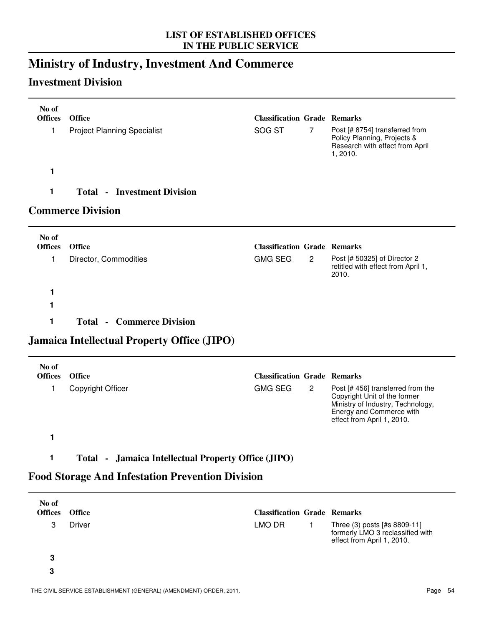# **Ministry of Industry, Investment And Commerce**

# **Investment Division**

| No of<br><b>Offices</b>                              | <b>Office</b>                      | <b>Classification Grade Remarks</b> |                |                                                                                                              |
|------------------------------------------------------|------------------------------------|-------------------------------------|----------------|--------------------------------------------------------------------------------------------------------------|
| 1                                                    | <b>Project Planning Specialist</b> | SOG ST                              | $\overline{7}$ | Post [# 8754] transferred from<br>Policy Planning, Projects &<br>Research with effect from April<br>1, 2010. |
| 1                                                    |                                    |                                     |                |                                                                                                              |
| 1                                                    | <b>Total - Investment Division</b> |                                     |                |                                                                                                              |
|                                                      | <b>Commerce Division</b>           |                                     |                |                                                                                                              |
| No of<br>$\Omega_{\text{eff}}$ $\Omega_{\text{eff}}$ |                                    | Clercksotton Cuede Demonto          |                |                                                                                                              |

| <b>Offices</b> | <b>Office</b>         | <b>Classification Grade Remarks</b> |                |                                                                             |
|----------------|-----------------------|-------------------------------------|----------------|-----------------------------------------------------------------------------|
|                | Director, Commodities | GMG SEG                             | $\overline{2}$ | Post [# 50325] of Director 2<br>retitled with effect from April 1,<br>2010. |
|                |                       |                                     |                |                                                                             |
|                |                       |                                     |                |                                                                             |

**1 Total - Commerce Division**

# **Jamaica Intellectual Property Office (JIPO)**

| No of<br><b>Offices</b> | <b>Office</b>     | <b>Classification Grade Remarks</b>    |                                                                                                                                                                 |
|-------------------------|-------------------|----------------------------------------|-----------------------------------------------------------------------------------------------------------------------------------------------------------------|
|                         | Copyright Officer | <b>GMG SEG</b><br>$\mathbf{2}^{\circ}$ | Post [#456] transferred from the<br>Copyright Unit of the former<br>Ministry of Industry, Technology,<br>Energy and Commerce with<br>effect from April 1, 2010. |
|                         |                   |                                        |                                                                                                                                                                 |

## **1 Total - Jamaica Intellectual Property Office (JIPO)**

# **Food Storage And Infestation Prevention Division**

| No of<br><b>Offices</b> | <b>Office</b> | <b>Classification Grade Remarks</b> |                                                                                                |
|-------------------------|---------------|-------------------------------------|------------------------------------------------------------------------------------------------|
| З                       | <b>Driver</b> | LMO DR                              | Three (3) posts [#s 8809-11]<br>formerly LMO 3 reclassified with<br>effect from April 1, 2010. |
| 3                       |               |                                     |                                                                                                |
| 3                       |               |                                     |                                                                                                |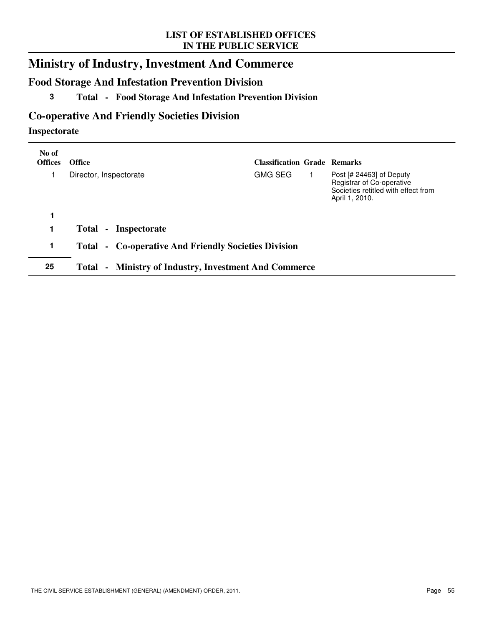# **Ministry of Industry, Investment And Commerce**

# **Food Storage And Infestation Prevention Division**

## **3 Total - Food Storage And Infestation Prevention Division**

# **Co-operative And Friendly Societies Division**

### **Inspectorate**

| No of<br><b>Offices</b> | <b>Office</b>                                                | <b>Classification Grade Remarks</b> |  |                                                                                                                  |
|-------------------------|--------------------------------------------------------------|-------------------------------------|--|------------------------------------------------------------------------------------------------------------------|
|                         | Director, Inspectorate                                       | <b>GMG SEG</b>                      |  | Post $[# 24463]$ of Deputy<br>Registrar of Co-operative<br>Societies retitled with effect from<br>April 1, 2010. |
|                         |                                                              |                                     |  |                                                                                                                  |
|                         | <b>Total</b><br>Inspectorate<br>$\blacksquare$               |                                     |  |                                                                                                                  |
| 1                       | Total - Co-operative And Friendly Societies Division         |                                     |  |                                                                                                                  |
| 25                      | <b>Total - Ministry of Industry, Investment And Commerce</b> |                                     |  |                                                                                                                  |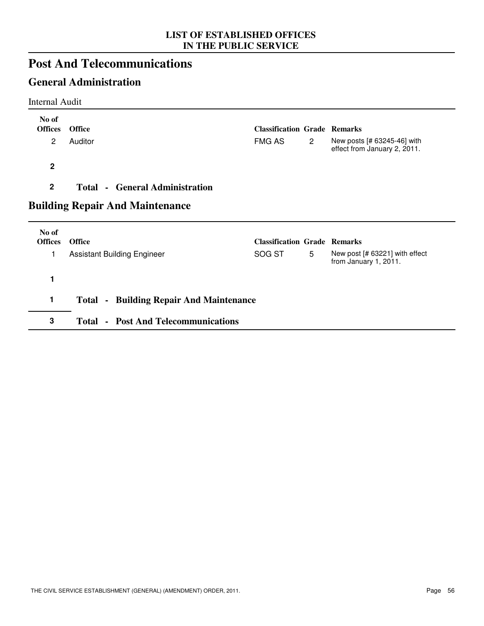# **Post And Telecommunications**

# **General Administration**

Internal Audit

| No of<br><b>Offices</b> | <b>Office</b>                                  | <b>Classification Grade Remarks</b> |                |                                                             |
|-------------------------|------------------------------------------------|-------------------------------------|----------------|-------------------------------------------------------------|
| $\overline{2}$          | Auditor                                        | <b>FMG AS</b>                       | $\overline{2}$ | New posts [# 63245-46] with<br>effect from January 2, 2011. |
| $\overline{2}$          |                                                |                                     |                |                                                             |
| $\boldsymbol{2}$        | <b>Total - General Administration</b>          |                                     |                |                                                             |
|                         | <b>Building Repair And Maintenance</b>         |                                     |                |                                                             |
| No of<br><b>Offices</b> | <b>Office</b>                                  | <b>Classification Grade Remarks</b> |                |                                                             |
| 1                       | <b>Assistant Building Engineer</b>             | SOG ST                              | 5              | New post [# 63221] with effect<br>from January 1, 2011.     |
| 1                       |                                                |                                     |                |                                                             |
|                         |                                                |                                     |                |                                                             |
| 1                       | <b>Total - Building Repair And Maintenance</b> |                                     |                |                                                             |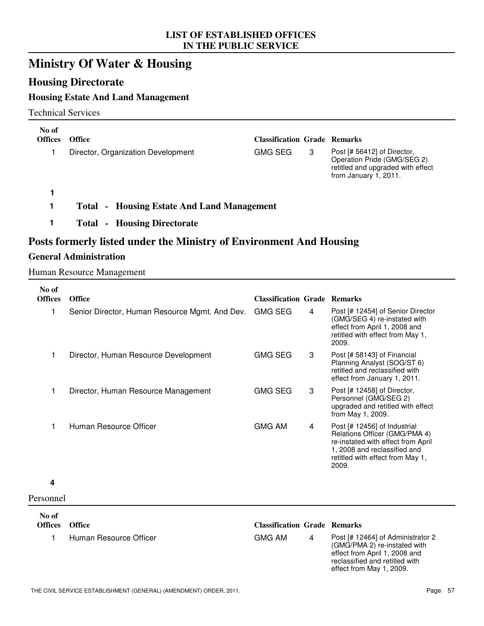# **Ministry Of Water & Housing**

## **Housing Directorate**

## **Housing Estate And Land Management**

Technical Services

| No of<br><b>Offices</b> | Office                                               | <b>Classification Grade Remarks</b> |   |                                                                                                                          |
|-------------------------|------------------------------------------------------|-------------------------------------|---|--------------------------------------------------------------------------------------------------------------------------|
|                         | Director, Organization Development                   | GMG SEG                             | 3 | Post [# 56412] of Director,<br>Operation Pride (GMG/SEG 2)<br>retitled and upgraded with effect<br>from January 1, 2011. |
|                         |                                                      |                                     |   |                                                                                                                          |
|                         | - Housing Estate And Land Management<br><b>Total</b> |                                     |   |                                                                                                                          |
|                         | - Housing Directorate<br>Total -                     |                                     |   |                                                                                                                          |

# **Posts formerly listed under the Ministry of Environment And Housing**

#### **General Administration**

Human Resource Management

| No of<br><b>Offices</b> | <b>Office</b>                                  | <b>Classification Grade Remarks</b> |   |                                                                                                                                                                                  |
|-------------------------|------------------------------------------------|-------------------------------------|---|----------------------------------------------------------------------------------------------------------------------------------------------------------------------------------|
|                         |                                                |                                     |   |                                                                                                                                                                                  |
| 1                       | Senior Director, Human Resource Mgmt. And Dev. | <b>GMG SEG</b>                      | 4 | Post [# 12454] of Senior Director<br>(GMG/SEG 4) re-instated with<br>effect from April 1, 2008 and<br>retitled with effect from May 1,<br>2009.                                  |
| 1                       | Director, Human Resource Development           | <b>GMG SEG</b>                      | 3 | Post [# 58143] of Financial<br>Planning Analyst (SOG/ST 6)<br>retitled and reclassified with<br>effect from January 1, 2011.                                                     |
| 1                       | Director, Human Resource Management            | <b>GMG SEG</b>                      | 3 | Post [# 12458] of Director,<br>Personnel (GMG/SEG 2)<br>upgraded and retitled with effect<br>from May 1, 2009.                                                                   |
| 1                       | Human Resource Officer                         | <b>GMG AM</b>                       | 4 | Post [# 12456] of Industrial<br>Relations Officer (GMG/PMA 4)<br>re-instated with effect from April<br>1, 2008 and reclassified and<br>retitled with effect from May 1,<br>2009. |
| 4                       |                                                |                                     |   |                                                                                                                                                                                  |
| Personnel               |                                                |                                     |   |                                                                                                                                                                                  |
| No of                   |                                                |                                     |   |                                                                                                                                                                                  |
| <b>Offices</b>          | <b>Office</b>                                  | <b>Classification Grade Remarks</b> |   |                                                                                                                                                                                  |
| 1                       | Human Resource Officer                         | <b>GMG AM</b>                       | 4 | Post [# 12464] of Administrator 2<br>(GMG/PMA 2) re-instated with<br>effect from April 1, 2008 and<br>reclassified and retitled with<br>effect from May 1, 2009.                 |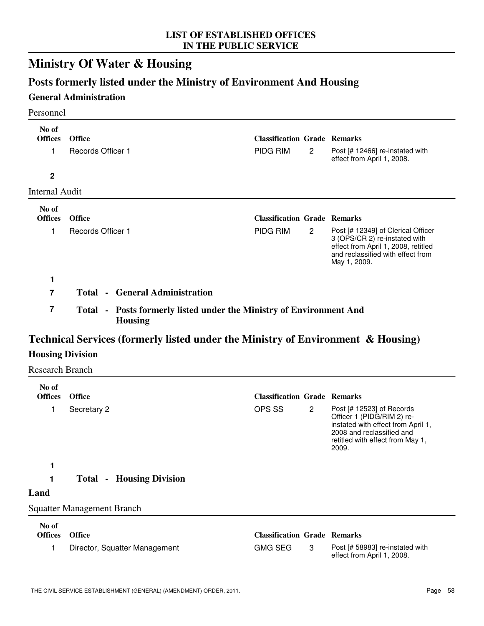# **Ministry Of Water & Housing**

# **Posts formerly listed under the Ministry of Environment And Housing**

### **General Administration**

#### Personnel

| No of<br><b>Offices</b><br>1 | <b>Office</b><br><b>Records Officer 1</b> | <b>Classification Grade Remarks</b><br>PIDG RIM | $\overline{2}$ | Post [# 12466] re-instated with<br>effect from April 1, 2008.                                                                                                   |
|------------------------------|-------------------------------------------|-------------------------------------------------|----------------|-----------------------------------------------------------------------------------------------------------------------------------------------------------------|
| $\mathbf{2}$                 |                                           |                                                 |                |                                                                                                                                                                 |
| Internal Audit               |                                           |                                                 |                |                                                                                                                                                                 |
| No of<br><b>Offices</b>      | <b>Office</b>                             | <b>Classification Grade Remarks</b>             |                |                                                                                                                                                                 |
| 1                            | <b>Records Officer 1</b>                  | PIDG RIM                                        | $\mathbf{2}$   | Post [# 12349] of Clerical Officer<br>3 (OPS/CR 2) re-instated with<br>effect from April 1, 2008, retitled<br>and reclassified with effect from<br>May 1, 2009. |
| 1                            | <b>Total • General Administration</b>     |                                                 |                |                                                                                                                                                                 |

**7 Total - Posts formerly listed under the Ministry of Environment And Housing**

# **Technical Services (formerly listed under the Ministry of Environment & Housing)**

## **Housing Division**

Research Branch

| No of<br><b>Offices</b> | <b>Office</b>                      | <b>Classification Grade Remarks</b> |                |                                                                                                                                                                           |
|-------------------------|------------------------------------|-------------------------------------|----------------|---------------------------------------------------------------------------------------------------------------------------------------------------------------------------|
| 1                       | Secretary 2                        | OPS SS                              | $\overline{2}$ | Post $[# 12523]$ of Records<br>Officer 1 (PIDG/RIM 2) re-<br>instated with effect from April 1,<br>2008 and reclassified and<br>retitled with effect from May 1,<br>2009. |
| 1                       |                                    |                                     |                |                                                                                                                                                                           |
|                         | <b>Housing Division</b><br>Total - |                                     |                |                                                                                                                                                                           |
| Land                    |                                    |                                     |                |                                                                                                                                                                           |
|                         | <b>Squatter Management Branch</b>  |                                     |                |                                                                                                                                                                           |
| No of                   |                                    |                                     |                |                                                                                                                                                                           |
| <b>Offices</b>          | <b>Office</b>                      | <b>Classification Grade Remarks</b> |                |                                                                                                                                                                           |
| 1                       | Director, Squatter Management      | <b>GMG SEG</b>                      | 3              | Post [# 58983] re-instated with<br>effect from April 1, 2008.                                                                                                             |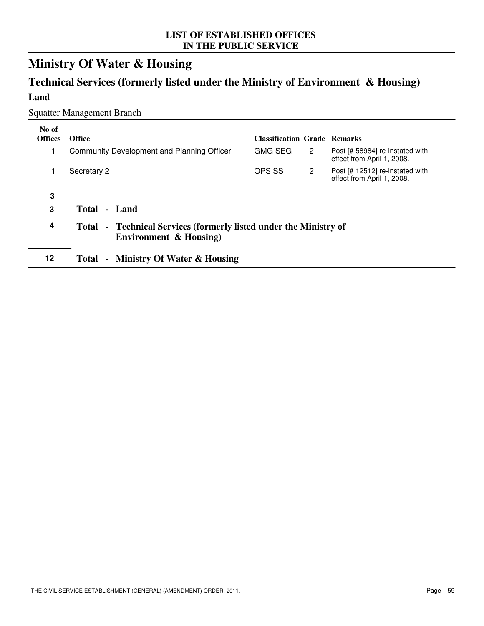# **Ministry Of Water & Housing**

# **Technical Services (formerly listed under the Ministry of Environment & Housing) Land**

### Squatter Management Branch

| No of<br><b>Offices</b> | <b>Office</b>                                                                               | <b>Classification Grade Remarks</b> |                      |                                                               |
|-------------------------|---------------------------------------------------------------------------------------------|-------------------------------------|----------------------|---------------------------------------------------------------|
|                         | Community Development and Planning Officer                                                  | <b>GMG SEG</b>                      | $\mathbf{2}^{\circ}$ | Post [# 58984] re-instated with<br>effect from April 1, 2008. |
|                         | Secretary 2                                                                                 | OPS SS                              | $\mathbf{2}^{\circ}$ | Post [# 12512] re-instated with<br>effect from April 1, 2008. |
| 3                       |                                                                                             |                                     |                      |                                                               |
| 3                       | Total<br>- Land                                                                             |                                     |                      |                                                               |
| 4                       | Total - Technical Services (formerly listed under the Ministry of<br>Environment & Housing) |                                     |                      |                                                               |
| 12                      | <b>Ministry Of Water &amp; Housing</b><br>Total                                             |                                     |                      |                                                               |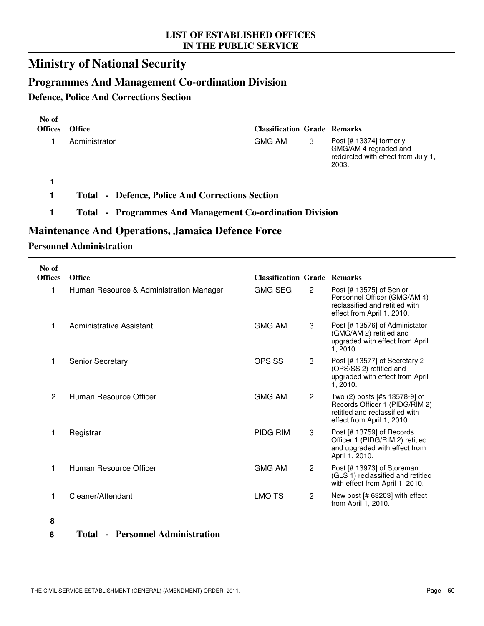# **Ministry of National Security**

# **Programmes And Management Co-ordination Division**

### **Defence, Police And Corrections Section**

| No of<br><b>Offices</b> | <b>Office</b>                                          | <b>Classification Grade Remarks</b> |   |                                                                                                    |
|-------------------------|--------------------------------------------------------|-------------------------------------|---|----------------------------------------------------------------------------------------------------|
|                         | Administrator                                          | GMG AM                              | 3 | Post $[# 13374]$ formerly<br>GMG/AM 4 regraded and<br>redcircled with effect from July 1,<br>2003. |
|                         |                                                        |                                     |   |                                                                                                    |
|                         | <b>Total • Defence, Police And Corrections Section</b> |                                     |   |                                                                                                    |

### **1 Total - Programmes And Management Co-ordination Division**

## **Maintenance And Operations, Jamaica Defence Force**

### **Personnel Administration**

| No of<br><b>Offices</b> | <b>Office</b>                           | <b>Classification Grade Remarks</b> |                |                                                                                                                                 |
|-------------------------|-----------------------------------------|-------------------------------------|----------------|---------------------------------------------------------------------------------------------------------------------------------|
| 1                       | Human Resource & Administration Manager | <b>GMG SEG</b>                      | $\overline{2}$ | Post [# 13575] of Senior<br>Personnel Officer (GMG/AM 4)<br>reclassified and retitled with<br>effect from April 1, 2010.        |
| 1                       | Administrative Assistant                | <b>GMG AM</b>                       | 3              | Post [# 13576] of Administator<br>(GMG/AM 2) retitled and<br>upgraded with effect from April<br>1, 2010.                        |
| 1                       | <b>Senior Secretary</b>                 | OPS SS                              | 3              | Post [# 13577] of Secretary 2<br>(OPS/SS 2) retitled and<br>upgraded with effect from April<br>1, 2010.                         |
| 2                       | Human Resource Officer                  | <b>GMG AM</b>                       | $\overline{2}$ | Two (2) posts [#s 13578-9] of<br>Records Officer 1 (PIDG/RIM 2)<br>retitled and reclassified with<br>effect from April 1, 2010. |
| 1                       | Registrar                               | <b>PIDG RIM</b>                     | 3              | Post [# 13759] of Records<br>Officer 1 (PIDG/RIM 2) retitled<br>and upgraded with effect from<br>April 1, 2010.                 |
| 1                       | Human Resource Officer                  | <b>GMG AM</b>                       | $\overline{2}$ | Post [# 13973] of Storeman<br>(GLS 1) reclassified and retitled<br>with effect from April 1, 2010.                              |
|                         | Cleaner/Attendant                       | LMO TS                              | $\overline{2}$ | New post [# 63203] with effect<br>from April 1, 2010.                                                                           |
| 8                       |                                         |                                     |                |                                                                                                                                 |

**8 Total - Personnel Administration**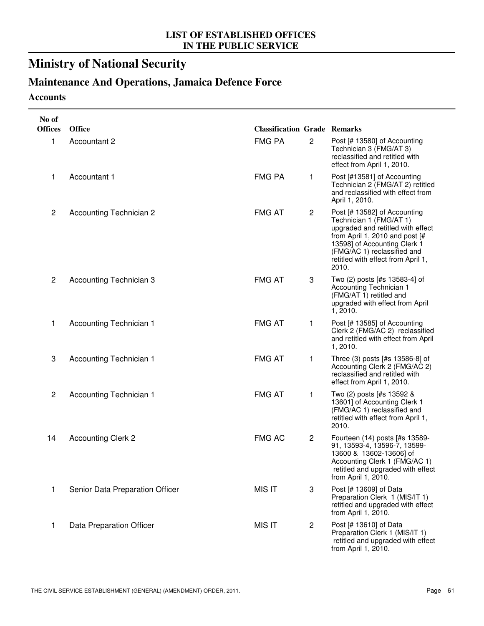# **Ministry of National Security**

# **Maintenance And Operations, Jamaica Defence Force**

### **Accounts**

| No of          |                                 |                                     |                |                                                                                                                                                                                                                                              |
|----------------|---------------------------------|-------------------------------------|----------------|----------------------------------------------------------------------------------------------------------------------------------------------------------------------------------------------------------------------------------------------|
| <b>Offices</b> | <b>Office</b>                   | <b>Classification Grade Remarks</b> |                |                                                                                                                                                                                                                                              |
| 1              | Accountant 2                    | <b>FMG PA</b>                       | $\overline{c}$ | Post [# 13580] of Accounting<br>Technician 3 (FMG/AT 3)<br>reclassified and retitled with<br>effect from April 1, 2010.                                                                                                                      |
| 1              | Accountant 1                    | <b>FMG PA</b>                       | 1              | Post [#13581] of Accounting<br>Technician 2 (FMG/AT 2) retitled<br>and reclassified with effect from<br>April 1, 2010.                                                                                                                       |
| $\overline{c}$ | <b>Accounting Technician 2</b>  | <b>FMG AT</b>                       | $\mathbf{2}$   | Post [# 13582] of Accounting<br>Technician 1 (FMG/AT 1)<br>upgraded and retitled with effect<br>from April 1, 2010 and post [#<br>13598] of Accounting Clerk 1<br>(FMG/AC 1) reclassified and<br>retitled with effect from April 1,<br>2010. |
| $\overline{c}$ | Accounting Technician 3         | <b>FMG AT</b>                       | 3              | Two (2) posts [#s 13583-4] of<br>Accounting Technician 1<br>(FMG/AT 1) retitled and<br>upgraded with effect from April<br>1,2010.                                                                                                            |
| 1              | <b>Accounting Technician 1</b>  | <b>FMG AT</b>                       | 1              | Post [# 13585] of Accounting<br>Clerk 2 (FMG/AC 2) reclassified<br>and retitled with effect from April<br>1,2010.                                                                                                                            |
| 3              | <b>Accounting Technician 1</b>  | <b>FMG AT</b>                       | 1              | Three (3) posts [#s 13586-8] of<br>Accounting Clerk 2 (FMG/AC 2)<br>reclassified and retitled with<br>effect from April 1, 2010.                                                                                                             |
| $\overline{c}$ | <b>Accounting Technician 1</b>  | <b>FMG AT</b>                       | 1              | Two (2) posts [#s 13592 &<br>13601] of Accounting Clerk 1<br>(FMG/AC 1) reclassified and<br>retitled with effect from April 1,<br>2010.                                                                                                      |
| 14             | <b>Accounting Clerk 2</b>       | <b>FMG AC</b>                       | $\mathbf{2}$   | Fourteen (14) posts [#s 13589-<br>91, 13593-4, 13596-7, 13599-<br>13600 & 13602-13606] of<br>Accounting Clerk 1 (FMG/AC 1)<br>retitled and upgraded with effect<br>from April 1, 2010.                                                       |
| 1              | Senior Data Preparation Officer | <b>MIS IT</b>                       | 3              | Post [# 13609] of Data<br>Preparation Clerk 1 (MIS/IT 1)<br>retitled and upgraded with effect<br>from April 1, 2010.                                                                                                                         |
| 1              | Data Preparation Officer        | <b>MIS IT</b>                       | 2              | Post [# 13610] of Data<br>Preparation Clerk 1 (MIS/IT 1)<br>retitled and upgraded with effect<br>from April 1, 2010.                                                                                                                         |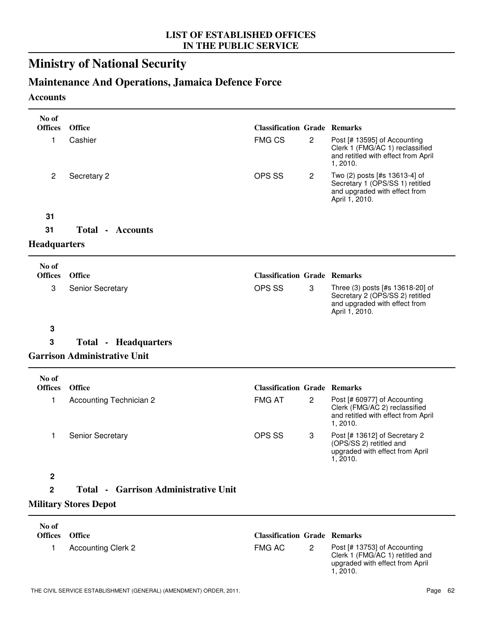# **Ministry of National Security**

# **Maintenance And Operations, Jamaica Defence Force**

### **Accounts**

| No of<br><b>Offices</b> | Office                                      | <b>Classification Grade Remarks</b> |                |                                                                                                                        |
|-------------------------|---------------------------------------------|-------------------------------------|----------------|------------------------------------------------------------------------------------------------------------------------|
| 1                       | Cashier                                     | <b>FMG CS</b>                       | $\overline{c}$ | Post [# 13595] of Accounting<br>Clerk 1 (FMG/AC 1) reclassified<br>and retitled with effect from April<br>1, 2010.     |
| $\overline{c}$          | Secretary 2                                 | OPS SS                              | $\mathbf{2}$   | Two (2) posts [#s 13613-4] of<br>Secretary 1 (OPS/SS 1) retitled<br>and upgraded with effect from<br>April 1, 2010.    |
| 31                      |                                             |                                     |                |                                                                                                                        |
| 31                      | <b>Total - Accounts</b>                     |                                     |                |                                                                                                                        |
| <b>Headquarters</b>     |                                             |                                     |                |                                                                                                                        |
| No of<br><b>Offices</b> | Office                                      | <b>Classification Grade Remarks</b> |                |                                                                                                                        |
| 3                       | Senior Secretary                            | OPS SS                              | 3              | Three (3) posts [#s 13618-20] of<br>Secretary 2 (OPS/SS 2) retitled<br>and upgraded with effect from<br>April 1, 2010. |
| $\mathbf 3$             |                                             |                                     |                |                                                                                                                        |
| 3                       | <b>Total - Headquarters</b>                 |                                     |                |                                                                                                                        |
|                         | <b>Garrison Administrative Unit</b>         |                                     |                |                                                                                                                        |
| No of<br><b>Offices</b> | <b>Office</b>                               | <b>Classification Grade Remarks</b> |                |                                                                                                                        |
| 1                       | <b>Accounting Technician 2</b>              | <b>FMG AT</b>                       | $\mathbf{2}$   | Post [# 60977] of Accounting<br>Clerk (FMG/AC 2) reclassified<br>and retitled with effect from April<br>1, 2010.       |
| 1                       | Senior Secretary                            | OPS SS                              | 3              | Post [# 13612] of Secretary 2<br>(OPS/SS 2) retitled and<br>upgraded with effect from April<br>1, 2010.                |
| $\boldsymbol{2}$        |                                             |                                     |                |                                                                                                                        |
| $\mathbf 2$             | <b>Total • Garrison Administrative Unit</b> |                                     |                |                                                                                                                        |
|                         | <b>Military Stores Depot</b>                |                                     |                |                                                                                                                        |
| No of<br><b>Offices</b> | Office                                      | <b>Classification Grade Remarks</b> |                |                                                                                                                        |
| 1                       | <b>Accounting Clerk 2</b>                   | <b>FMG AC</b>                       | $\mathbf{2}$   | Post [# 13753] of Accounting<br>Clerk 1 (FMG/AC 1) retitled and<br>upgraded with effect from April<br>1, 2010.         |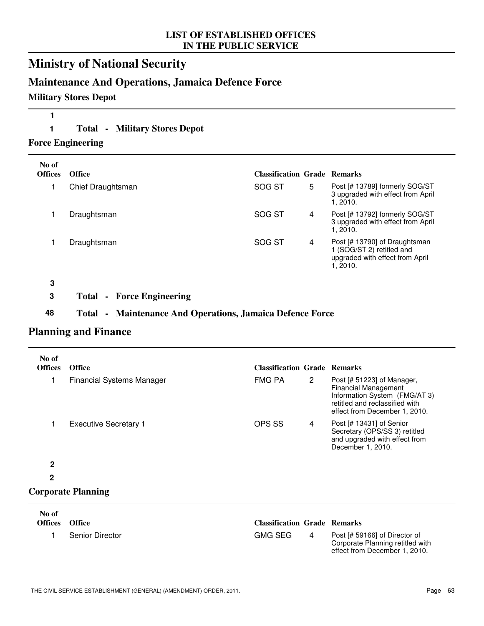# **Ministry of National Security**

## **Maintenance And Operations, Jamaica Defence Force**

### **Military Stores Depot**

## **1**

**1 Total - Military Stores Depot**

**Force Engineering**

| No of<br><b>Offices</b> | <b>Office</b>     | <b>Classification Grade Remarks</b> |   |                                                                                                           |
|-------------------------|-------------------|-------------------------------------|---|-----------------------------------------------------------------------------------------------------------|
|                         | Chief Draughtsman | SOG ST                              | 5 | Post [# 13789] formerly SOG/ST<br>3 upgraded with effect from April<br>1.2010.                            |
|                         | Draughtsman       | SOG ST                              | 4 | Post [# 13792] formerly SOG/ST<br>3 upgraded with effect from April<br>1.2010.                            |
|                         | Draughtsman       | SOG ST                              | 4 | Post [# 13790] of Draughtsman<br>1 (SOG/ST 2) retitled and<br>upgraded with effect from April<br>1, 2010. |
| 3                       |                   |                                     |   |                                                                                                           |

**3 Total - Force Engineering**

### **48 Total - Maintenance And Operations, Jamaica Defence Force**

## **Planning and Finance**

| No of<br><b>Offices</b> | <b>Office</b>                    | <b>Classification Grade Remarks</b> |                       |                                                                                                                                                               |
|-------------------------|----------------------------------|-------------------------------------|-----------------------|---------------------------------------------------------------------------------------------------------------------------------------------------------------|
| 1                       | <b>Financial Systems Manager</b> | FMG PA                              | $\mathbf{2}^{\prime}$ | Post [# 51223] of Manager,<br><b>Financial Management</b><br>Information System (FMG/AT 3)<br>retitled and reclassified with<br>effect from December 1, 2010. |
|                         | <b>Executive Secretary 1</b>     | OPS SS                              | 4                     | Post [# 13431] of Senior<br>Secretary (OPS/SS 3) retitled<br>and upgraded with effect from<br>December 1, 2010.                                               |
| $\mathbf{2}$            |                                  |                                     |                       |                                                                                                                                                               |
| $\mathbf{2}$            |                                  |                                     |                       |                                                                                                                                                               |
|                         | <b>Corporate Planning</b>        |                                     |                       |                                                                                                                                                               |
| No of                   |                                  |                                     |                       |                                                                                                                                                               |

| No of<br><b>Offices</b> | Office          | <b>Classification Grade Remarks</b> |   |                                                                                                    |
|-------------------------|-----------------|-------------------------------------|---|----------------------------------------------------------------------------------------------------|
|                         | Senior Director | GMG SEG                             | 4 | Post [# 59166] of Director of<br>Corporate Planning retitled with<br>effect from December 1, 2010. |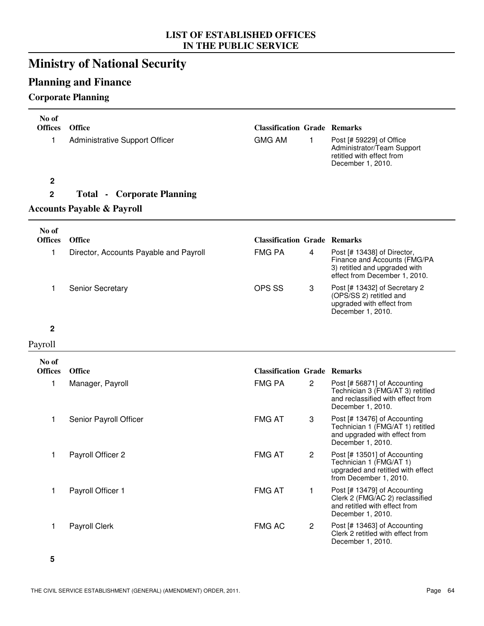# **Ministry of National Security**

# **Planning and Finance**

## **Corporate Planning**

| No of<br><b>Offices</b> | <b>Office</b>                          | <b>Classification Grade Remarks</b> |                |                                                                                                                               |
|-------------------------|----------------------------------------|-------------------------------------|----------------|-------------------------------------------------------------------------------------------------------------------------------|
| 1                       | <b>Administrative Support Officer</b>  | <b>GMG AM</b>                       | $\mathbf{1}$   | Post [# 59229] of Office<br>Administrator/Team Support<br>retitled with effect from<br>December 1, 2010.                      |
| $\mathbf 2$             |                                        |                                     |                |                                                                                                                               |
| $\mathbf 2$             | <b>Total - Corporate Planning</b>      |                                     |                |                                                                                                                               |
|                         | <b>Accounts Payable &amp; Payroll</b>  |                                     |                |                                                                                                                               |
| No of<br><b>Offices</b> | <b>Office</b>                          | <b>Classification Grade Remarks</b> |                |                                                                                                                               |
| 1                       | Director, Accounts Payable and Payroll | <b>FMG PA</b>                       | 4              | Post [# 13438] of Director,<br>Finance and Accounts (FMG/PA<br>3) retitled and upgraded with<br>effect from December 1, 2010. |
| 1                       | Senior Secretary                       | OPS SS                              | 3              | Post [# 13432] of Secretary 2<br>(OPS/SS 2) retitled and<br>upgraded with effect from<br>December 1, 2010.                    |
| $\mathbf 2$             |                                        |                                     |                |                                                                                                                               |
| Payroll                 |                                        |                                     |                |                                                                                                                               |
| No of                   |                                        |                                     |                |                                                                                                                               |
| <b>Offices</b>          | <b>Office</b>                          | <b>Classification Grade Remarks</b> |                |                                                                                                                               |
| 1                       | Manager, Payroll                       | <b>FMG PA</b>                       | $\overline{c}$ | Post [# 56871] of Accounting<br>Technician 3 (FMG/AT 3) retitled<br>and reclassified with effect from<br>December 1, 2010.    |
| 1                       | Senior Payroll Officer                 | <b>FMG AT</b>                       | 3              | Post [# 13476] of Accounting<br>Technician 1 (FMG/AT 1) retitled<br>and upgraded with effect from<br>December 1, 2010.        |
| 1                       | Payroll Officer 2                      | <b>FMG AT</b>                       | $\mathbf{2}$   | Post [# 13501] of Accounting<br>Technician 1 (FMG/AT 1)<br>upgraded and retitled with effect<br>from December 1, 2010.        |
| 1                       | Payroll Officer 1                      | <b>FMG AT</b>                       | 1              | Post [# 13479] of Accounting<br>Clerk 2 (FMG/AC 2) reclassified<br>and retitled with effect from<br>December 1, 2010.         |
| 1                       | Payroll Clerk                          | <b>FMG AC</b>                       | $\mathbf{2}$   | Post [# 13463] of Accounting<br>Clerk 2 retitled with effect from<br>December 1, 2010.                                        |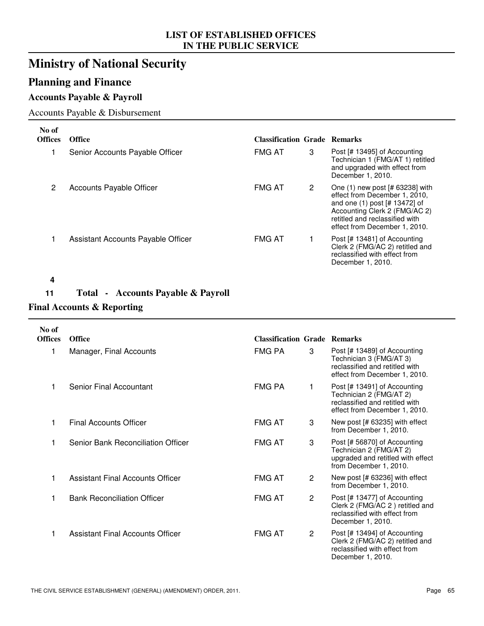# **Ministry of National Security**

## **Planning and Finance**

## **Accounts Payable & Payroll**

### Accounts Payable & Disbursement

| No of<br><b>Offices</b> | Office                             | <b>Classification Grade Remarks</b> |   |                                                                                                                                                                                                           |
|-------------------------|------------------------------------|-------------------------------------|---|-----------------------------------------------------------------------------------------------------------------------------------------------------------------------------------------------------------|
|                         | Senior Accounts Payable Officer    | <b>FMG AT</b>                       | 3 | Post [# 13495] of Accounting<br>Technician 1 (FMG/AT 1) retitled<br>and upgraded with effect from<br>December 1, 2010.                                                                                    |
| 2                       | Accounts Payable Officer           | <b>FMG AT</b>                       | 2 | One $(1)$ new post $[# 63238]$ with<br>effect from December 1, 2010,<br>and one (1) post [# 13472] of<br>Accounting Clerk 2 (FMG/AC 2)<br>retitled and reclassified with<br>effect from December 1, 2010. |
|                         | Assistant Accounts Payable Officer | <b>FMG AT</b>                       |   | Post [# 13481] of Accounting<br>Clerk 2 (FMG/AC 2) retitled and<br>reclassified with effect from<br>December 1, 2010.                                                                                     |

#### **4**

# **11 Total - Accounts Payable & Payroll**

## **Final Accounts & Reporting**

| No of<br><b>Offices</b> | <b>Office</b>                      | <b>Classification Grade Remarks</b> |              |                                                                                                                            |
|-------------------------|------------------------------------|-------------------------------------|--------------|----------------------------------------------------------------------------------------------------------------------------|
| 1                       | Manager, Final Accounts            | FMG PA                              | 3            | Post [# 13489] of Accounting<br>Technician 3 (FMG/AT 3)<br>reclassified and retitled with<br>effect from December 1, 2010. |
|                         | Senior Final Accountant            | FMG PA                              | 1            | Post [# 13491] of Accounting<br>Technician 2 (FMG/AT 2)<br>reclassified and retitled with<br>effect from December 1, 2010. |
|                         | Final Accounts Officer             | <b>FMG AT</b>                       | 3            | New post [# 63235] with effect<br>from December 1, 2010.                                                                   |
|                         | Senior Bank Reconciliation Officer | <b>FMG AT</b>                       | 3            | Post [# 56870] of Accounting<br>Technician 2 (FMG/AT 2)<br>upgraded and retitled with effect<br>from December 1, 2010.     |
|                         | Assistant Final Accounts Officer   | <b>FMG AT</b>                       | $\mathbf{2}$ | New post [# 63236] with effect<br>from December 1, 2010.                                                                   |
|                         | <b>Bank Reconciliation Officer</b> | <b>FMG AT</b>                       | $\mathbf{2}$ | Post [# 13477] of Accounting<br>Clerk 2 (FMG/AC 2) retitled and<br>reclassified with effect from<br>December 1, 2010.      |
|                         | Assistant Final Accounts Officer   | <b>FMG AT</b>                       | $\mathbf{2}$ | Post [# 13494] of Accounting<br>Clerk 2 (FMG/AC 2) retitled and<br>reclassified with effect from<br>December 1, 2010.      |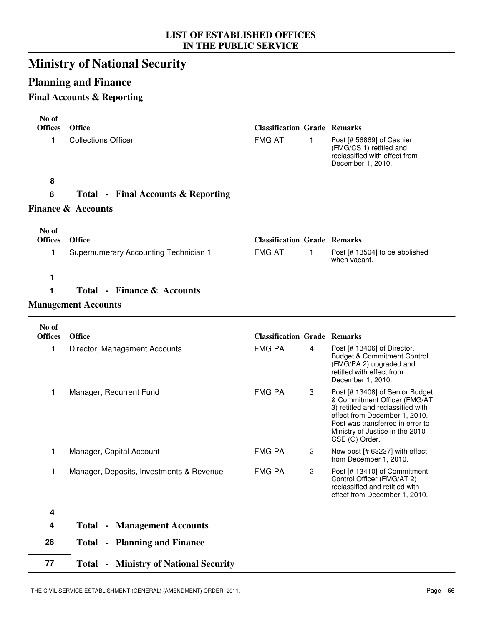# **Ministry of National Security**

# **Planning and Finance**

## **Final Accounts & Reporting**

| No of                   |                                               |                                     |                |                                                                                                                                                                                                                                |
|-------------------------|-----------------------------------------------|-------------------------------------|----------------|--------------------------------------------------------------------------------------------------------------------------------------------------------------------------------------------------------------------------------|
| <b>Offices</b>          | <b>Office</b>                                 | <b>Classification Grade Remarks</b> |                |                                                                                                                                                                                                                                |
| 1                       | <b>Collections Officer</b>                    | <b>FMG AT</b>                       | 1              | Post [# 56869] of Cashier<br>(FMG/CS 1) retitled and<br>reclassified with effect from<br>December 1, 2010.                                                                                                                     |
| 8                       |                                               |                                     |                |                                                                                                                                                                                                                                |
| 8                       | <b>Total - Final Accounts &amp; Reporting</b> |                                     |                |                                                                                                                                                                                                                                |
|                         | <b>Finance &amp; Accounts</b>                 |                                     |                |                                                                                                                                                                                                                                |
| No of                   |                                               |                                     |                |                                                                                                                                                                                                                                |
| <b>Offices</b>          | Office                                        | <b>Classification Grade Remarks</b> |                |                                                                                                                                                                                                                                |
| 1                       | Supernumerary Accounting Technician 1         | <b>FMG AT</b>                       | 1              | Post [# 13504] to be abolished<br>when vacant.                                                                                                                                                                                 |
| 1                       |                                               |                                     |                |                                                                                                                                                                                                                                |
| 1                       | <b>Total - Finance &amp; Accounts</b>         |                                     |                |                                                                                                                                                                                                                                |
|                         | <b>Management Accounts</b>                    |                                     |                |                                                                                                                                                                                                                                |
| No of<br><b>Offices</b> | <b>Office</b>                                 | <b>Classification Grade Remarks</b> |                |                                                                                                                                                                                                                                |
|                         |                                               |                                     |                |                                                                                                                                                                                                                                |
| 1                       | Director, Management Accounts                 | <b>FMG PA</b>                       | 4              | Post [# 13406] of Director,<br><b>Budget &amp; Commitment Control</b><br>(FMG/PA 2) upgraded and<br>retitled with effect from<br>December 1, 2010.                                                                             |
| 1                       | Manager, Recurrent Fund                       | <b>FMG PA</b>                       | 3              | Post [# 13408] of Senior Budget<br>& Commitment Officer (FMG/AT<br>3) retitled and reclassified with<br>effect from December 1, 2010.<br>Post was transferred in error to<br>Ministry of Justice in the 2010<br>CSE (G) Order. |
| 1                       | Manager, Capital Account                      | <b>FMG PA</b>                       | $\overline{2}$ | New post [# 63237] with effect<br>from December 1, 2010.                                                                                                                                                                       |
| 1                       | Manager, Deposits, Investments & Revenue      | <b>FMG PA</b>                       | $\overline{c}$ | Post [# 13410] of Commitment<br>Control Officer (FMG/AT 2)<br>reclassified and retitled with<br>effect from December 1, 2010.                                                                                                  |
| 4                       |                                               |                                     |                |                                                                                                                                                                                                                                |
| 4                       | <b>Total - Management Accounts</b>            |                                     |                |                                                                                                                                                                                                                                |
| 28                      | <b>Total - Planning and Finance</b>           |                                     |                |                                                                                                                                                                                                                                |
| 77                      | <b>Total - Ministry of National Security</b>  |                                     |                |                                                                                                                                                                                                                                |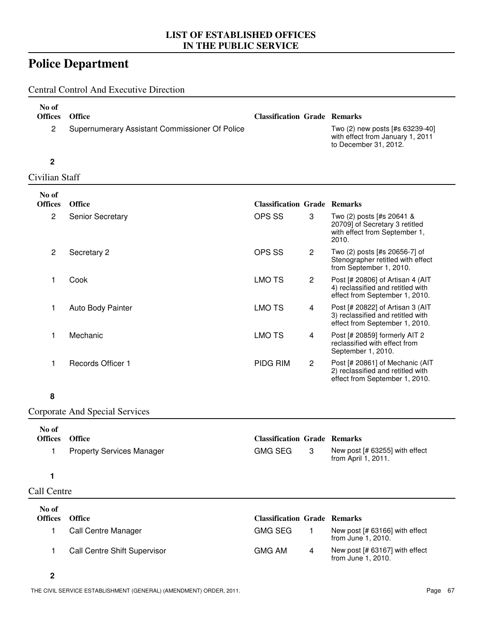# **Police Department**

Central Control And Executive Direction

| No of<br><b>Offices</b> | <b>Office</b>                                  | <b>Classification Grade Remarks</b> |                                                                                              |
|-------------------------|------------------------------------------------|-------------------------------------|----------------------------------------------------------------------------------------------|
|                         | Supernumerary Assistant Commissioner Of Police |                                     | Two (2) new posts [#s 63239-40]<br>with effect from January 1, 2011<br>to December 31, 2012. |

### **2**

Civilian Staff

| No of<br><b>Offices</b> | <b>Office</b>            | <b>Classification Grade Remarks</b> |                      |                                                                                                         |
|-------------------------|--------------------------|-------------------------------------|----------------------|---------------------------------------------------------------------------------------------------------|
| $\mathbf{2}^{\prime}$   | <b>Senior Secretary</b>  | OPS SS                              | 3                    | Two (2) posts [#s 20641 &<br>20709] of Secretary 3 retitled<br>with effect from September 1,<br>2010.   |
| $\mathbf{2}^{\prime}$   | Secretary 2              | OPS SS                              | $\overline{2}$       | Two (2) posts [#s 20656-7] of<br>Stenographer retitled with effect<br>from September 1, 2010.           |
|                         | Cook                     | <b>LMO TS</b>                       | $\mathbf{2}$         | Post [# 20806] of Artisan 4 (AIT<br>4) reclassified and retitled with<br>effect from September 1, 2010. |
|                         | <b>Auto Body Painter</b> | LMO TS                              | 4                    | Post [# 20822] of Artisan 3 (AIT<br>3) reclassified and retitled with<br>effect from September 1, 2010. |
|                         | Mechanic                 | LMO TS                              | 4                    | Post [# 20859] formerly AIT 2<br>reclassified with effect from<br>September 1, 2010.                    |
|                         | Records Officer 1        | PIDG RIM                            | $\mathbf{2}^{\circ}$ | Post [# 20861] of Mechanic (AIT<br>2) reclassified and retitled with<br>effect from September 1, 2010.  |

### **8**

### Corporate And Special Services

| No of<br><b>Offices</b> | <b>Office</b>                    | <b>Classification Grade Remarks</b> |   |                                                       |
|-------------------------|----------------------------------|-------------------------------------|---|-------------------------------------------------------|
|                         | <b>Property Services Manager</b> | <b>GMG SEG</b>                      | 3 | New post [# 63255] with effect<br>from April 1, 2011. |
|                         |                                  |                                     |   |                                                       |
| Call Centre             |                                  |                                     |   |                                                       |
| No of                   |                                  |                                     |   |                                                       |
| <b>Offices</b>          | <b>Office</b>                    | <b>Classification Grade Remarks</b> |   |                                                       |
|                         | Call Centre Manager              | <b>GMG SEG</b>                      |   | New post [# 63166] with effect<br>from June 1, 2010.  |
|                         | Call Centre Shift Supervisor     | <b>GMG AM</b>                       | 4 | New post [# 63167] with effect<br>from June 1, 2010.  |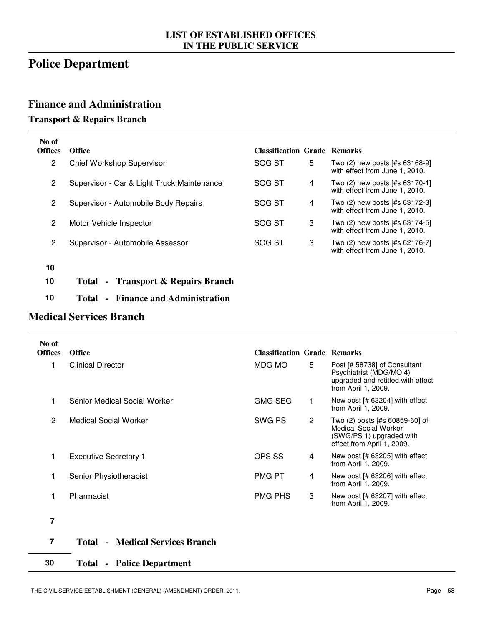# **Police Department**

### **Finance and Administration**

### **Transport & Repairs Branch**

| No of<br><b>Offices</b> | <b>Office</b>                                  | <b>Classification Grade Remarks</b> |   |                                                                  |
|-------------------------|------------------------------------------------|-------------------------------------|---|------------------------------------------------------------------|
| 2                       | Chief Workshop Supervisor                      | SOG ST                              | 5 | Two (2) new posts [#s 63168-9]<br>with effect from June 1, 2010. |
| $\mathbf{2}$            | Supervisor - Car & Light Truck Maintenance     | SOG ST                              | 4 | Two (2) new posts [#s 63170-1]<br>with effect from June 1, 2010. |
| $\mathbf{2}$            | Supervisor - Automobile Body Repairs           | SOG ST                              | 4 | Two (2) new posts [#s 63172-3]<br>with effect from June 1, 2010. |
| $\overline{2}$          | Motor Vehicle Inspector                        | SOG ST                              | 3 | Two (2) new posts [#s 63174-5]<br>with effect from June 1, 2010. |
| 2                       | Supervisor - Automobile Assessor               | SOG ST                              | 3 | Two (2) new posts [#s 62176-7]<br>with effect from June 1, 2010. |
| 10                      |                                                |                                     |   |                                                                  |
| 10                      | <b>Transport &amp; Repairs Branch</b><br>Total |                                     |   |                                                                  |

**10 Total - Finance and Administration**

## **Medical Services Branch**

| No of<br><b>Offices</b> | <b>Office</b>                               | <b>Classification Grade Remarks</b> |   |                                                                                                                          |
|-------------------------|---------------------------------------------|-------------------------------------|---|--------------------------------------------------------------------------------------------------------------------------|
| 1                       | <b>Clinical Director</b>                    | MDG MO                              | 5 | Post [# 58738] of Consultant<br>Psychiatrist (MDG/MO 4)<br>upgraded and retitled with effect<br>from April 1, 2009.      |
|                         | Senior Medical Social Worker                | <b>GMG SEG</b>                      |   | New post [# 63204] with effect<br>from April 1, 2009.                                                                    |
| $\overline{2}$          | <b>Medical Social Worker</b>                | SWG PS                              | 2 | Two (2) posts [#s 60859-60] of<br><b>Medical Social Worker</b><br>(SWG/PS 1) upgraded with<br>effect from April 1, 2009. |
| 1                       | <b>Executive Secretary 1</b>                | OPS SS                              | 4 | New post [# 63205] with effect<br>from April 1, 2009.                                                                    |
|                         | Senior Physiotherapist                      | PMG PT                              | 4 | New post [# 63206] with effect<br>from April 1, 2009.                                                                    |
| 1                       | Pharmacist                                  | PMG PHS                             | 3 | New post [# 63207] with effect<br>from April 1, 2009.                                                                    |
| 7                       |                                             |                                     |   |                                                                                                                          |
| 7                       | Modical Courings Drangh<br>$T_{\alpha}$ tal |                                     |   |                                                                                                                          |

## **7 Total - Medical Services Branch**

### **30 Total - Police Department**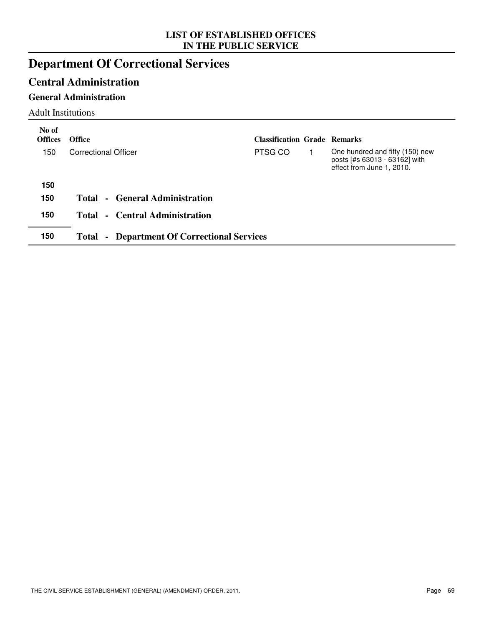# **Department Of Correctional Services**

## **Central Administration**

### **General Administration**

Adult Institutions

| No of<br><b>Offices</b> | <b>Office</b>                                      | <b>Classification Grade Remarks</b> |                                                                                               |
|-------------------------|----------------------------------------------------|-------------------------------------|-----------------------------------------------------------------------------------------------|
| 150                     | Correctional Officer                               | PTSG CO                             | One hundred and fifty (150) new<br>posts [#s 63013 - 63162] with<br>effect from June 1, 2010. |
| 150                     |                                                    |                                     |                                                                                               |
| 150                     | Total - General Administration                     |                                     |                                                                                               |
| 150                     | Total - Central Administration                     |                                     |                                                                                               |
| 150                     | <b>Total - Department Of Correctional Services</b> |                                     |                                                                                               |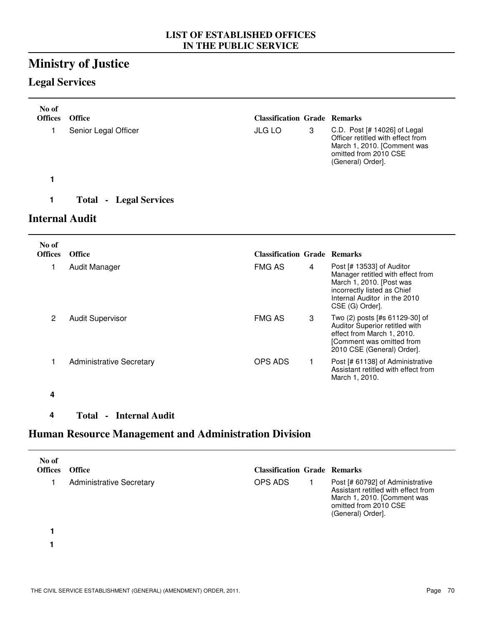# **Ministry of Justice**

## **Legal Services**

**4**

| No of<br><b>Offices</b> | <b>Office</b>                 | <b>Classification Grade Remarks</b> |   |                                                                                                                                                                              |
|-------------------------|-------------------------------|-------------------------------------|---|------------------------------------------------------------------------------------------------------------------------------------------------------------------------------|
| 1                       | Senior Legal Officer          | <b>JLG LO</b>                       | 3 | C.D. Post [# 14026] of Legal<br>Officer retitled with effect from<br>March 1, 2010. [Comment was<br>omitted from 2010 CSE<br>(General) Order].                               |
| 1                       |                               |                                     |   |                                                                                                                                                                              |
| 1                       | <b>Total - Legal Services</b> |                                     |   |                                                                                                                                                                              |
| Internal Audit          |                               |                                     |   |                                                                                                                                                                              |
|                         |                               |                                     |   |                                                                                                                                                                              |
| No of<br><b>Offices</b> | <b>Office</b>                 | <b>Classification Grade Remarks</b> |   |                                                                                                                                                                              |
| 1                       | Audit Manager                 | <b>FMG AS</b>                       | 4 | Post [# 13533] of Auditor<br>Manager retitled with effect from<br>March 1, 2010. [Post was<br>incorrectly listed as Chief<br>Internal Auditor in the 2010<br>CSE (G) Order]. |

## **Human Resource Management and Administration Division**

| No of<br><b>Offices</b> | <b>Office</b>                   | <b>Classification Grade Remarks</b> |                                                                                                                                                      |
|-------------------------|---------------------------------|-------------------------------------|------------------------------------------------------------------------------------------------------------------------------------------------------|
|                         | <b>Administrative Secretary</b> | OPS ADS                             | Post [# 60792] of Administrative<br>Assistant retitled with effect from<br>March 1, 2010. [Comment was<br>omitted from 2010 CSE<br>(General) Order]. |
|                         |                                 |                                     |                                                                                                                                                      |
|                         |                                 |                                     |                                                                                                                                                      |

1 Administrative Secretary CDPS ADS 1 Post [# 61138] of Administrative

OPS ADS 1

THE CIVIL SERVICE ESTABLISHMENT (GENERAL) (AMENDMENT) ORDER, 2011. Page 70

**4 Total - Internal Audit**

Auditor Superior retitled with effect from March 1, 2010. [Comment was omitted from 2010 CSE (General) Order].

Assistant retitled with effect from

March 1, 2010.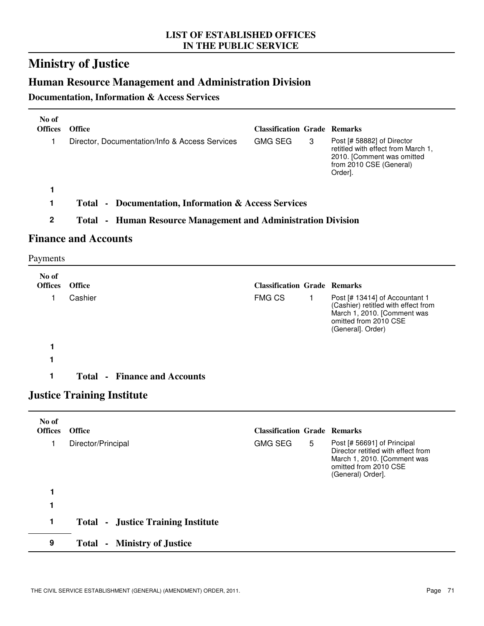# **Ministry of Justice**

## **Human Resource Management and Administration Division**

### **Documentation, Information & Access Services**

| No of<br><b>Offices</b> | <b>Office</b>                                                        | <b>Classification Grade Remarks</b> |                                                                                                                                                   |
|-------------------------|----------------------------------------------------------------------|-------------------------------------|---------------------------------------------------------------------------------------------------------------------------------------------------|
|                         | Director, Documentation/Info & Access Services                       | <b>GMG SEG</b><br>3                 | Post [# 58882] of Director<br>retitled with effect from March 1,<br>2010. [Comment was omitted<br>from 2010 CSE (General)<br>Order <sub>l</sub> . |
|                         |                                                                      |                                     |                                                                                                                                                   |
|                         | <b>Total • Documentation, Information &amp; Access Services</b>      |                                     |                                                                                                                                                   |
| 2                       | <b>Total - Human Resource Management and Administration Division</b> |                                     |                                                                                                                                                   |

## **Finance and Accounts**

Payments

| No of<br><b>Offices</b> | <b>Office</b>                                                                                                                                         | <b>Classification Grade Remarks</b> |                                                                                                                                                    |
|-------------------------|-------------------------------------------------------------------------------------------------------------------------------------------------------|-------------------------------------|----------------------------------------------------------------------------------------------------------------------------------------------------|
|                         | Cashier                                                                                                                                               | <b>FMG CS</b>                       | Post [# 13414] of Accountant 1<br>(Cashier) retitled with effect from<br>March 1, 2010. [Comment was<br>omitted from 2010 CSE<br>(General]. Order) |
|                         |                                                                                                                                                       |                                     |                                                                                                                                                    |
|                         |                                                                                                                                                       |                                     |                                                                                                                                                    |
|                         | <b>Total - Finance and Accounts</b>                                                                                                                   |                                     |                                                                                                                                                    |
|                         | $\mathbf{I}_{\text{new}}$ is a $\mathbf{I}_{\text{new}}$ in $\mathbf{I}_{\text{new}}$ $\mathbf{I}_{\text{new}}$ is a set of $\mathbf{I}_{\text{new}}$ |                                     |                                                                                                                                                    |

### **Justice Training Institute**

| No of<br><b>Offices</b> | <b>Office</b>                             | <b>Classification Grade Remarks</b> |   |                                                                                                                                                |
|-------------------------|-------------------------------------------|-------------------------------------|---|------------------------------------------------------------------------------------------------------------------------------------------------|
|                         | Director/Principal                        | <b>GMG SEG</b>                      | 5 | Post [# 56691] of Principal<br>Director retitled with effect from<br>March 1, 2010. [Comment was<br>omitted from 2010 CSE<br>(General) Order]. |
|                         |                                           |                                     |   |                                                                                                                                                |
|                         |                                           |                                     |   |                                                                                                                                                |
| 1                       | <b>Total - Justice Training Institute</b> |                                     |   |                                                                                                                                                |
| 9                       | - Ministry of Justice<br>Total            |                                     |   |                                                                                                                                                |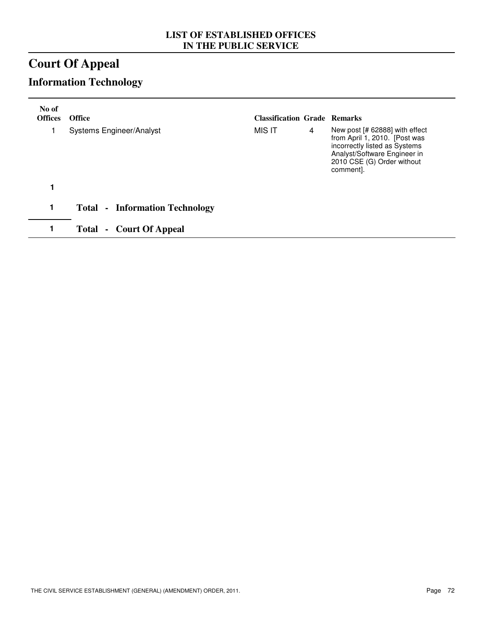# **Court Of Appeal**

# **Information Technology**

| No of<br><b>Offices</b> | <b>Office</b>                         | <b>Classification Grade Remarks</b> |   |                                                                                                                                                                             |
|-------------------------|---------------------------------------|-------------------------------------|---|-----------------------------------------------------------------------------------------------------------------------------------------------------------------------------|
|                         | <b>Systems Engineer/Analyst</b>       | MIS IT                              | 4 | New post [# 62888] with effect<br>from April 1, 2010. [Post was<br>incorrectly listed as Systems<br>Analyst/Software Engineer in<br>2010 CSE (G) Order without<br>comment]. |
|                         |                                       |                                     |   |                                                                                                                                                                             |
| 1                       | <b>Total - Information Technology</b> |                                     |   |                                                                                                                                                                             |
|                         | - Court Of Appeal<br>Total            |                                     |   |                                                                                                                                                                             |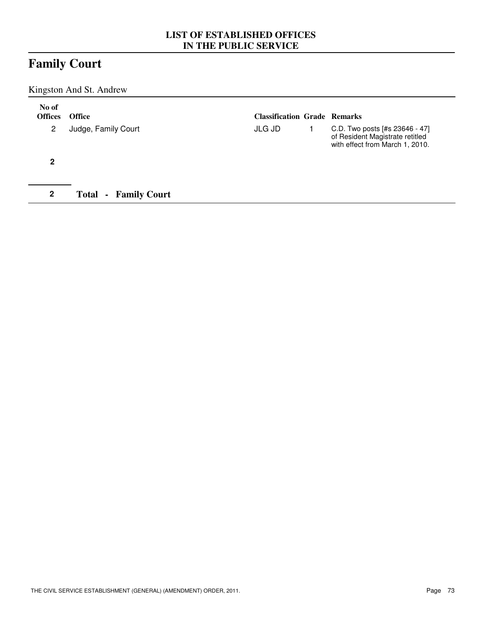# **Family Court**

Kingston And St. Andrew

| No of<br><b>Offices</b> | <b>Office</b>                          | <b>Classification Grade Remarks</b> |                                                                                                      |
|-------------------------|----------------------------------------|-------------------------------------|------------------------------------------------------------------------------------------------------|
| 2                       | Judge, Family Court                    | JLG JD                              | C.D. Two posts [#s 23646 - 47]<br>of Resident Magistrate retitled<br>with effect from March 1, 2010. |
| 2                       |                                        |                                     |                                                                                                      |
| 2                       | <b>Family Court</b><br>Total<br>$\sim$ |                                     |                                                                                                      |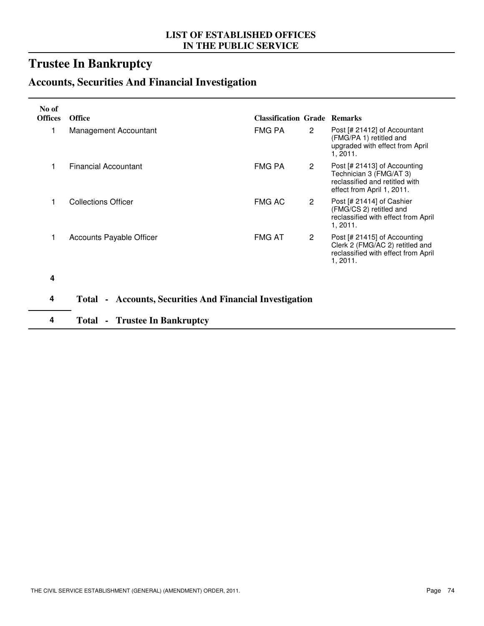# **Trustee In Bankruptcy**

# **Accounts, Securities And Financial Investigation**

| No of          |                                                          |                                     |                      |                                                                                                                         |
|----------------|----------------------------------------------------------|-------------------------------------|----------------------|-------------------------------------------------------------------------------------------------------------------------|
| <b>Offices</b> | <b>Office</b>                                            | <b>Classification Grade Remarks</b> |                      |                                                                                                                         |
|                | Management Accountant                                    | FMG PA                              | $\mathbf{2}^{\circ}$ | Post [# 21412] of Accountant<br>(FMG/PA 1) retitled and<br>upgraded with effect from April<br>1, 2011.                  |
|                | Financial Accountant                                     | FMG PA                              | $\overline{2}$       | Post [# 21413] of Accounting<br>Technician 3 (FMG/AT 3)<br>reclassified and retitled with<br>effect from April 1, 2011. |
|                | <b>Collections Officer</b>                               | <b>FMG AC</b>                       | $\overline{2}$       | Post [# 21414] of Cashier<br>(FMG/CS 2) retitled and<br>reclassified with effect from April<br>1,2011.                  |
|                | <b>Accounts Payable Officer</b>                          | <b>FMG AT</b>                       | $\mathbf{2}$         | Post [# 21415] of Accounting<br>Clerk 2 (FMG/AC 2) retitled and<br>reclassified with effect from April<br>1,2011.       |
| 4              |                                                          |                                     |                      |                                                                                                                         |
| 4              | Total - Accounts, Securities And Financial Investigation |                                     |                      |                                                                                                                         |
| 4              | <b>Total - Trustee In Bankruptcy</b>                     |                                     |                      |                                                                                                                         |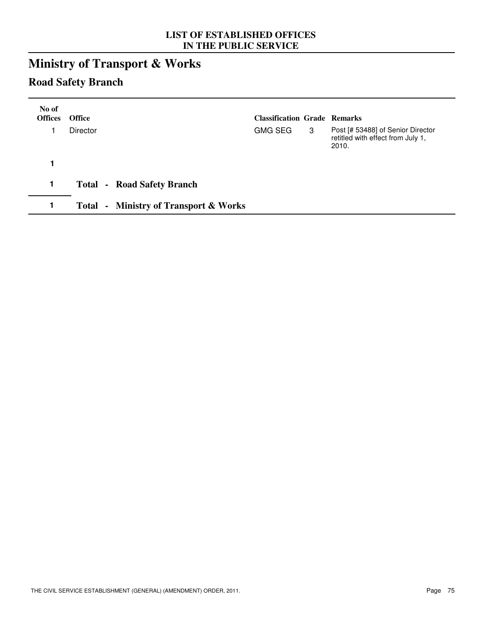# **Ministry of Transport & Works**

## **Road Safety Branch**

| No of<br><b>Offices</b> | <b>Office</b>                                    | <b>Classification Grade Remarks</b> |   |                                                                                 |
|-------------------------|--------------------------------------------------|-------------------------------------|---|---------------------------------------------------------------------------------|
|                         | <b>Director</b>                                  | <b>GMG SEG</b>                      | 3 | Post [# 53488] of Senior Director<br>retitled with effect from July 1,<br>2010. |
|                         |                                                  |                                     |   |                                                                                 |
| 1                       | <b>Total - Road Safety Branch</b>                |                                     |   |                                                                                 |
|                         | <b>Total - Ministry of Transport &amp; Works</b> |                                     |   |                                                                                 |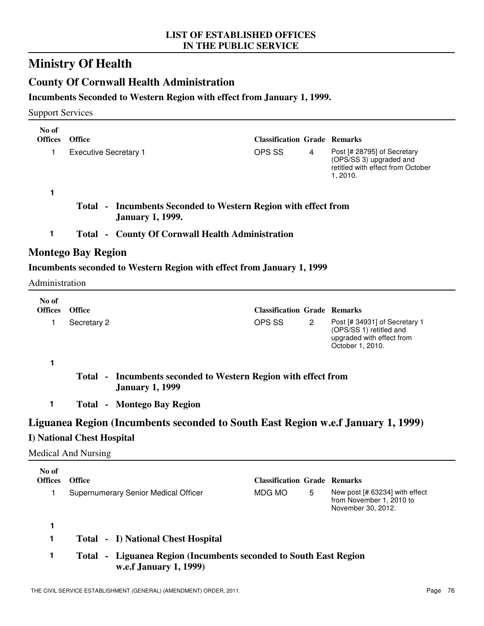# **Ministry Of Health**

## **County Of Cornwall Health Administration**

### **Incumbents Seconded to Western Region with effect from January 1, 1999.**

### Support Services

| No of                   |                                   |                                                                                             |                                     |   |                                                                                                         |  |  |  |
|-------------------------|-----------------------------------|---------------------------------------------------------------------------------------------|-------------------------------------|---|---------------------------------------------------------------------------------------------------------|--|--|--|
| <b>Offices</b>          | <b>Office</b>                     |                                                                                             | <b>Classification Grade Remarks</b> |   |                                                                                                         |  |  |  |
| 1                       | <b>Executive Secretary 1</b>      |                                                                                             | OPS SS                              | 4 | Post [# 28795] of Secretary<br>(OPS/SS 3) upgraded and<br>retitled with effect from October<br>1, 2010. |  |  |  |
| 1                       |                                   |                                                                                             |                                     |   |                                                                                                         |  |  |  |
|                         |                                   | Total - Incumbents Seconded to Western Region with effect from<br><b>January 1, 1999.</b>   |                                     |   |                                                                                                         |  |  |  |
| 1                       |                                   | <b>Total - County Of Cornwall Health Administration</b>                                     |                                     |   |                                                                                                         |  |  |  |
|                         | Montego Bay Region                |                                                                                             |                                     |   |                                                                                                         |  |  |  |
|                         |                                   | Incumbents seconded to Western Region with effect from January 1, 1999                      |                                     |   |                                                                                                         |  |  |  |
| Administration          |                                   |                                                                                             |                                     |   |                                                                                                         |  |  |  |
| No of<br><b>Offices</b> | <b>Office</b>                     |                                                                                             | <b>Classification Grade Remarks</b> |   |                                                                                                         |  |  |  |
| 1                       | Secretary 2                       |                                                                                             | OPS SS                              | 2 | Post [# 34931] of Secretary 1                                                                           |  |  |  |
|                         |                                   |                                                                                             |                                     |   | (OPS/SS 1) retitled and<br>upgraded with effect from<br>October 1, 2010.                                |  |  |  |
| 1                       |                                   |                                                                                             |                                     |   |                                                                                                         |  |  |  |
|                         |                                   | Total - Incumbents seconded to Western Region with effect from<br><b>January 1, 1999</b>    |                                     |   |                                                                                                         |  |  |  |
| 1                       |                                   | <b>Total - Montego Bay Region</b>                                                           |                                     |   |                                                                                                         |  |  |  |
|                         |                                   | Liguanea Region (Incumbents seconded to South East Region w.e.f January 1, 1999)            |                                     |   |                                                                                                         |  |  |  |
|                         | <b>I) National Chest Hospital</b> |                                                                                             |                                     |   |                                                                                                         |  |  |  |
|                         | <b>Medical And Nursing</b>        |                                                                                             |                                     |   |                                                                                                         |  |  |  |
| No of<br><b>Offices</b> | Office                            |                                                                                             | <b>Classification Grade Remarks</b> |   |                                                                                                         |  |  |  |
| 1                       |                                   | Supernumerary Senior Medical Officer                                                        | MDG MO                              | 5 | New post [# 63234] with effect                                                                          |  |  |  |
|                         |                                   |                                                                                             |                                     |   | from November 1, 2010 to<br>November 30, 2012.                                                          |  |  |  |
| 1                       |                                   |                                                                                             |                                     |   |                                                                                                         |  |  |  |
| 1                       |                                   | <b>Total - I) National Chest Hospital</b>                                                   |                                     |   |                                                                                                         |  |  |  |
| 1                       |                                   | Total - Liguanea Region (Incumbents seconded to South East Region<br>w.e.f January 1, 1999) |                                     |   |                                                                                                         |  |  |  |
|                         |                                   |                                                                                             |                                     |   |                                                                                                         |  |  |  |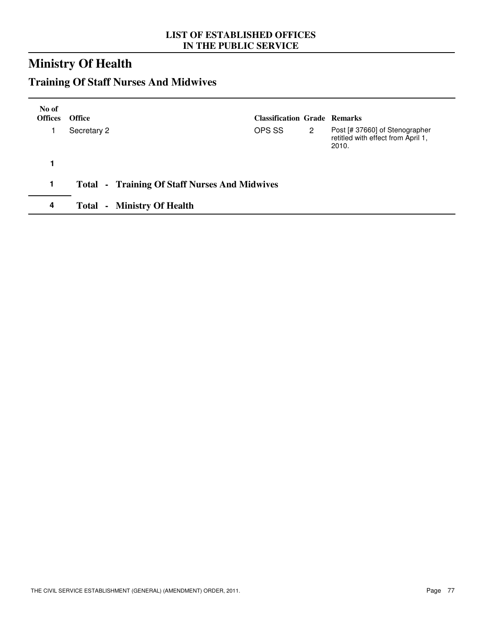# **Ministry Of Health**

# **Training Of Staff Nurses And Midwives**

| No of<br><b>Offices</b> | <b>Office</b>                                        | <b>Classification Grade Remarks</b> |   |                                                                               |
|-------------------------|------------------------------------------------------|-------------------------------------|---|-------------------------------------------------------------------------------|
|                         | Secretary 2                                          | OPS SS                              | 2 | Post [# 37660] of Stenographer<br>retitled with effect from April 1,<br>2010. |
|                         |                                                      |                                     |   |                                                                               |
| 1                       | <b>Total - Training Of Staff Nurses And Midwives</b> |                                     |   |                                                                               |
| 4                       | <b>Total - Ministry Of Health</b>                    |                                     |   |                                                                               |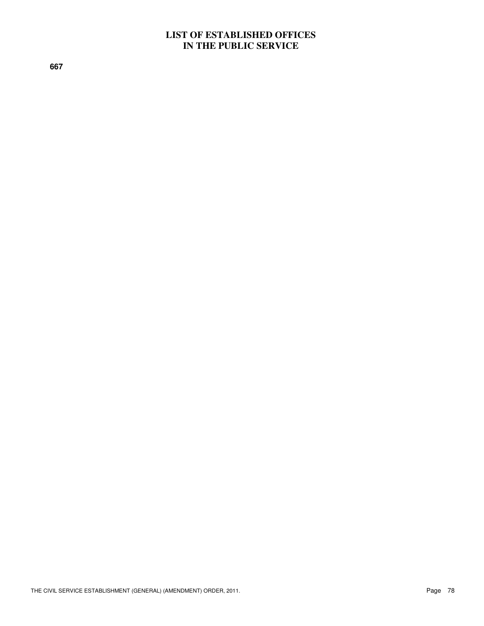**667**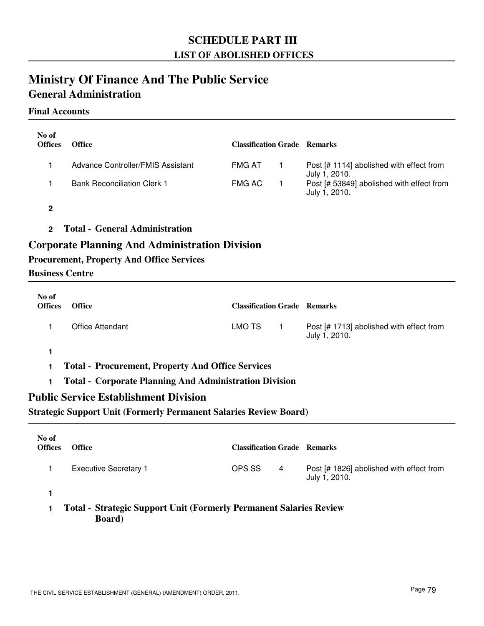## **SCHEDULE PART III LIST OF ABOLISHED OFFICES**

## **Ministry Of Finance And The Public Service General Administration**

### **Final Accounts**

| No of<br><b>Offices</b> | <b>Office</b>                                                                                      | <b>Classification Grade Remarks</b> |              |                                                            |
|-------------------------|----------------------------------------------------------------------------------------------------|-------------------------------------|--------------|------------------------------------------------------------|
| 1                       | Advance Controller/FMIS Assistant                                                                  | <b>FMG AT</b>                       | $\mathbf{1}$ | Post [# 1114] abolished with effect from<br>July 1, 2010.  |
| 1                       | <b>Bank Reconciliation Clerk 1</b>                                                                 | <b>FMG AC</b>                       | $\mathbf{1}$ | Post [# 53849] abolished with effect from<br>July 1, 2010. |
| $\mathbf 2$             |                                                                                                    |                                     |              |                                                            |
| $\overline{2}$          | <b>Total - General Administration</b>                                                              |                                     |              |                                                            |
| <b>Business Centre</b>  | Corporate Planning And Administration Division<br><b>Procurement, Property And Office Services</b> |                                     |              |                                                            |
| No of<br><b>Offices</b> | <b>Office</b>                                                                                      | <b>Classification Grade Remarks</b> |              |                                                            |
| 1                       | <b>Office Attendant</b>                                                                            | <b>LMO TS</b>                       | $\mathbf{1}$ | Post [# 1713] abolished with effect from<br>July 1, 2010.  |
| 1                       |                                                                                                    |                                     |              |                                                            |
| 1                       | <b>Total - Procurement, Property And Office Services</b>                                           |                                     |              |                                                            |
| 1                       | <b>Total - Corporate Planning And Administration Division</b>                                      |                                     |              |                                                            |
|                         | <b>Public Service Establishment Division</b>                                                       |                                     |              |                                                            |
|                         | <b>Strategic Support Unit (Formerly Permanent Salaries Review Board)</b>                           |                                     |              |                                                            |
| No of<br><b>Offices</b> | <b>Office</b>                                                                                      | <b>Classification Grade Remarks</b> |              |                                                            |

1 Executive Secretary 1 **Post 5 Executive Secretary 1** Post [# 1826] abolished with effect from

OPS SS 4

July 1, 2010.

**1**

**1 Total - Strategic Support Unit (Formerly Permanent Salaries Review Board)**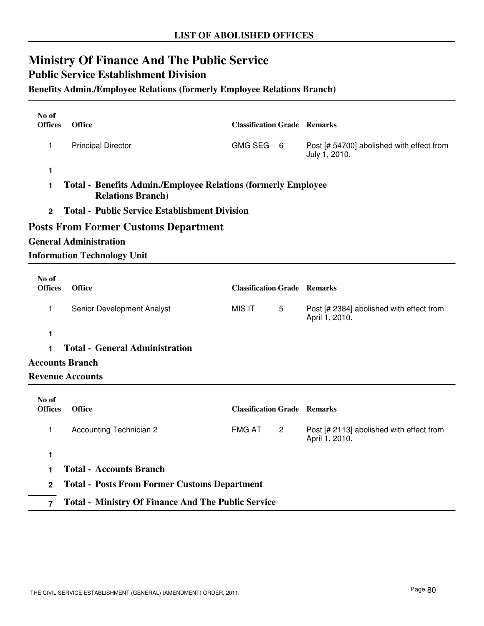# **Ministry Of Finance And The Public Service**

### **Public Service Establishment Division**

### **Benefits Admin./Employee Relations (formerly Employee Relations Branch)**

| No of<br><b>Offices</b>                                                                                | <b>Office</b>                                             | <b>Classification Grade Remarks</b> |                |                                                            |  |  |
|--------------------------------------------------------------------------------------------------------|-----------------------------------------------------------|-------------------------------------|----------------|------------------------------------------------------------|--|--|
| 1                                                                                                      | <b>Principal Director</b>                                 | GMG SEG 6                           |                | Post [# 54700] abolished with effect from<br>July 1, 2010. |  |  |
| 1                                                                                                      |                                                           |                                     |                |                                                            |  |  |
| <b>Total - Benefits Admin./Employee Relations (formerly Employee</b><br>1<br><b>Relations Branch</b> ) |                                                           |                                     |                |                                                            |  |  |
| $\mathbf{2}$                                                                                           | <b>Total - Public Service Establishment Division</b>      |                                     |                |                                                            |  |  |
|                                                                                                        | <b>Posts From Former Customs Department</b>               |                                     |                |                                                            |  |  |
|                                                                                                        | <b>General Administration</b>                             |                                     |                |                                                            |  |  |
|                                                                                                        | <b>Information Technology Unit</b>                        |                                     |                |                                                            |  |  |
| No of<br><b>Offices</b>                                                                                | <b>Office</b>                                             | <b>Classification Grade Remarks</b> |                |                                                            |  |  |
| 1                                                                                                      | Senior Development Analyst                                | <b>MIS IT</b>                       | 5              | Post [# 2384] abolished with effect from<br>April 1, 2010. |  |  |
| 1                                                                                                      |                                                           |                                     |                |                                                            |  |  |
| 1                                                                                                      | <b>Total - General Administration</b>                     |                                     |                |                                                            |  |  |
|                                                                                                        | <b>Accounts Branch</b>                                    |                                     |                |                                                            |  |  |
|                                                                                                        | <b>Revenue Accounts</b>                                   |                                     |                |                                                            |  |  |
| No of<br><b>Offices</b>                                                                                | <b>Office</b>                                             | <b>Classification Grade Remarks</b> |                |                                                            |  |  |
| 1                                                                                                      | Accounting Technician 2                                   | <b>FMG AT</b>                       | $\overline{c}$ | Post [# 2113] abolished with effect from<br>April 1, 2010. |  |  |
| 1                                                                                                      |                                                           |                                     |                |                                                            |  |  |
| 1                                                                                                      | <b>Total - Accounts Branch</b>                            |                                     |                |                                                            |  |  |
| $\mathbf 2$                                                                                            | <b>Total - Posts From Former Customs Department</b>       |                                     |                |                                                            |  |  |
| $\overline{7}$                                                                                         | <b>Total - Ministry Of Finance And The Public Service</b> |                                     |                |                                                            |  |  |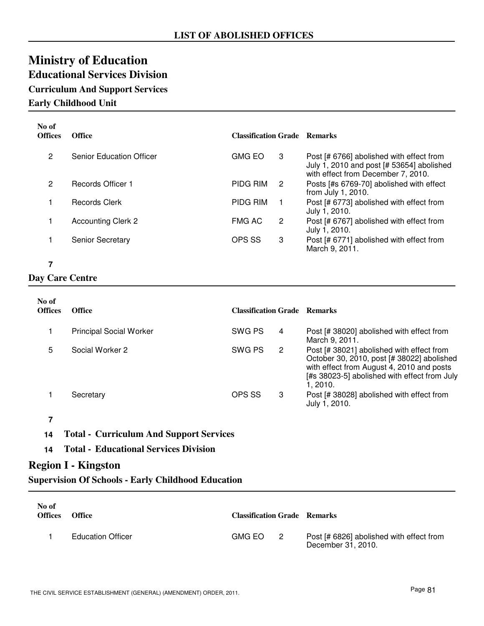# **Ministry of Education Educational Services Division**

## **Curriculum And Support Services**

**Early Childhood Unit**

| No of<br><b>Offices</b> | <b>Office</b>                   | <b>Classification Grade Remarks</b> |    |                                                                                                                             |
|-------------------------|---------------------------------|-------------------------------------|----|-----------------------------------------------------------------------------------------------------------------------------|
| 2                       | <b>Senior Education Officer</b> | <b>GMG EO</b>                       | 3  | Post [# 6766] abolished with effect from<br>July 1, 2010 and post [# 53654] abolished<br>with effect from December 7, 2010. |
| $\mathcal{P}$           | Records Officer 1               | <b>PIDG RIM</b>                     | 2  | Posts [#s 6769-70] abolished with effect<br>from July 1, 2010.                                                              |
|                         | Records Clerk                   | <b>PIDG RIM</b>                     | 1. | Post [# 6773] abolished with effect from<br>July 1, 2010.                                                                   |
|                         | <b>Accounting Clerk 2</b>       | <b>FMG AC</b>                       | 2  | Post [# 6767] abolished with effect from<br>July 1, 2010.                                                                   |
|                         | <b>Senior Secretary</b>         | OPS SS                              | 3  | Post [# 6771] abolished with effect from<br>March 9, 2011.                                                                  |

### **7**

### **Day Care Centre**

| No of<br><b>Offices</b> | <b>Office</b>                  | <b>Classification Grade Remarks</b> |   |                                                                                                                                                                                                 |
|-------------------------|--------------------------------|-------------------------------------|---|-------------------------------------------------------------------------------------------------------------------------------------------------------------------------------------------------|
|                         | <b>Principal Social Worker</b> | SWG PS                              | 4 | Post [# 38020] abolished with effect from<br>March 9, 2011.                                                                                                                                     |
| 5                       | Social Worker 2                | SWG PS                              | 2 | Post [# 38021] abolished with effect from<br>October 30, 2010, post [# 38022] abolished<br>with effect from August 4, 2010 and posts<br>[#s 38023-5] abolished with effect from July<br>1.2010. |
|                         | Secretary                      | OPS SS                              | 3 | Post [# 38028] abolished with effect from<br>July 1, 2010.                                                                                                                                      |

- **7**
- **14 Total Curriculum And Support Services**
- **14 Total Educational Services Division**

### **Region I - Kingston**

**Supervision Of Schools - Early Childhood Education**

| No of<br><b>Offices</b> | <b>Office</b>            | <b>Classification Grade Remarks</b> |                |                                                                |
|-------------------------|--------------------------|-------------------------------------|----------------|----------------------------------------------------------------|
|                         | <b>Education Officer</b> | GMG EO                              | $\overline{2}$ | Post [# 6826] abolished with effect from<br>December 31, 2010. |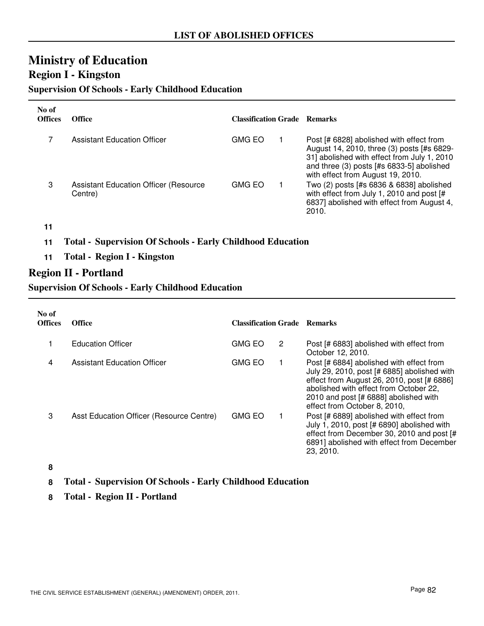## **Ministry of Education Region I - Kingston**

### **Supervision Of Schools - Early Childhood Education**

| No of<br><b>Offices</b> | Office                                                   | <b>Classification Grade Remarks</b> |                                                                                                                                                                                                                         |
|-------------------------|----------------------------------------------------------|-------------------------------------|-------------------------------------------------------------------------------------------------------------------------------------------------------------------------------------------------------------------------|
|                         | <b>Assistant Education Officer</b>                       | GMG EO                              | Post [# 6828] abolished with effect from<br>August 14, 2010, three (3) posts [#s 6829-<br>31] abolished with effect from July 1, 2010<br>and three (3) posts [#s 6833-5] abolished<br>with effect from August 19, 2010. |
| 3                       | <b>Assistant Education Officer (Resource)</b><br>Centre) | <b>GMG EO</b>                       | Two (2) posts [#s 6836 & 6838] abolished<br>with effect from July 1, 2010 and post [#<br>6837] abolished with effect from August 4,<br>2010.                                                                            |

### **11**

### **11 Total - Supervision Of Schools - Early Childhood Education**

**11 Total - Region I - Kingston**

### **Region II - Portland**

### **Supervision Of Schools - Early Childhood Education**

| No of<br><b>Offices</b> | <b>Office</b>                            | <b>Classification Grade Remarks</b> |   |                                                                                                                                                                                                                                                          |
|-------------------------|------------------------------------------|-------------------------------------|---|----------------------------------------------------------------------------------------------------------------------------------------------------------------------------------------------------------------------------------------------------------|
|                         | <b>Education Officer</b>                 | <b>GMG EO</b>                       | 2 | Post [# 6883] abolished with effect from<br>October 12, 2010.                                                                                                                                                                                            |
| 4                       | Assistant Education Officer              | <b>GMG EO</b>                       |   | Post [# 6884] abolished with effect from<br>July 29, 2010, post [# 6885] abolished with<br>effect from August 26, 2010, post [# 6886]<br>abolished with effect from October 22,<br>2010 and post [# 6888] abolished with<br>effect from October 8, 2010, |
| 3                       | Asst Education Officer (Resource Centre) | <b>GMG EO</b>                       |   | Post [# 6889] abolished with effect from<br>July 1, 2010, post [# 6890] abolished with<br>effect from December 30, 2010 and post [#<br>6891] abolished with effect from December<br>23, 2010.                                                            |

#### **8**

### **8 Total - Supervision Of Schools - Early Childhood Education**

**8 Total - Region II - Portland**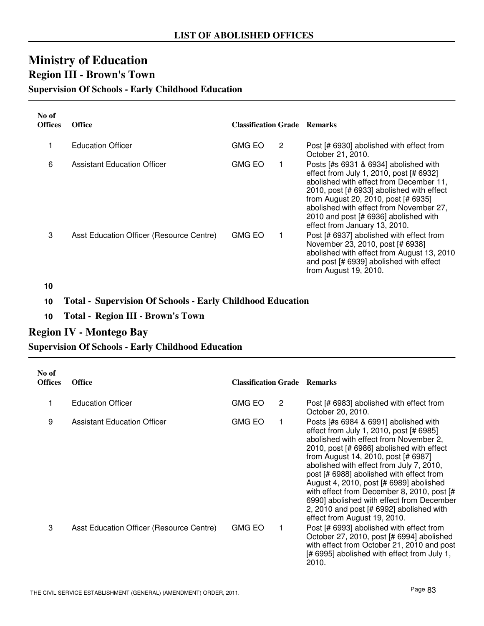## **Ministry of Education Region III - Brown's Town**

### **Supervision Of Schools - Early Childhood Education**

| No of<br><b>Offices</b> | <b>Office</b>                            | <b>Classification Grade Remarks</b> |   |                                                                                                                                                                                                                                                                                                                                      |
|-------------------------|------------------------------------------|-------------------------------------|---|--------------------------------------------------------------------------------------------------------------------------------------------------------------------------------------------------------------------------------------------------------------------------------------------------------------------------------------|
| 1                       | <b>Education Officer</b>                 | <b>GMG EO</b>                       | 2 | Post [# 6930] abolished with effect from<br>October 21, 2010.                                                                                                                                                                                                                                                                        |
| 6                       | <b>Assistant Education Officer</b>       | <b>GMG EO</b>                       |   | Posts [#s 6931 & 6934] abolished with<br>effect from July 1, 2010, post [# 6932]<br>abolished with effect from December 11,<br>2010, post [# 6933] abolished with effect<br>from August 20, 2010, post [# 6935]<br>abolished with effect from November 27,<br>2010 and post [# 6936] abolished with<br>effect from January 13, 2010. |
| 3                       | Asst Education Officer (Resource Centre) | <b>GMG EO</b>                       |   | Post [# 6937] abolished with effect from<br>November 23, 2010, post [# 6938]<br>abolished with effect from August 13, 2010<br>and post [# 6939] abolished with effect<br>from August 19, 2010.                                                                                                                                       |

**10**

### **10 Total - Supervision Of Schools - Early Childhood Education**

**10 Total - Region III - Brown's Town**

### **Region IV - Montego Bay**

### **Supervision Of Schools - Early Childhood Education**

| No of<br><b>Offices</b> | <b>Office</b>                            | <b>Classification Grade Remarks</b> |                       |                                                                                                                                                                                                                                                                                                                                                                                                                                                                                                                          |
|-------------------------|------------------------------------------|-------------------------------------|-----------------------|--------------------------------------------------------------------------------------------------------------------------------------------------------------------------------------------------------------------------------------------------------------------------------------------------------------------------------------------------------------------------------------------------------------------------------------------------------------------------------------------------------------------------|
| 1                       | <b>Education Officer</b>                 | <b>GMG EO</b>                       | $\mathbf{2}^{\prime}$ | Post [# 6983] abolished with effect from<br>October 20, 2010.                                                                                                                                                                                                                                                                                                                                                                                                                                                            |
| 9                       | Assistant Education Officer              | <b>GMG EO</b>                       |                       | Posts [#s 6984 & 6991] abolished with<br>effect from July 1, 2010, post [# 6985]<br>abolished with effect from November 2,<br>2010, post [# 6986] abolished with effect<br>from August 14, 2010, post [# 6987]<br>abolished with effect from July 7, 2010,<br>post [# 6988] abolished with effect from<br>August 4, 2010, post [# 6989] abolished<br>with effect from December 8, 2010, post [#<br>6990] abolished with effect from December<br>2, 2010 and post [# 6992] abolished with<br>effect from August 19, 2010. |
| 3                       | Asst Education Officer (Resource Centre) | <b>GMG EO</b>                       |                       | Post [# 6993] abolished with effect from<br>October 27, 2010, post [# 6994] abolished<br>with effect from October 21, 2010 and post<br>[# 6995] abolished with effect from July 1,<br>2010.                                                                                                                                                                                                                                                                                                                              |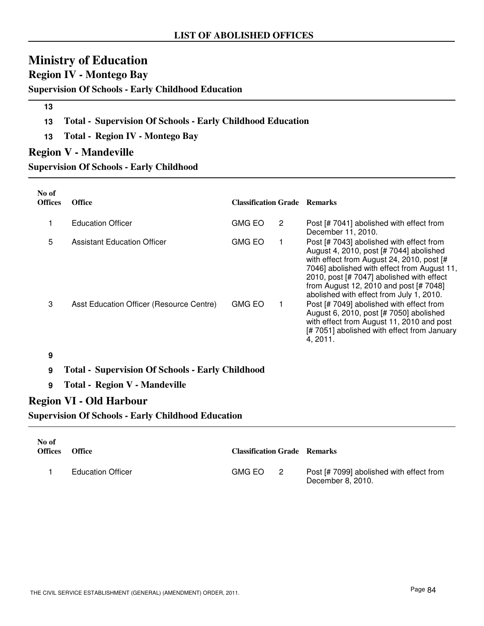# **Ministry of Education**

**Region IV - Montego Bay**

**Supervision Of Schools - Early Childhood Education**

### **13**

- **13 Total Supervision Of Schools Early Childhood Education**
- **13 Total Region IV Montego Bay**

### **Region V - Mandeville**

**Supervision Of Schools - Early Childhood**

| No of<br><b>Offices</b> | <b>Office</b>                            | <b>Classification Grade Remarks</b> |   |                                                                                                                                                                                                                                                                                                                    |
|-------------------------|------------------------------------------|-------------------------------------|---|--------------------------------------------------------------------------------------------------------------------------------------------------------------------------------------------------------------------------------------------------------------------------------------------------------------------|
|                         | <b>Education Officer</b>                 | <b>GMG EO</b>                       | 2 | Post [# 7041] abolished with effect from<br>December 11, 2010.                                                                                                                                                                                                                                                     |
| 5                       | <b>Assistant Education Officer</b>       | <b>GMG EO</b>                       |   | Post [# 7043] abolished with effect from<br>August 4, 2010, post [# 7044] abolished<br>with effect from August 24, 2010, post [#<br>7046] abolished with effect from August 11,<br>2010, post [# 7047] abolished with effect<br>from August 12, 2010 and post [# 7048]<br>abolished with effect from July 1, 2010. |
| 3                       | Asst Education Officer (Resource Centre) | <b>GMG EO</b>                       |   | Post [# 7049] abolished with effect from<br>August 6, 2010, post [# 7050] abolished<br>with effect from August 11, 2010 and post<br>[#7051] abolished with effect from January<br>4, 2011.                                                                                                                         |
| 9                       |                                          |                                     |   |                                                                                                                                                                                                                                                                                                                    |

### **9 Total - Supervision Of Schools - Early Childhood**

**9 Total - Region V - Mandeville**

### **Region VI - Old Harbour**

**Supervision Of Schools - Early Childhood Education**

| No of<br><b>Offices</b> | <b>Office</b>            | <b>Classification Grade Remarks</b> |                                                               |
|-------------------------|--------------------------|-------------------------------------|---------------------------------------------------------------|
|                         | <b>Education Officer</b> | GMG EO 2                            | Post [# 7099] abolished with effect from<br>December 8, 2010. |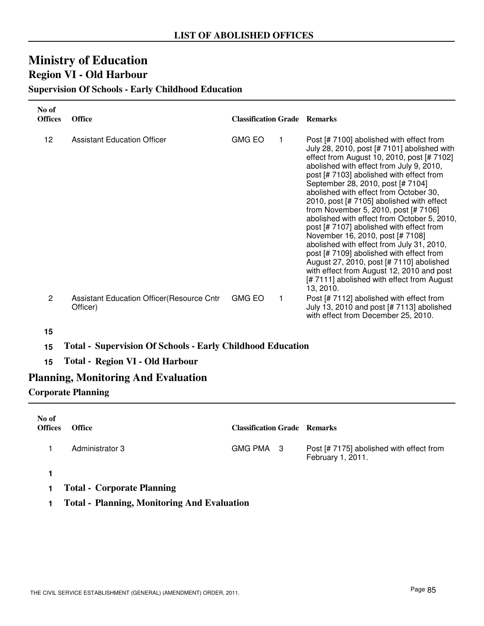## **Ministry of Education Region VI - Old Harbour**

### **Supervision Of Schools - Early Childhood Education**

| No of<br><b>Offices</b> | <b>Office</b>                                                 | <b>Classification Grade Remarks</b> |   |                                                                                                                                                                                                                                                                                                                                                                                                                                                                                                                                                                                                                                                                                                                                                                              |
|-------------------------|---------------------------------------------------------------|-------------------------------------|---|------------------------------------------------------------------------------------------------------------------------------------------------------------------------------------------------------------------------------------------------------------------------------------------------------------------------------------------------------------------------------------------------------------------------------------------------------------------------------------------------------------------------------------------------------------------------------------------------------------------------------------------------------------------------------------------------------------------------------------------------------------------------------|
| 12                      | <b>Assistant Education Officer</b>                            | <b>GMG EO</b>                       |   | Post [# 7100] abolished with effect from<br>July 28, 2010, post [# 7101] abolished with<br>effect from August 10, 2010, post [# 7102]<br>abolished with effect from July 9, 2010,<br>post [# 7103] abolished with effect from<br>September 28, 2010, post [# 7104]<br>abolished with effect from October 30,<br>2010, post [# 7105] abolished with effect<br>from November 5, 2010, post [# 7106]<br>abolished with effect from October 5, 2010,<br>post [# 7107] abolished with effect from<br>November 16, 2010, post [# 7108]<br>abolished with effect from July 31, 2010,<br>post [# 7109] abolished with effect from<br>August 27, 2010, post [# 7110] abolished<br>with effect from August 12, 2010 and post<br>[#7111] abolished with effect from August<br>13, 2010. |
| $\overline{2}$          | <b>Assistant Education Officer (Resource Cntr</b><br>Officer) | <b>GMG EO</b>                       | 1 | Post [# 7112] abolished with effect from<br>July 13, 2010 and post [# 7113] abolished<br>with effect from December 25, 2010.                                                                                                                                                                                                                                                                                                                                                                                                                                                                                                                                                                                                                                                 |

### **15**

- **15 Total Supervision Of Schools Early Childhood Education**
- **15 Total Region VI Old Harbour**

### **Planning, Monitoring And Evaluation**

### **Corporate Planning**

| No of<br><b>Offices</b> | <b>Office</b>                 | <b>Classification Grade Remarks</b> |                                                               |
|-------------------------|-------------------------------|-------------------------------------|---------------------------------------------------------------|
|                         | Administrator 3               | GMG PMA 3                           | Post [# 7175] abolished with effect from<br>February 1, 2011. |
|                         | -----<br>$\sim$ $\sim$ $\sim$ |                                     |                                                               |

- **1 Total Corporate Planning**
- **1 Total Planning, Monitoring And Evaluation**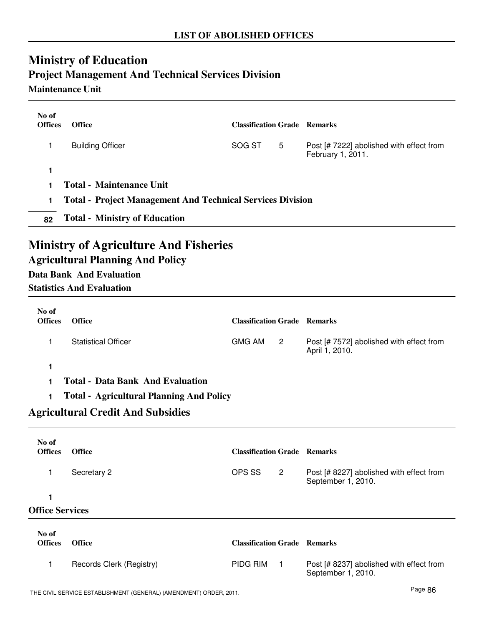# **Ministry of Education Project Management And Technical Services Division**

## **Maintenance Unit**

| No of<br><b>Offices</b> | <b>Office</b>                                                                                                                                                  | <b>Classification Grade Remarks</b> |                |                                                                |
|-------------------------|----------------------------------------------------------------------------------------------------------------------------------------------------------------|-------------------------------------|----------------|----------------------------------------------------------------|
| 1                       | <b>Building Officer</b>                                                                                                                                        | SOG ST                              | 5              | Post [# 7222] abolished with effect from<br>February 1, 2011.  |
| 1                       |                                                                                                                                                                |                                     |                |                                                                |
| 1                       | <b>Total - Maintenance Unit</b>                                                                                                                                |                                     |                |                                                                |
| 1                       | <b>Total - Project Management And Technical Services Division</b>                                                                                              |                                     |                |                                                                |
| 82                      | <b>Total - Ministry of Education</b>                                                                                                                           |                                     |                |                                                                |
|                         | <b>Ministry of Agriculture And Fisheries</b><br><b>Agricultural Planning And Policy</b><br><b>Data Bank And Evaluation</b><br><b>Statistics And Evaluation</b> |                                     |                |                                                                |
| No of<br><b>Offices</b> | <b>Office</b>                                                                                                                                                  | <b>Classification Grade Remarks</b> |                |                                                                |
| 1                       | <b>Statistical Officer</b>                                                                                                                                     | <b>GMG AM</b>                       | $\overline{2}$ | Post [# 7572] abolished with effect from<br>April 1, 2010.     |
| 1                       |                                                                                                                                                                |                                     |                |                                                                |
| 1                       | <b>Total - Data Bank And Evaluation</b>                                                                                                                        |                                     |                |                                                                |
| 1                       | <b>Total - Agricultural Planning And Policy</b>                                                                                                                |                                     |                |                                                                |
|                         | <b>Agricultural Credit And Subsidies</b>                                                                                                                       |                                     |                |                                                                |
| No of<br><b>Offices</b> | <b>Office</b>                                                                                                                                                  | <b>Classification Grade Remarks</b> |                |                                                                |
| 1                       | Secretary 2                                                                                                                                                    | OPS SS                              | $\overline{2}$ | Post [# 8227] abolished with effect from<br>September 1, 2010. |
| 1                       |                                                                                                                                                                |                                     |                |                                                                |
| <b>Office Services</b>  |                                                                                                                                                                |                                     |                |                                                                |
| No of<br><b>Offices</b> | <b>Office</b>                                                                                                                                                  | <b>Classification Grade Remarks</b> |                |                                                                |
| 1                       | Records Clerk (Registry)                                                                                                                                       | PIDG RIM                            | $\mathbf{1}$   | Post [# 8237] abolished with effect from<br>September 1, 2010. |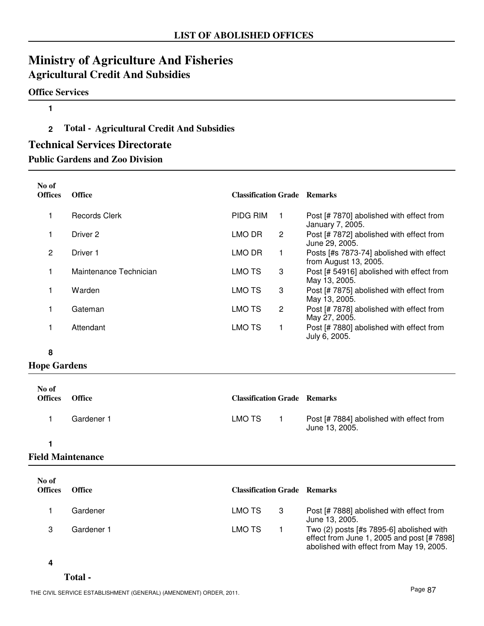## **Ministry of Agriculture And Fisheries Agricultural Credit And Subsidies**

### **Office Services**

### **1**

### **2 Total - Agricultural Credit And Subsidies**

### **Technical Services Directorate**

**Public Gardens and Zoo Division**

| No of<br><b>Offices</b> | <b>Office</b>          | <b>Classification Grade Remarks</b> |   |                                                                   |
|-------------------------|------------------------|-------------------------------------|---|-------------------------------------------------------------------|
|                         | <b>Records Clerk</b>   | <b>PIDG RIM</b>                     |   | Post [# 7870] abolished with effect from<br>January 7, 2005.      |
|                         | Driver 2               | LMO DR                              | 2 | Post [# 7872] abolished with effect from<br>June 29, 2005.        |
| 2                       | Driver 1               | LMO DR                              | 1 | Posts [#s 7873-74] abolished with effect<br>from August 13, 2005. |
|                         | Maintenance Technician | <b>LMO TS</b>                       | 3 | Post [# 54916] abolished with effect from<br>May 13, 2005.        |
|                         | Warden                 | LMO TS                              | 3 | Post [# 7875] abolished with effect from<br>May 13, 2005.         |
|                         | Gateman                | LMO TS                              | 2 | Post [# 7878] abolished with effect from<br>May 27, 2005.         |
|                         | Attendant              | <b>LMO TS</b>                       |   | Post [# 7880] abolished with effect from<br>July 6, 2005.         |

### **8**

### **Hope Gardens**

| No of<br><b>Offices</b> | <b>Office</b> | <b>Classification Grade Remarks</b> |                                                            |
|-------------------------|---------------|-------------------------------------|------------------------------------------------------------|
|                         | Gardener 1    | LMO TS                              | Post [# 7884] abolished with effect from<br>June 13, 2005. |
|                         |               |                                     |                                                            |

### **Field Maintenance**

| No of<br><b>Offices</b> | Office     | <b>Classification Grade Remarks</b> |    |                                                                                                                                      |
|-------------------------|------------|-------------------------------------|----|--------------------------------------------------------------------------------------------------------------------------------------|
|                         | Gardener   | LMO TS                              | -3 | Post [# 7888] abolished with effect from<br>June 13, 2005.                                                                           |
|                         | Gardener 1 | LMO TS                              |    | Two $(2)$ posts [#s 7895-6] abolished with<br>effect from June 1, 2005 and post [# 7898]<br>abolished with effect from May 19, 2005. |

#### **4**

### **Total -**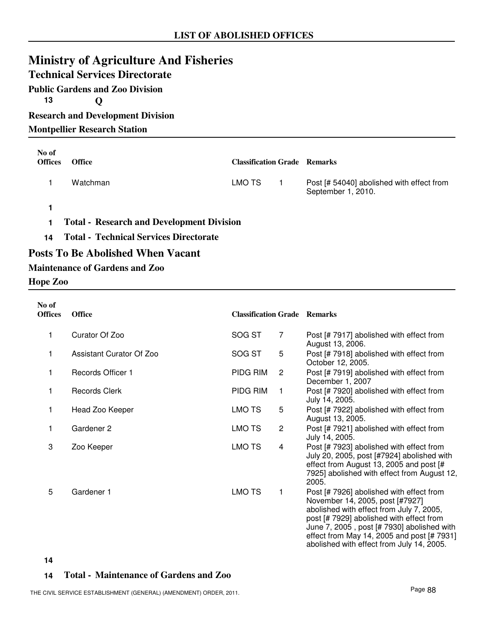# **Ministry of Agriculture And Fisheries**

### **Technical Services Directorate**

**Public Gardens and Zoo Division 13 Q Research and Development Division**

**Montpellier Research Station**

| No of<br><b>Offices</b> | <b>Office</b>                                    | <b>Classification Grade Remarks</b> |                                                                 |
|-------------------------|--------------------------------------------------|-------------------------------------|-----------------------------------------------------------------|
|                         | Watchman                                         | LMO TS                              | Post [# 54040] abolished with effect from<br>September 1, 2010. |
|                         |                                                  |                                     |                                                                 |
|                         | <b>Total - Research and Development Division</b> |                                     |                                                                 |
| 14                      | <b>Total - Technical Services Directorate</b>    |                                     |                                                                 |

### **Posts To Be Abolished When Vacant**

### **Maintenance of Gardens and Zoo**

#### **Hope Zoo**

| No of<br><b>Offices</b> | <b>Office</b>            | <b>Classification Grade Remarks</b> |                |                                                                                                                                                                                                                                                                                                              |
|-------------------------|--------------------------|-------------------------------------|----------------|--------------------------------------------------------------------------------------------------------------------------------------------------------------------------------------------------------------------------------------------------------------------------------------------------------------|
| 1                       | Curator Of Zoo           | SOG ST                              | 7              | Post [# 7917] abolished with effect from<br>August 13, 2006.                                                                                                                                                                                                                                                 |
| 1                       | Assistant Curator Of Zoo | SOG ST                              | 5              | Post [# 7918] abolished with effect from<br>October 12, 2005.                                                                                                                                                                                                                                                |
| 1                       | <b>Records Officer 1</b> | PIDG RIM                            | $\overline{2}$ | Post [# 7919] abolished with effect from<br>December 1, 2007                                                                                                                                                                                                                                                 |
| 1                       | <b>Records Clerk</b>     | PIDG RIM                            | 1              | Post [# 7920] abolished with effect from<br>July 14, 2005.                                                                                                                                                                                                                                                   |
| 1                       | Head Zoo Keeper          | LMO TS                              | 5              | Post [# 7922] abolished with effect from<br>August 13, 2005.                                                                                                                                                                                                                                                 |
| 1                       | Gardener 2               | LMO TS                              | $\overline{2}$ | Post [# 7921] abolished with effect from<br>July 14, 2005.                                                                                                                                                                                                                                                   |
| 3                       | Zoo Keeper               | <b>LMO TS</b>                       | 4              | Post [# 7923] abolished with effect from<br>July 20, 2005, post [#7924] abolished with<br>effect from August 13, 2005 and post [#<br>7925] abolished with effect from August 12,<br>2005.                                                                                                                    |
| 5                       | Gardener 1               | <b>LMO TS</b>                       | 1              | Post [# 7926] abolished with effect from<br>November 14, 2005, post [#7927]<br>abolished with effect from July 7, 2005,<br>post [# 7929] abolished with effect from<br>June 7, 2005, post [# 7930] abolished with<br>effect from May 14, 2005 and post [# 7931]<br>abolished with effect from July 14, 2005. |

**14**

### **14 Total - Maintenance of Gardens and Zoo**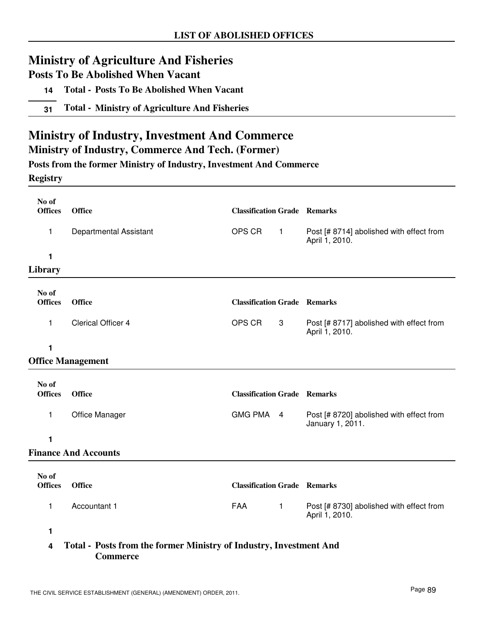## **Ministry of Agriculture And Fisheries**

**Posts To Be Abolished When Vacant**

- **14 Total Posts To Be Abolished When Vacant**
- **31 Total Ministry of Agriculture And Fisheries**

## **Ministry of Industry, Investment And Commerce**

### **Ministry of Industry, Commerce And Tech. (Former)**

**Posts from the former Ministry of Industry, Investment And Commerce**

### **Registry**

| No of<br><b>Offices</b> | <b>Office</b>               | <b>Classification Grade Remarks</b> |              |                                                              |
|-------------------------|-----------------------------|-------------------------------------|--------------|--------------------------------------------------------------|
| 1                       | Departmental Assistant      | OPS CR                              | $\mathbf{1}$ | Post [# 8714] abolished with effect from<br>April 1, 2010.   |
| 1                       |                             |                                     |              |                                                              |
| Library                 |                             |                                     |              |                                                              |
| No of<br><b>Offices</b> | <b>Office</b>               | <b>Classification Grade Remarks</b> |              |                                                              |
| 1                       | Clerical Officer 4          | OPS CR                              | 3            | Post [# 8717] abolished with effect from<br>April 1, 2010.   |
| 1                       |                             |                                     |              |                                                              |
|                         | <b>Office Management</b>    |                                     |              |                                                              |
|                         |                             |                                     |              |                                                              |
| No of<br><b>Offices</b> | <b>Office</b>               | <b>Classification Grade Remarks</b> |              |                                                              |
| 1                       | Office Manager              | GMG PMA 4                           |              | Post [# 8720] abolished with effect from<br>January 1, 2011. |
| 1                       |                             |                                     |              |                                                              |
|                         | <b>Finance And Accounts</b> |                                     |              |                                                              |
|                         |                             |                                     |              |                                                              |
| No of<br><b>Offices</b> | <b>Office</b>               | <b>Classification Grade Remarks</b> |              |                                                              |
| 1                       | Accountant 1                | <b>FAA</b>                          | $\mathbf{1}$ | Post [# 8730] abolished with effect from<br>April 1, 2010.   |
| 1                       |                             |                                     |              |                                                              |

### **4 Total - Posts from the former Ministry of Industry, Investment And Commerce**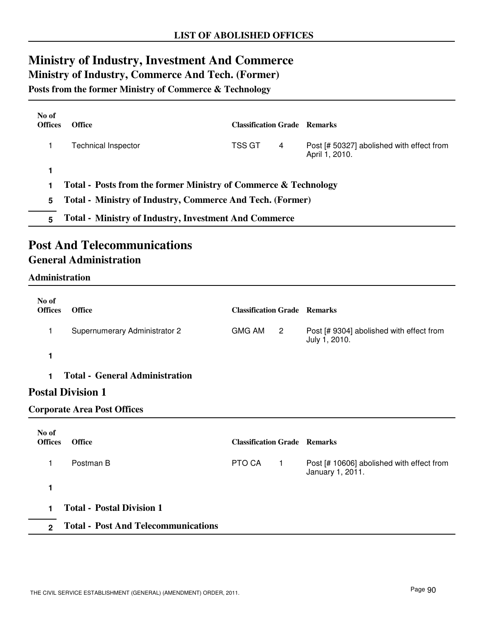# **Ministry of Industry, Investment And Commerce**

**Ministry of Industry, Commerce And Tech. (Former)**

**Posts from the former Ministry of Commerce & Technology**

| No of<br><b>Offices</b> | <b>Office</b>                                                   | <b>Classification Grade</b> Remarks |   |                                                             |
|-------------------------|-----------------------------------------------------------------|-------------------------------------|---|-------------------------------------------------------------|
|                         | Technical Inspector                                             | TSS GT                              | 4 | Post [# 50327] abolished with effect from<br>April 1, 2010. |
|                         |                                                                 |                                     |   |                                                             |
|                         | Total - Posts from the former Ministry of Commerce & Technology |                                     |   |                                                             |
| 5.                      | Total - Ministry of Industry, Commerce And Tech. (Former)       |                                     |   |                                                             |

**5 Total - Ministry of Industry, Investment And Commerce**

## **Post And Telecommunications General Administration**

### **Administration**

| No of<br><b>Offices</b> | <b>Office</b>                         | <b>Classification Grade Remarks</b> |              |                                                               |
|-------------------------|---------------------------------------|-------------------------------------|--------------|---------------------------------------------------------------|
| 1                       | Supernumerary Administrator 2         | <b>GMG AM</b>                       | $\mathbf{2}$ | Post [# 9304] abolished with effect from<br>July 1, 2010.     |
| 1                       |                                       |                                     |              |                                                               |
| 1.                      | <b>Total - General Administration</b> |                                     |              |                                                               |
|                         | <b>Postal Division 1</b>              |                                     |              |                                                               |
|                         | <b>Corporate Area Post Offices</b>    |                                     |              |                                                               |
| No of<br><b>Offices</b> | <b>Office</b>                         | <b>Classification Grade Remarks</b> |              |                                                               |
| 1                       | Postman B                             | PTO CA                              | $\mathbf{1}$ | Post [# 10606] abolished with effect from<br>January 1, 2011. |
|                         |                                       |                                     |              |                                                               |

**1**

**1 Total - Postal Division 1**

**2 Total - Post And Telecommunications**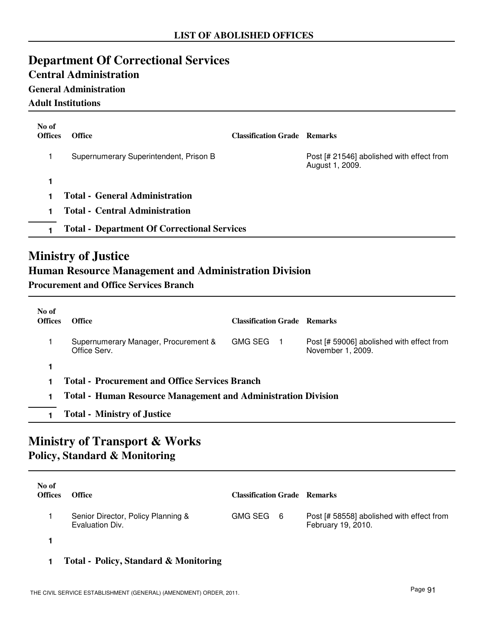## **Department Of Correctional Services**

### **Central Administration**

### **General Administration**

**Adult Institutions**

| No of<br><b>Offices</b> | <b>Office</b>                                      | <b>Classification Grade Remarks</b> |                                                              |
|-------------------------|----------------------------------------------------|-------------------------------------|--------------------------------------------------------------|
|                         | Supernumerary Superintendent, Prison B             |                                     | Post [# 21546] abolished with effect from<br>August 1, 2009. |
|                         |                                                    |                                     |                                                              |
|                         | <b>Total - General Administration</b>              |                                     |                                                              |
|                         | <b>Total - Central Administration</b>              |                                     |                                                              |
|                         | <b>Total - Department Of Correctional Services</b> |                                     |                                                              |

# **Ministry of Justice**

## **Human Resource Management and Administration Division**

**Procurement and Office Services Branch**

| No of<br><b>Offices</b> | <b>Office</b>                                                        | <b>Classification Grade Remarks</b> |                                                                |
|-------------------------|----------------------------------------------------------------------|-------------------------------------|----------------------------------------------------------------|
|                         | Supernumerary Manager, Procurement &<br>Office Serv.                 | <b>GMG SEG</b>                      | Post [# 59006] abolished with effect from<br>November 1, 2009. |
|                         |                                                                      |                                     |                                                                |
|                         | <b>Total - Procurement and Office Services Branch</b>                |                                     |                                                                |
|                         | <b>Total - Human Resource Management and Administration Division</b> |                                     |                                                                |
|                         | <b>Total - Ministry of Justice</b>                                   |                                     |                                                                |

## **Ministry of Transport & Works Policy, Standard & Monitoring**

| No of<br><b>Offices</b> | <b>Office</b>                                         | <b>Classification Grade Remarks</b> |                                                                 |
|-------------------------|-------------------------------------------------------|-------------------------------------|-----------------------------------------------------------------|
|                         | Senior Director, Policy Planning &<br>Evaluation Div. | GMG SEG 6                           | Post [# 58558] abolished with effect from<br>February 19, 2010. |
|                         |                                                       |                                     |                                                                 |

### **1 Total - Policy, Standard & Monitoring**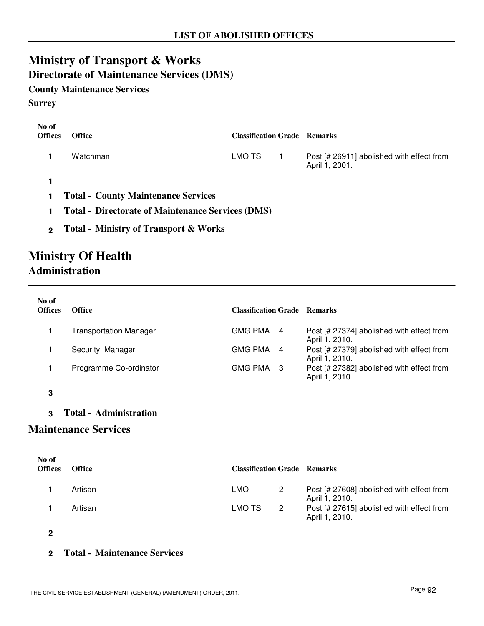# **Ministry of Transport & Works**

## **Directorate of Maintenance Services (DMS)**

### **County Maintenance Services**

### **Surrey**

| No of<br><b>Offices</b> | <b>Office</b>                                            | <b>Classification Grade Remarks</b> |                                                             |
|-------------------------|----------------------------------------------------------|-------------------------------------|-------------------------------------------------------------|
|                         | Watchman                                                 | LMO TS                              | Post [# 26911] abolished with effect from<br>April 1, 2001. |
|                         |                                                          |                                     |                                                             |
|                         | <b>Total - County Maintenance Services</b>               |                                     |                                                             |
|                         | <b>Total - Directorate of Maintenance Services (DMS)</b> |                                     |                                                             |
| $\mathfrak{p}$          | <b>Total - Ministry of Transport &amp; Works</b>         |                                     |                                                             |

## **Ministry Of Health Administration**

| No of<br><b>Offices</b> | <b>Office</b>                 | <b>Classification Grade Remarks</b> |                                                             |
|-------------------------|-------------------------------|-------------------------------------|-------------------------------------------------------------|
|                         | <b>Transportation Manager</b> | GMG PMA<br>4                        | Post [# 27374] abolished with effect from<br>April 1, 2010. |
|                         | Security Manager              | GMG PMA<br>4                        | Post [# 27379] abolished with effect from<br>April 1, 2010. |
|                         | Programme Co-ordinator        | GMG PMA<br>-3                       | Post [# 27382] abolished with effect from<br>April 1, 2010. |
|                         |                               |                                     |                                                             |

**3 Total - Administration**

### **Maintenance Services**

| No of<br><b>Offices</b> | <b>Office</b> | <b>Classification Grade Remarks</b> |                |                                                             |
|-------------------------|---------------|-------------------------------------|----------------|-------------------------------------------------------------|
|                         | Artisan       | <b>LMO</b>                          | -2             | Post [# 27608] abolished with effect from<br>April 1, 2010. |
|                         | Artisan       | LMO TS                              | $\overline{2}$ | Post [# 27615] abolished with effect from<br>April 1, 2010. |

**2**

### **2 Total - Maintenance Services**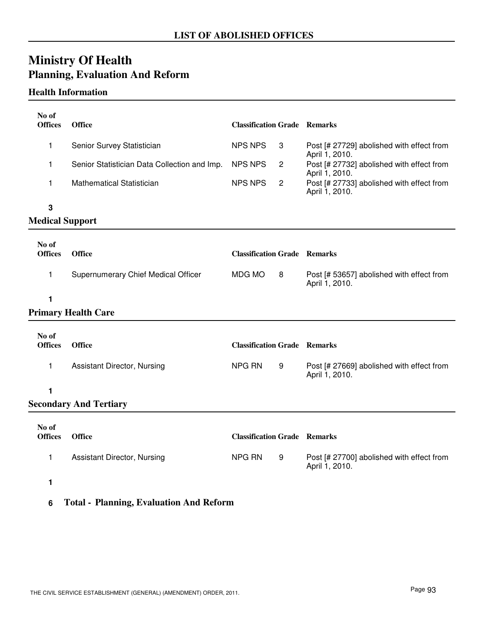# **Ministry Of Health Planning, Evaluation And Reform**

### **Health Information**

| No of<br><b>Offices</b> | <b>Office</b>                                | <b>Classification Grade Remarks</b> |                |                                                             |
|-------------------------|----------------------------------------------|-------------------------------------|----------------|-------------------------------------------------------------|
| 1                       | Senior Survey Statistician                   | <b>NPS NPS</b>                      | 3              | Post [# 27729] abolished with effect from<br>April 1, 2010. |
| 1                       | Senior Statistician Data Collection and Imp. | <b>NPS NPS</b>                      | $\overline{c}$ | Post [# 27732] abolished with effect from<br>April 1, 2010. |
| 1                       | <b>Mathematical Statistician</b>             | <b>NPS NPS</b>                      | $\overline{c}$ | Post [# 27733] abolished with effect from<br>April 1, 2010. |
| 3                       |                                              |                                     |                |                                                             |
| <b>Medical Support</b>  |                                              |                                     |                |                                                             |
| No of                   |                                              |                                     |                |                                                             |
| <b>Offices</b>          | <b>Office</b>                                | <b>Classification Grade Remarks</b> |                |                                                             |
| 1                       | Supernumerary Chief Medical Officer          | MDG MO                              | 8              | Post [# 53657] abolished with effect from<br>April 1, 2010. |
| 1                       |                                              |                                     |                |                                                             |
|                         | <b>Primary Health Care</b>                   |                                     |                |                                                             |
| No of                   |                                              |                                     |                |                                                             |
| <b>Offices</b>          | Office                                       | <b>Classification Grade Remarks</b> |                |                                                             |
| 1                       | Assistant Director, Nursing                  | <b>NPG RN</b>                       | 9              | Post [# 27669] abolished with effect from<br>April 1, 2010. |
| 1                       |                                              |                                     |                |                                                             |
|                         | <b>Secondary And Tertiary</b>                |                                     |                |                                                             |
| No of<br><b>Offices</b> | <b>Office</b>                                | <b>Classification Grade Remarks</b> |                |                                                             |
|                         |                                              |                                     |                |                                                             |
| 1                       | <b>Assistant Director, Nursing</b>           | <b>NPG RN</b>                       | 9              | Post [# 27700] abolished with effect from<br>April 1, 2010. |
|                         |                                              |                                     |                |                                                             |

- **1**
- **6 Total Planning, Evaluation And Reform**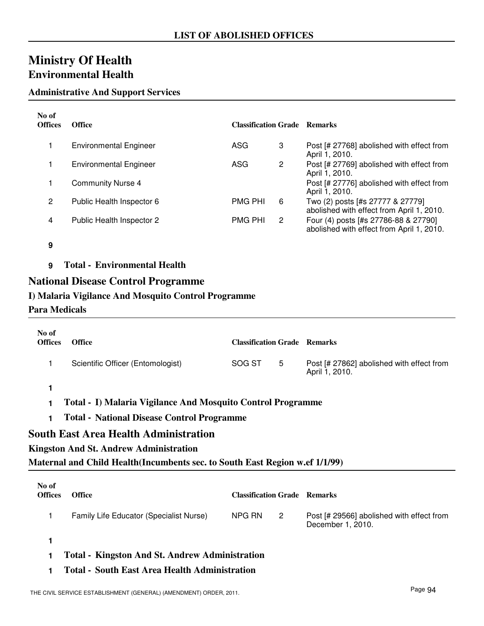## **Ministry Of Health Environmental Health**

### **Administrative And Support Services**

| No of<br><b>Offices</b> | <b>Office</b>                                       | <b>Classification Grade Remarks</b> |                |                                                                                   |
|-------------------------|-----------------------------------------------------|-------------------------------------|----------------|-----------------------------------------------------------------------------------|
|                         | <b>Environmental Engineer</b>                       | ASG                                 | 3              | Post [# 27768] abolished with effect from<br>April 1, 2010.                       |
|                         | <b>Environmental Engineer</b>                       | ASG                                 | $\overline{c}$ | Post [# 27769] abolished with effect from<br>April 1, 2010.                       |
|                         | <b>Community Nurse 4</b>                            |                                     |                | Post [# 27776] abolished with effect from<br>April 1, 2010.                       |
| $\overline{2}$          | Public Health Inspector 6                           | <b>PMG PHI</b>                      | 6              | Two (2) posts [#s 27777 & 27779]<br>abolished with effect from April 1, 2010.     |
| 4                       | Public Health Inspector 2                           | <b>PMG PHI</b>                      | 2              | Four (4) posts [#s 27786-88 & 27790]<br>abolished with effect from April 1, 2010. |
| 9                       |                                                     |                                     |                |                                                                                   |
| 9                       | <b>Total - Environmental Health</b>                 |                                     |                |                                                                                   |
|                         | <b>National Disease Control Programme</b>           |                                     |                |                                                                                   |
|                         | I) Malaria Vigilance And Mosquito Control Programme |                                     |                |                                                                                   |
| Para Medicals           |                                                     |                                     |                |                                                                                   |

| No of<br><b>Offices</b> | <b>Office</b>                                                                | <b>Classification Grade Remarks</b> |                |                                                                |  |
|-------------------------|------------------------------------------------------------------------------|-------------------------------------|----------------|----------------------------------------------------------------|--|
| 1                       | Scientific Officer (Entomologist)                                            | SOG ST                              | 5              | Post [# 27862] abolished with effect from<br>April 1, 2010.    |  |
| 1                       |                                                                              |                                     |                |                                                                |  |
|                         | Total - I) Malaria Vigilance And Mosquito Control Programme                  |                                     |                |                                                                |  |
| 1                       | <b>Total - National Disease Control Programme</b>                            |                                     |                |                                                                |  |
|                         | <b>South East Area Health Administration</b>                                 |                                     |                |                                                                |  |
|                         | <b>Kingston And St. Andrew Administration</b>                                |                                     |                |                                                                |  |
|                         | Maternal and Child Health (Incumbents sec. to South East Region w.ef 1/1/99) |                                     |                |                                                                |  |
|                         |                                                                              |                                     |                |                                                                |  |
| No of<br><b>Offices</b> | <b>Office</b>                                                                | <b>Classification Grade Remarks</b> |                |                                                                |  |
| 1                       | Family Life Educator (Specialist Nurse)                                      | NPG RN                              | $\overline{2}$ | Post [# 29566] abolished with effect from<br>December 1, 2010. |  |
| 1                       |                                                                              |                                     |                |                                                                |  |
|                         | <b>Total - Kingston And St. Andrew Administration</b>                        |                                     |                |                                                                |  |
|                         | <b>Total - South East Area Health Administration</b>                         |                                     |                |                                                                |  |

THE CIVIL SERVICE ESTABLISHMENT (GENERAL) (AMENDMENT) ORDER, 2011.